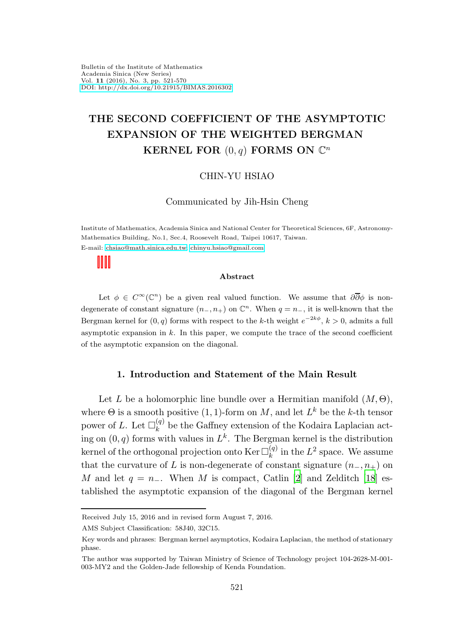# THE SECOND COEFFICIENT OF THE ASYMPTOTIC EXPANSION OF THE WEIGHTED BERGMAN KERNEL FOR  $(0, q)$  FORMS ON  $\mathbb{C}^n$

### CHIN-YU HSIAO

Communicated by Jih-Hsin Cheng

Institute of Mathematics, Academia Sinica and National Center for Theoretical Sciences, 6F, Astronomy-Mathematics Building, No.1, Sec.4, Roosevelt Road, Taipei 10617, Taiwan. E-mail: [chsiao@math.sinica.edu.tw;](mailto:chsiao@math.sinica.edu.tw) [chinyu.hsiao@gmail.com](mailto:chinyu.hsiao@gmail.com)

#### Abstract

Let  $\phi \in C^{\infty}(\mathbb{C}^n)$  be a given real valued function. We assume that  $\partial\overline{\partial}\phi$  is nondegenerate of constant signature  $(n_-, n_+)$  on  $\mathbb{C}^n$ . When  $q = n_-,$  it is well-known that the Bergman kernel for  $(0, q)$  forms with respect to the k-th weight  $e^{-2k\phi}$ ,  $k > 0$ , admits a full asymptotic expansion in  $k$ . In this paper, we compute the trace of the second coefficient of the asymptotic expansion on the diagonal.

### 1. Introduction and Statement of the Main Result

Let L be a holomorphic line bundle over a Hermitian manifold  $(M, \Theta)$ , where  $\Theta$  is a smooth positive  $(1,1)$ -form on M, and let  $L^k$  be the k-th tensor power of L. Let  $\square_k^{(q)}$  $\kappa_k^{(q)}$  be the Gaffney extension of the Kodaira Laplacian acting on  $(0, q)$  forms with values in  $L^k$ . The Bergman kernel is the distribution kernel of the orthogonal projection onto Ker  $\Box_k^{(q)}$  $\binom{q}{k}$  in the  $L^2$  space. We assume that the curvature of L is non-degenerate of constant signature  $(n_-, n_+)$  on M and let  $q = n_-\$ . When M is compact, Catlin [\[2\]](#page-48-0) and Zelditch [\[18](#page-49-0)] established the asymptotic expansion of the diagonal of the Bergman kernel

Received July 15, 2016 and in revised form August 7, 2016.

AMS Subject Classification: 58J40, 32C15.

Key words and phrases: Bergman kernel asymptotics, Kodaira Laplacian, the method of stationary phase.

The author was supported by Taiwan Ministry of Science of Technology project 104-2628-M-001- 003-MY2 and the Golden-Jade fellowship of Kenda Foundation.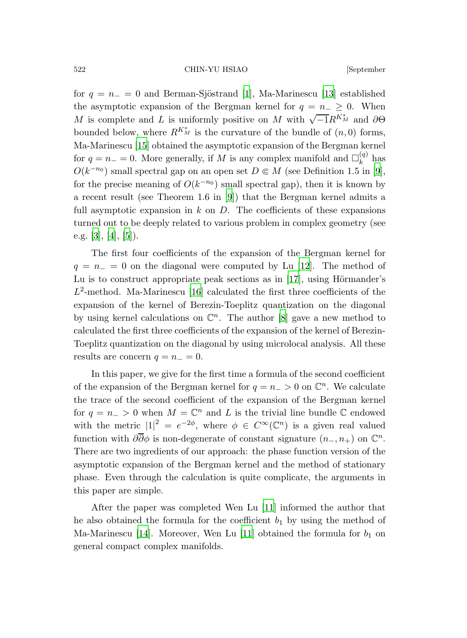522 CHIN-YU HSIAO [September

for  $q = n_ - = 0$  and Berman-Sjöstrand [\[1](#page-48-1)], Ma-Marinescu [\[13](#page-49-1)] established the asymptotic expansion of the Bergman kernel for  $q = n_-\geq 0$ . When M is complete and L is uniformly positive on M with  $\sqrt{-1}R^{K_M^*}$  and  $\partial\Theta$ bounded below, where  $R^{K_M^*}$  is the curvature of the bundle of  $(n,0)$  forms, Ma-Marinescu [\[15](#page-49-2)] obtained the asymptotic expansion of the Bergman kernel for  $q = n_+ = 0$ . More generally, if M is any complex manifold and  $\square_k^{(q)}$  $k^{(4)}$  has  $O(k^{-n_0})$  small spectral gap on an open set  $D \in M$  (see Definition 1.5 in [\[9\]](#page-49-3), for the precise meaning of  $O(k^{-n_0})$  small spectral gap), then it is known by a recent result (see Theorem 1.6 in [\[9](#page-49-3)]) that the Bergman kernel admits a full asymptotic expansion in  $k$  on  $D$ . The coefficients of these expansions turned out to be deeply related to various problem in complex geometry (see e.g. [\[3](#page-48-2)], [\[4\]](#page-48-3), [\[5\]](#page-49-4)).

The first four coefficients of the expansion of the Bergman kernel for  $q = n_+ = 0$  on the diagonal were computed by Lu [\[12](#page-49-5)]. The method of Lu is to construct appropriate peak sections as in  $[17]$ , using Hörmander's  $L^2$ -method. Ma-Marinescu [\[16\]](#page-49-7) calculated the first three coefficients of the expansion of the kernel of Berezin-Toeplitz quantization on the diagonal by using kernel calculations on  $\mathbb{C}^n$ . The author [\[8\]](#page-49-8) gave a new method to calculated the first three coefficients of the expansion of the kernel of Berezin-Toeplitz quantization on the diagonal by using microlocal analysis. All these results are concern  $q = n_+ = 0$ .

In this paper, we give for the first time a formula of the second coefficient of the expansion of the Bergman kernel for  $q = n_{-} > 0$  on  $\mathbb{C}^{n}$ . We calculate the trace of the second coefficient of the expansion of the Bergman kernel for  $q = n_{-} > 0$  when  $M = \mathbb{C}^{n}$  and L is the trivial line bundle  $\mathbb{C}$  endowed with the metric  $|1|^2 = e^{-2\phi}$ , where  $\phi \in C^{\infty}(\mathbb{C}^n)$  is a given real valued function with  $\partial \overline{\partial} \phi$  is non-degenerate of constant signature  $(n_-, n_+)$  on  $\mathbb{C}^n$ . There are two ingredients of our approach: the phase function version of the asymptotic expansion of the Bergman kernel and the method of stationary phase. Even through the calculation is quite complicate, the arguments in this paper are simple.

After the paper was completed Wen Lu [\[11](#page-49-9)] informed the author that he also obtained the formula for the coefficient  $b_1$  by using the method of Ma-Marinescu [\[14\]](#page-49-10). Moreover, Wen Lu [\[11\]](#page-49-9) obtained the formula for  $b_1$  on general compact complex manifolds.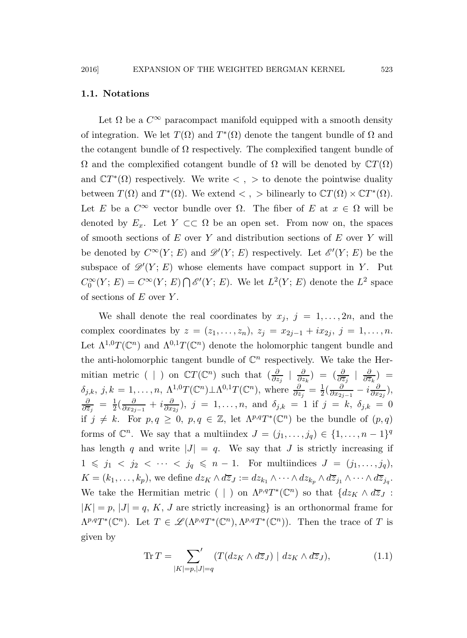### 1.1. Notations

Let  $\Omega$  be a  $C^{\infty}$  paracompact manifold equipped with a smooth density of integration. We let  $T(\Omega)$  and  $T^*(\Omega)$  denote the tangent bundle of  $\Omega$  and the cotangent bundle of  $\Omega$  respectively. The complexified tangent bundle of  $Ω$  and the complexified cotangent bundle of  $Ω$  will be denoted by  $\mathbb{C}T(\Omega)$ and  $\mathbb{C}T^*(\Omega)$  respectively. We write  $\langle , \rangle$  to denote the pointwise duality between  $T(\Omega)$  and  $T^*(\Omega)$ . We extend  $\langle , \rangle$  bilinearly to  $\mathbb{C}T(\Omega) \times \mathbb{C}T^*(\Omega)$ . Let E be a  $C^{\infty}$  vector bundle over  $\Omega$ . The fiber of E at  $x \in \Omega$  will be denoted by  $E_x$ . Let  $Y \subset\subset \Omega$  be an open set. From now on, the spaces of smooth sections of  $E$  over  $Y$  and distribution sections of  $E$  over  $Y$  will be denoted by  $C^{\infty}(Y; E)$  and  $\mathscr{D}'(Y; E)$  respectively. Let  $\mathscr{E}'(Y; E)$  be the subspace of  $\mathscr{D}'(Y; E)$  whose elements have compact support in Y. Put  $C_0^{\infty}(Y; E) = C^{\infty}(Y; E) \bigcap \mathscr{E}'(Y; E)$ . We let  $L^2(Y; E)$  denote the  $L^2$  space of sections of  $E$  over  $Y$ .

We shall denote the real coordinates by  $x_j$ ,  $j = 1, \ldots, 2n$ , and the complex coordinates by  $z = (z_1, \ldots, z_n), z_j = x_{2j-1} + ix_{2j}, j = 1, \ldots, n$ . Let  $\Lambda^{1,0}T(\mathbb{C}^n)$  and  $\Lambda^{0,1}T(\mathbb{C}^n)$  denote the holomorphic tangent bundle and the anti-holomorphic tangent bundle of  $\mathbb{C}^n$  respectively. We take the Hermitian metric ( | ) on  $\mathbb{C}T(\mathbb{C}^n)$  such that  $\left(\frac{\partial}{\partial z_j} + \frac{\partial}{\partial z_j}\right)$  $\frac{\partial}{\partial z_k}$ ) =  $\left(\frac{\partial}{\partial \overline{z}_j} + \frac{\partial}{\partial \overline{z}_k}\right)$  $\frac{\partial}{\partial \overline{z}_k}$ ) =  $\delta_{j,k}, j,k = 1, \ldots, n, \ \Lambda^{1,0} T(\mathbb{C}^n) \perp \Lambda^{0,1} T(\mathbb{C}^n)$ , where  $\frac{\partial}{\partial z_j} = \frac{1}{2}$  $\frac{1}{2}(\frac{\partial}{\partial x_{2j}}$  $\frac{\partial}{\partial x_{2j-1}} - i \frac{\partial}{\partial x_j}$  $\frac{\sigma}{\partial x_{2j}}),$ ∂  $\frac{\partial}{\partial \overline{z}_j} \;=\; \frac{1}{2}$  $\frac{1}{2}(\frac{\partial}{\partial x_{2j}}$  $\frac{\partial}{\partial x_{2j-1}}+i\frac{\partial}{\partial x_j}$  $\frac{\partial}{\partial x_{2j}}$ ,  $j = 1, ..., n$ , and  $\delta_{j,k} = 1$  if  $j = k$ ,  $\delta_{j,k} = 0$ if  $j \neq k$ . For  $p, q \geq 0$ ,  $p, q \in \mathbb{Z}$ , let  $\Lambda^{p,q}T^*(\mathbb{C}^n)$  be the bundle of  $(p, q)$ forms of  $\mathbb{C}^n$ . We say that a multiindex  $J = (j_1, \ldots, j_q) \in \{1, \ldots, n-1\}^q$ has length q and write  $|J| = q$ . We say that J is strictly increasing if  $1 \leq j_1 < j_2 < \cdots < j_q \leq n-1$ . For multiindices  $J = (j_1, \ldots, j_q)$ ,  $K = (k_1, \ldots, k_p)$ , we define  $dz_K \wedge d\overline{z}_J := dz_{k_1} \wedge \cdots \wedge dz_{k_p} \wedge d\overline{z}_{j_1} \wedge \cdots \wedge d\overline{z}_{j_q}$ . We take the Hermitian metric ( | ) on  $\Lambda^{p,q}T^*(\mathbb{C}^n)$  so that  $\{dz_K \wedge d\overline{z}_J$ :  $|K| = p$ ,  $|J| = q$ , K, J are strictly increasing is an orthonormal frame for  $\Lambda^{p,q}T^*(\mathbb{C}^n)$ . Let  $T \in \mathscr{L}(\Lambda^{p,q}T^*(\mathbb{C}^n),\Lambda^{p,q}T^*(\mathbb{C}^n))$ . Then the trace of T is given by

<span id="page-2-0"></span>
$$
\operatorname{Tr} T = \sum_{|K|=p,|J|=q} \langle T(dz_K \wedge d\overline{z}_J) \mid dz_K \wedge d\overline{z}_J \rangle, \tag{1.1}
$$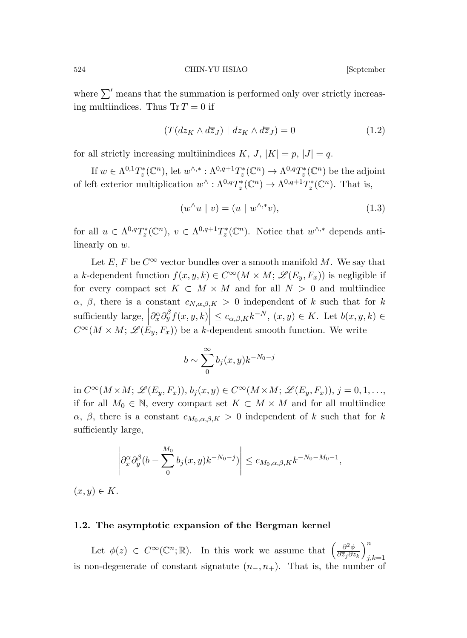where  $\sum'$  means that the summation is performed only over strictly increasing multiindices. Thus  $Tr T = 0$  if

$$
(T(dz_K \wedge d\overline{z}_J) \mid dz_K \wedge d\overline{z}_J) = 0 \tag{1.2}
$$

for all strictly increasing multiinindices K, J,  $|K| = p$ ,  $|J| = q$ .

If  $w \in \Lambda^{0,1}T_z^*(\mathbb{C}^n)$ , let  $w^{\wedge,*}: \Lambda^{0,q+1}T_z^*(\mathbb{C}^n) \to \Lambda^{0,q}T_z^*(\mathbb{C}^n)$  be the adjoint of left exterior multiplication  $w^{\wedge} : \Lambda^{0,q}T_z^*(\mathbb{C}^n) \to \Lambda^{0,q+1}T_z^*(\mathbb{C}^n)$ . That is,

$$
(w^{\wedge}u \mid v) = (u \mid w^{\wedge,*}v), \tag{1.3}
$$

for all  $u \in \Lambda^{0,q}T^*_z(\mathbb{C}^n)$ ,  $v \in \Lambda^{0,q+1}T^*_z(\mathbb{C}^n)$ . Notice that  $w^{\wedge,*}$  depends antilinearly on w.

Let E, F be  $C^{\infty}$  vector bundles over a smooth manifold M. We say that a k-dependent function  $f(x, y, k) \in C^{\infty}(M \times M; \mathcal{L}(E_y, F_x))$  is negligible if for every compact set  $K \subset M \times M$  and for all  $N > 0$  and multiindice  $\alpha$ ,  $\beta$ , there is a constant  $c_{N,\alpha,\beta,K} > 0$  independent of k such that for k sufficiently large,  $\left|\partial_x^{\alpha} \partial_y^{\beta} f(x, y, k)\right| \leq c_{\alpha, \beta, K} k^{-N}, (x, y) \in K$ . Let  $b(x, y, k) \in$  $C^{\infty}(M \times M; \mathscr{L}(E_y, F_x))$  be a k-dependent smooth function. We write

$$
b \sim \sum_{0}^{\infty} b_j(x, y) k^{-N_0 - j}
$$

in  $C^{\infty}(M \times M; \mathscr{L}(E_y, F_x)), b_i(x, y) \in C^{\infty}(M \times M; \mathscr{L}(E_y, F_x)), j = 0, 1, \ldots,$ if for all  $M_0 \in \mathbb{N}$ , every compact set  $K \subset M \times M$  and for all multiindice  $\alpha$ ,  $\beta$ , there is a constant  $c_{M_0,\alpha,\beta,K} > 0$  independent of k such that for k sufficiently large,

$$
\left|\partial_x^{\alpha}\partial_y^{\beta}(b-\sum_0^{M_0}b_j(x,y)k^{-N_0-j})\right|\leq c_{M_0,\alpha,\beta,K}k^{-N_0-M_0-1},
$$

 $(x, y) \in K$ .

### 1.2. The asymptotic expansion of the Bergman kernel

Let  $\phi(z) \in C^{\infty}(\mathbb{C}^n;\mathbb{R})$ . In this work we assume that  $\left(\frac{\partial^2 \phi}{\partial \overline{z_j}\partial z}\right)$  $\partial \overline{z}_j \partial z_k$  $\setminus^n$  $_{j,k=1}$ is non-degenerate of constant signatute  $(n_-, n_+)$ . That is, the number of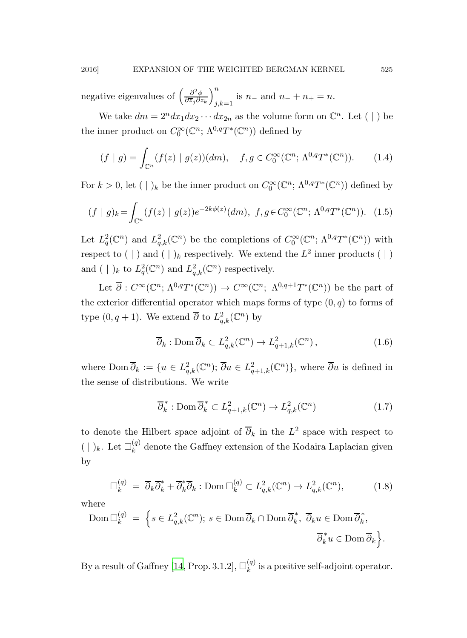negative eigenvalues of  $\left(\frac{\partial^2 \phi}{\partial \overline{z}_i \partial z_i}\right)$  $\partial \overline{z}_j \partial z_k$  $\setminus^n$  $j,k=1$  is  $n-$  and  $n-$  +  $n+$  =  $n$ .

We take  $dm = 2^n dx_1 dx_2 \cdots dx_{2n}$  as the volume form on  $\mathbb{C}^n$ . Let ( | ) be the inner product on  $C_0^{\infty}(\mathbb{C}^n; \Lambda^{0,q}T^*(\mathbb{C}^n))$  defined by

<span id="page-4-0"></span>
$$
(f \mid g) = \int_{\mathbb{C}^n} (f(z) \mid g(z))(dm), \quad f, g \in C_0^{\infty}(\mathbb{C}^n; \Lambda^{0,q}T^*(\mathbb{C}^n)).
$$
 (1.4)

For  $k > 0$ , let  $( \ | )_k$  be the inner product on  $C_0^{\infty}(\mathbb{C}^n; \Lambda^{0,q}T^*(\mathbb{C}^n))$  defined by

$$
(f \mid g)_k = \int_{\mathbb{C}^n} (f(z) \mid g(z))e^{-2k\phi(z)}(dm), \ f, g \in C_0^{\infty}(\mathbb{C}^n; \Lambda^{0,q}T^*(\mathbb{C}^n)). \tag{1.5}
$$

Let  $L_q^2(\mathbb{C}^n)$  and  $L_{q,k}^2(\mathbb{C}^n)$  be the completions of  $C_0^{\infty}(\mathbb{C}^n; \Lambda^{0,q}T^*(\mathbb{C}^n))$  with respect to  $( \ | )$  and  $( \ | )_k$  respectively. We extend the  $L^2$  inner products  $( \ | )$ and  $(\ | )_k$  to  $L_q^2(\mathbb{C}^n)$  and  $L_{q,k}^2(\mathbb{C}^n)$  respectively.

Let  $\overline{\partial}: C^{\infty}(\mathbb{C}^n; \Lambda^{0,q}T^*(\mathbb{C}^n)) \to C^{\infty}(\mathbb{C}^n; \Lambda^{0,q+1}T^*(\mathbb{C}^n))$  be the part of the exterior differential operator which maps forms of type  $(0, q)$  to forms of type  $(0, q+1)$ . We extend  $\overline{\partial}$  to  $L^2_{q,k}(\mathbb{C}^n)$  by

$$
\overline{\partial}_k : \text{Dom}\,\overline{\partial}_k \subset L^2_{q,k}(\mathbb{C}^n) \to L^2_{q+1,k}(\mathbb{C}^n) \,,\tag{1.6}
$$

where  $\text{Dom }\overline{\partial}_k := \{u \in L^2_{q,k}(\mathbb{C}^n); \overline{\partial}u \in L^2_{q+1,k}(\mathbb{C}^n)\},\$  where  $\overline{\partial}u$  is defined in the sense of distributions. We write

$$
\overline{\partial}_k^* : \text{Dom } \overline{\partial}_k^* \subset L^2_{q+1,k}(\mathbb{C}^n) \to L^2_{q,k}(\mathbb{C}^n) \tag{1.7}
$$

to denote the Hilbert space adjoint of  $\overline{\partial}_k$  in the  $L^2$  space with respect to  $( \ | \ )_k$ . Let  $\square_k^{(q)}$  $\kappa^{(q)}$  denote the Gaffney extension of the Kodaira Laplacian given by

$$
\Box_k^{(q)} = \overline{\partial}_k \overline{\partial}_k^* + \overline{\partial}_k^* \overline{\partial}_k : \text{Dom } \Box_k^{(q)} \subset L^2_{q,k}(\mathbb{C}^n) \to L^2_{q,k}(\mathbb{C}^n), \tag{1.8}
$$

where

$$
\text{Dom } \Box_k^{(q)} = \left\{ s \in L^2_{q,k}(\mathbb{C}^n) ; s \in \text{Dom } \overline{\partial}_k \cap \text{Dom } \overline{\partial}_k^*, \overline{\partial}_k u \in \text{Dom } \overline{\partial}_k^*, \right\}.
$$
  

$$
\overline{\partial}_k^* u \in \text{Dom } \overline{\partial}_k \right\}.
$$

By a result of Gaffney [\[14](#page-49-10), Prop. 3.1.2],  $\square_k^{(q)}$  $\binom{q}{k}$  is a positive self-adjoint operator.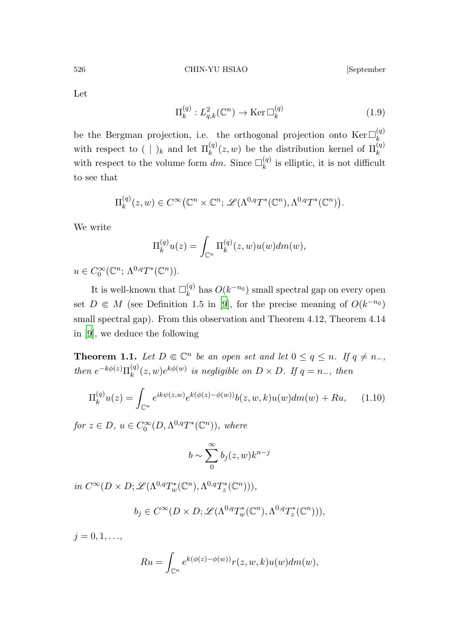526 CHIN-YU HSIAO [September

<span id="page-5-0"></span>Let

$$
\Pi_k^{(q)}: L^2_{q,k}(\mathbb{C}^n) \to \text{Ker}\,\mathbb{Z}_k^{(q)}\tag{1.9}
$$

be the Bergman projection, i.e. the orthogonal projection onto  $\text{Ker } \Box_k^{(q)}$ with respect to  $( \ | )_k$  and let  $\Pi_k^{(q)}(z,w)$  be the distribution kernel of  $\Pi_k^{(q)}$ with respect to the volume form dm. Since  $\square_k^{(q)}$  $\kappa^{(q)}$  is elliptic, it is not difficult to see that

$$
\Pi_k^{(q)}(z,w) \in C^{\infty}(\mathbb{C}^n \times \mathbb{C}^n; \mathscr{L}(\Lambda^{0,q}T^*(\mathbb{C}^n),\Lambda^{0,q}T^*(\mathbb{C}^n)).
$$

We write

$$
\Pi_k^{(q)}u(z) = \int_{\mathbb{C}^n} \Pi_k^{(q)}(z,w)u(w)dm(w),
$$

 $u \in C_0^{\infty}(\mathbb{C}^n; \Lambda^{0,q}T^*(\mathbb{C}^n)).$ 

It is well-known that  $\square_k^{(q)}$  $\binom{q}{k}$  has  $O(k^{-n_0})$  small spectral gap on every open set  $D \in M$  (see Definition 1.5 in [\[9](#page-49-3)], for the precise meaning of  $O(k^{-n_0})$ small spectral gap). From this observation and Theorem 4.12, Theorem 4.14 in [\[9](#page-49-3)], we deduce the following

<span id="page-5-1"></span>**Theorem 1.1.** Let  $D \in \mathbb{C}^n$  be an open set and let  $0 \le q \le n$ . If  $q \ne n$ , then  $e^{-k\phi(z)}\Pi_k^{(q)}$  $\binom{(q)}{k}(z,w)e^{k\phi(w)}$  is negligible on  $D \times D$ . If  $q = n_-,$  then

$$
\Pi_k^{(q)} u(z) = \int_{\mathbb{C}^n} e^{ik\psi(z,w)} e^{k(\phi(z) - \phi(w))} b(z, w, k) u(w) dm(w) + Ru,
$$
 (1.10)

for  $z \in D$ ,  $u \in C_0^{\infty}(D, \Lambda^{0,q}T^*(\mathbb{C}^n))$ , where

$$
b \sim \sum_{0}^{\infty} b_j(z, w) k^{n-j}
$$

in  $C^{\infty}(D \times D; \mathscr{L}(\Lambda^{0,q}T_w^*(\mathbb{C}^n), \Lambda^{0,q}T_z^*(\mathbb{C}^n))),$ 

$$
b_j \in C^{\infty}(D \times D; \mathscr{L}(\Lambda^{0,q}T_w^*(\mathbb{C}^n), \Lambda^{0,q}T_z^*(\mathbb{C}^n))),
$$

 $j = 0, 1, \ldots,$ 

$$
Ru = \int_{\mathbb{C}^n} e^{k(\phi(z) - \phi(w))} r(z, w, k) u(w) dm(w),
$$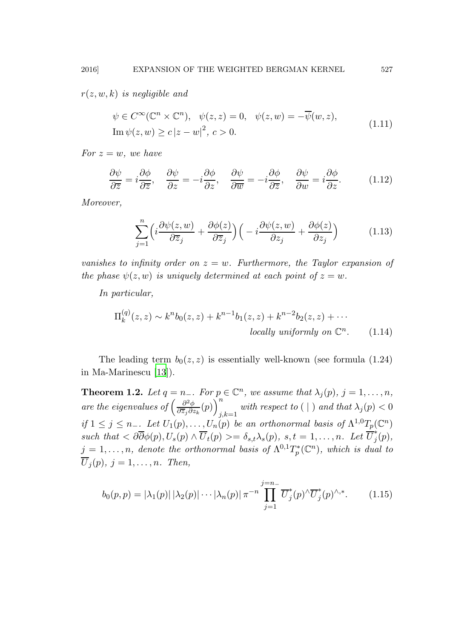$r(z, w, k)$  is negligible and

$$
\psi \in C^{\infty}(\mathbb{C}^n \times \mathbb{C}^n), \quad \psi(z, z) = 0, \quad \psi(z, w) = -\overline{\psi}(w, z),
$$
  
\nIm  $\psi(z, w) \ge c |z - w|^2, c > 0.$  (1.11)

For  $z = w$ , we have

<span id="page-6-2"></span>
$$
\frac{\partial \psi}{\partial \overline{z}} = i \frac{\partial \phi}{\partial \overline{z}}, \quad \frac{\partial \psi}{\partial z} = -i \frac{\partial \phi}{\partial z}, \quad \frac{\partial \psi}{\partial \overline{w}} = -i \frac{\partial \phi}{\partial \overline{z}}, \quad \frac{\partial \psi}{\partial w} = i \frac{\partial \phi}{\partial z}.
$$
 (1.12)

Moreover,

<span id="page-6-1"></span>
$$
\sum_{j=1}^{n} \left( i \frac{\partial \psi(z, w)}{\partial \overline{z}_j} + \frac{\partial \phi(z)}{\partial \overline{z}_j} \right) \left( -i \frac{\partial \psi(z, w)}{\partial z_j} + \frac{\partial \phi(z)}{\partial z_j} \right) \tag{1.13}
$$

vanishes to infinity order on  $z = w$ . Furthermore, the Taylor expansion of the phase  $\psi(z, w)$  is uniquely determined at each point of  $z = w$ .

In particular,

<span id="page-6-0"></span>
$$
\Pi_k^{(q)}(z,z) \sim k^n b_0(z,z) + k^{n-1} b_1(z,z) + k^{n-2} b_2(z,z) + \cdots
$$
  
locally uniformly on  $\mathbb{C}^n$ . (1.14)

<span id="page-6-3"></span>The leading term  $b_0(z, z)$  is essentially well-known (see formula (1.24) in Ma-Marinescu [\[13\]](#page-49-1)).

**Theorem 1.2.** Let  $q = n_-\text{ or } p \in \mathbb{C}^n$ , we assume that  $\lambda_j(p)$ ,  $j = 1, \ldots, n$ , are the eigenvalues of  $\left(\frac{\partial^2 \phi}{\partial \overline{z} \cdot \partial z}\right)$  $\frac{\partial^2 \phi}{\partial \overline{z}_j \partial z_k}(p)\bigg)^n_i$  $j,k=1$  with respect to  $(\,|\,)$  and that  $\lambda_j(p) < 0$ if  $1 \leq j \leq n_-\underline{\ }$  Let  $U_1(p), \ldots, U_n(p)$  be an orthonormal basis of  $\Lambda^{1,0}T_p(\mathbb C^n)$ such that  $\langle \partial \overline{\partial} \phi(p), U_s(p) \wedge \overline{U}_t(p) \rangle = \delta_{s,t} \lambda_s(p), \ s, t = 1, \ldots, n.$  Let  $\overline{U}_j^*$  $j(p),$  $j = 1, \ldots, n$ , denote the orthonormal basis of  $\Lambda^{0,1}T^*_p(\mathbb{C}^n)$ , which is dual to  $\overline{U}_i(p), j = 1, \ldots, n$ . Then,

$$
b_0(p,p) = |\lambda_1(p)| |\lambda_2(p)| \cdots |\lambda_n(p)| \pi^{-n} \prod_{j=1}^{j=n-} \overline{U}_j^*(p)^\wedge \overline{U}_j^*(p)^\wedge^*.
$$
 (1.15)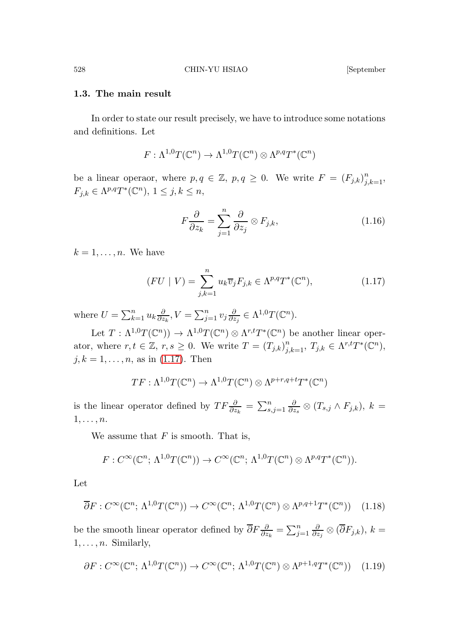### 1.3. The main result

In order to state our result precisely, we have to introduce some notations and definitions. Let

$$
F: \Lambda^{1,0}T(\mathbb{C}^n) \to \Lambda^{1,0}T(\mathbb{C}^n) \otimes \Lambda^{p,q}T^*(\mathbb{C}^n)
$$

be a linear operaor, where  $p, q \in \mathbb{Z}$ ,  $p, q \geq 0$ . We write  $F = (F_{j,k})_{j,k=1}^n$ ,  $F_{j,k} \in \Lambda^{p,q}T^*(\mathbb{C}^n), 1 \leq j,k \leq n,$ 

<span id="page-7-1"></span>
$$
F\frac{\partial}{\partial z_k} = \sum_{j=1}^n \frac{\partial}{\partial z_j} \otimes F_{j,k},\tag{1.16}
$$

 $k = 1, \ldots, n$ . We have

<span id="page-7-0"></span>
$$
(FU | V) = \sum_{j,k=1}^{n} u_k \overline{v}_j F_{j,k} \in \Lambda^{p,q} T^*(\mathbb{C}^n), \qquad (1.17)
$$

where  $U = \sum_{k=1}^{n} u_k \frac{\partial}{\partial z}$  $\frac{\partial}{\partial z_k}, V = \sum_{j=1}^n v_j \frac{\partial}{\partial z_j}$  $\frac{\partial}{\partial z_j} \in \Lambda^{1,0}T(\mathbb C^n).$ 

Let  $T: \Lambda^{1,0}T(\mathbb{C}^n) \to \Lambda^{1,0}T(\mathbb{C}^n) \otimes \Lambda^{r,t}T^*(\mathbb{C}^n)$  be another linear operator, where  $r, t \in \mathbb{Z}, r, s \geq 0$ . We write  $T = (T_{j,k})_{j,k=1}^n, T_{j,k} \in \Lambda^{r,t}T^*(\mathbb{C}^n)$ ,  $j, k = 1, \ldots, n$ , as in [\(1.17\)](#page-7-0). Then

$$
TF: \Lambda^{1,0}T(\mathbb{C}^n) \to \Lambda^{1,0}T(\mathbb{C}^n) \otimes \Lambda^{p+r,q+t}T^*(\mathbb{C}^n)
$$

is the linear operator defined by  $TF\frac{\partial}{\partial z_k} = \sum_{s,j=1}^n \frac{\partial}{\partial z_k}$  $\frac{\partial}{\partial z_s}\otimes (T_{s,j}\wedge F_{j,k}),\ k=$  $1, \ldots, n$ .

We assume that  $F$  is smooth. That is,

$$
F: C^{\infty}(\mathbb{C}^n; \Lambda^{1,0}T(\mathbb{C}^n)) \to C^{\infty}(\mathbb{C}^n; \Lambda^{1,0}T(\mathbb{C}^n) \otimes \Lambda^{p,q}T^*(\mathbb{C}^n)).
$$

Let

$$
\overline{\partial}F:C^{\infty}(\mathbb{C}^n;\,\Lambda^{1,0}T(\mathbb{C}^n))\to C^{\infty}(\mathbb{C}^n;\,\Lambda^{1,0}T(\mathbb{C}^n)\otimes\Lambda^{p,q+1}T^*(\mathbb{C}^n))\tag{1.18}
$$

be the smooth linear operator defined by  $\overline{\partial} F \frac{\partial}{\partial z_k} = \sum_{j=1}^n \frac{\partial}{\partial z_j}$  $\frac{\partial}{\partial z_j}\otimes (\partial F_{j,k}),\,k=$  $1, \ldots, n$ . Similarly,

$$
\partial F: C^{\infty}(\mathbb{C}^n; \Lambda^{1,0}T(\mathbb{C}^n)) \to C^{\infty}(\mathbb{C}^n; \Lambda^{1,0}T(\mathbb{C}^n) \otimes \Lambda^{p+1,q}T^*(\mathbb{C}^n)) \quad (1.19)
$$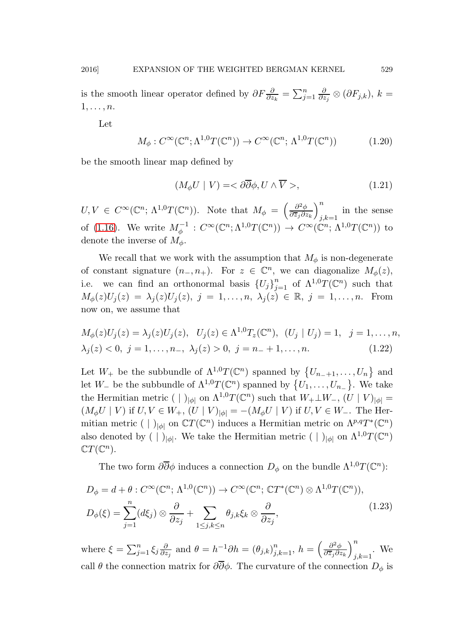is the smooth linear operator defined by  $\partial F \frac{\partial}{\partial z_k} = \sum_{j=1}^n \frac{\partial}{\partial z_j}$  $\frac{\partial}{\partial z_j}\otimes (\partial F_{j,k}),\,k=$  $1, \ldots, n$ .

<span id="page-8-1"></span>Let

$$
M_{\phi}: C^{\infty}(\mathbb{C}^n; \Lambda^{1,0}T(\mathbb{C}^n)) \to C^{\infty}(\mathbb{C}^n; \Lambda^{1,0}T(\mathbb{C}^n))
$$
 (1.20)

be the smooth linear map defined by

<span id="page-8-0"></span>
$$
(M_{\phi}U \mid V) = \langle \partial \overline{\partial} \phi, U \wedge \overline{V} \rangle, \tag{1.21}
$$

 $U, V \in C^{\infty}(\mathbb{C}^n; \Lambda^{1,0}T(\mathbb{C}^n)).$  Note that  $M_{\phi} = \left(\frac{\partial^2 \phi}{\partial \overline{z_j}\partial z}\right)$  $\partial \overline{z}_j \partial z_k$  $\setminus^n$ in the sense  $j,k=1$ of [\(1.16\)](#page-7-1). We write  $M_{\phi}^{-1}: C^{\infty}(\mathbb{C}^n; \Lambda^{1,0}T(\mathbb{C}^n)) \to C^{\infty}(\mathbb{C}^n; \Lambda^{1,0}T(\mathbb{C}^n))$  to denote the inverse of  $M_{\phi}$ .

We recall that we work with the assumption that  $M_{\phi}$  is non-degenerate of constant signature  $(n_-, n_+)$ . For  $z \in \mathbb{C}^n$ , we can diagonalize  $M_\phi(z)$ , i.e. we can find an orthonormal basis  $\{U_j\}_{j=1}^n$  of  $\Lambda^{1,0}T(\mathbb{C}^n)$  such that  $M_{\phi}(z)U_j(z) = \lambda_j(z)U_j(z), \ j = 1, \ldots, n, \ \lambda_j(z) \in \mathbb{R}, \ j = 1, \ldots, n.$  From now on, we assume that

$$
M_{\phi}(z)U_j(z) = \lambda_j(z)U_j(z), \quad U_j(z) \in \Lambda^{1,0}T_z(\mathbb{C}^n), \quad (U_j \mid U_j) = 1, \quad j = 1, \dots, n, \n\lambda_j(z) < 0, \quad j = 1, \dots, n-, \quad \lambda_j(z) > 0, \quad j = n - + 1, \dots, n. \tag{1.22}
$$

Let  $W_+$  be the subbundle of  $\Lambda^{1,0}T(\mathbb{C}^n)$  spanned by  $\{U_{n_-+1},\ldots,U_n\}$  and let  $W_-\,$  be the subbundle of  $\Lambda^{1,0}T(\mathbb{C}^n)$  spanned by  $\{U_1,\ldots,U_{n_-\}\}\.$  We take the Hermitian metric ( | )<sub>| $\phi$ </sub> on  $\Lambda^{1,0}T(\mathbb{C}^n)$  such that  $W_+\perp W_-,$   $(U \mid V)_{|\phi|} =$  $(M_{\phi}U \mid V)$  if  $U, V \in W_+$ ,  $(U \mid V)_{|\phi|} = -(M_{\phi}U \mid V)$  if  $U, V \in W_-$ . The Hermitian metric ( | )<sub>| $\phi$ |</sub> on  $\mathbb{C}T(\mathbb{C}^n)$  induces a Hermitian metric on  $\Lambda^{p,q}T^*(\mathbb{C}^n)$ also denoted by ( | )<sub>| $\phi$ |</sub>. We take the Hermitian metric ( | )<sub>| $\phi$ |</sub> on  $\Lambda^{1,0}T(\mathbb C^n)$  $\mathbb{C}T(\mathbb{C}^n)$ .

The two form  $\partial \overline{\partial} \phi$  induces a connection  $D_{\phi}$  on the bundle  $\Lambda^{1,0}T(\mathbb{C}^n)$ :

$$
D_{\phi} = d + \theta : C^{\infty}(\mathbb{C}^n; \Lambda^{1,0}(\mathbb{C}^n)) \to C^{\infty}(\mathbb{C}^n; \mathbb{C}T^*(\mathbb{C}^n) \otimes \Lambda^{1,0}T(\mathbb{C}^n)),
$$
  
\n
$$
D_{\phi}(\xi) = \sum_{j=1}^n (d\xi_j) \otimes \frac{\partial}{\partial z_j} + \sum_{1 \le j,k \le n} \theta_{j,k} \xi_k \otimes \frac{\partial}{\partial z_j},
$$
\n(1.23)

where  $\xi = \sum_{j=1}^n \xi_j \frac{\partial}{\partial z}$  $\frac{\partial}{\partial z_j}$  and  $\theta = h^{-1}\partial h = (\theta_{j,k})_{j,k=1}^n$ ,  $h = \left(\frac{\partial^2 \phi}{\partial \overline{z_j}\partial z_j}\right)$  $\partial \overline{z}_j \partial z_k$  $\setminus^n$  $_{j,k=1}$ . We call  $\theta$  the connection matrix for  $\partial \overline{\partial} \phi$ . The curvature of the connection  $D_{\phi}$  is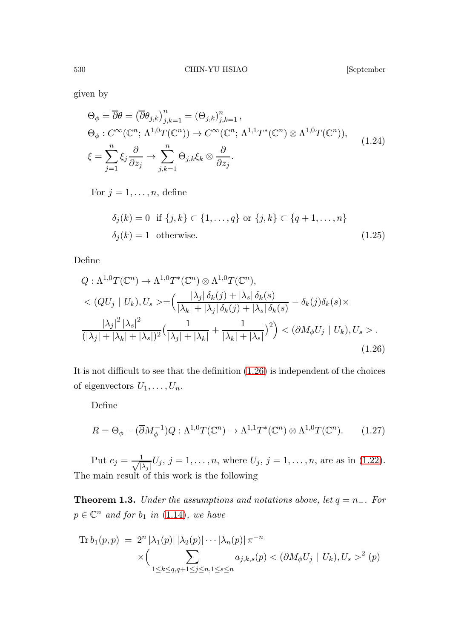<span id="page-9-2"></span>

given by

<span id="page-9-3"></span>
$$
\Theta_{\phi} = \overline{\partial} \theta = (\overline{\partial} \theta_{j,k})_{j,k=1}^n = (\Theta_{j,k})_{j,k=1}^n,
$$
  
\n
$$
\Theta_{\phi} : C^{\infty}(\mathbb{C}^n; \Lambda^{1,0}T(\mathbb{C}^n)) \to C^{\infty}(\mathbb{C}^n; \Lambda^{1,1}T^*(\mathbb{C}^n) \otimes \Lambda^{1,0}T(\mathbb{C}^n)),
$$
  
\n
$$
\xi = \sum_{j=1}^n \xi_j \frac{\partial}{\partial z_j} \to \sum_{j,k=1}^n \Theta_{j,k} \xi_k \otimes \frac{\partial}{\partial z_j}.
$$
\n(1.24)

For  $j = 1, \ldots, n$ , define

$$
\delta_j(k) = 0 \quad \text{if } \{j,k\} \subset \{1,\ldots,q\} \text{ or } \{j,k\} \subset \{q+1,\ldots,n\}
$$
\n
$$
\delta_j(k) = 1 \quad \text{otherwise.} \tag{1.25}
$$

<span id="page-9-0"></span>Define

$$
Q: \Lambda^{1,0}T(\mathbb{C}^n) \to \Lambda^{1,0}T^*(\mathbb{C}^n) \otimes \Lambda^{1,0}T(\mathbb{C}^n),
$$
  

$$
\langle QU_j | U_k \rangle, U_s \rangle = \left(\frac{|\lambda_j| \delta_k(j) + |\lambda_s| \delta_k(s)}{|\lambda_k| + |\lambda_j| \delta_k(j) + |\lambda_s| \delta_k(s)} - \delta_k(j)\delta_k(s) \times \frac{|\lambda_j|^2 |\lambda_s|^2}{(|\lambda_j| + |\lambda_k| + |\lambda_s|)^2} \left(\frac{1}{|\lambda_j| + |\lambda_k|} + \frac{1}{|\lambda_k| + |\lambda_s|}\right)^2\right) \langle \partial M_{\phi} U_j | U_k \rangle, U_s \rangle.
$$
  
(1.26)

It is not difficult to see that the definition [\(1.26\)](#page-9-0) is independent of the choices of eigenvectors  $U_1, \ldots, U_n$ .

Define

$$
R = \Theta_{\phi} - (\overline{\partial}M_{\phi}^{-1})Q : \Lambda^{1,0}T(\mathbb{C}^n) \to \Lambda^{1,1}T^*(\mathbb{C}^n) \otimes \Lambda^{1,0}T(\mathbb{C}^n). \tag{1.27}
$$

<span id="page-9-4"></span>Put  $e_j = \frac{1}{\sqrt{1}}$  $\frac{1}{|\lambda_j|}U_j, j = 1, \ldots, n$ , where  $U_j, j = 1, \ldots, n$ , are as in [\(1.22\)](#page-8-0). The main result of this work is the following

**Theorem 1.3.** Under the assumptions and notations above, let  $q = n_-\$ . For  $p \in \mathbb{C}^n$  and for  $b_1$  in [\(1.14\)](#page-6-0), we have

<span id="page-9-1"></span>Tr 
$$
b_1(p, p) = 2^n |\lambda_1(p)| |\lambda_2(p)| \cdots |\lambda_n(p)| \pi^{-n}
$$
  
 
$$
\times \Biggl( \sum_{1 \le k \le q, q+1 \le j \le n, 1 \le s \le n} a_{j,k,s}(p) < (\partial M_{\phi} U_j \mid U_k), U_s >^2 (p)
$$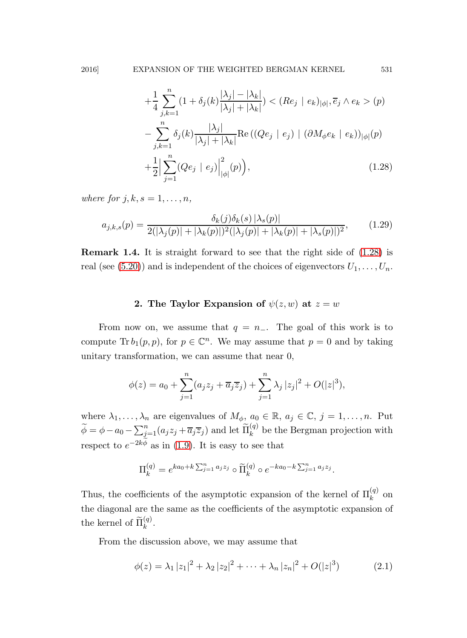$$
+\frac{1}{4}\sum_{j,k=1}^{n}(1+\delta_j(k)\frac{|\lambda_j|-|\lambda_k|}{|\lambda_j|+|\lambda_k|}) < (Re_j \mid e_k)_{|\phi|}, \overline{e}_j \wedge e_k > (p)
$$
\n
$$
-\sum_{j,k=1}^{n}\delta_j(k)\frac{|\lambda_j|}{|\lambda_j|+|\lambda_k|}\text{Re}\left((Qe_j \mid e_j) \mid (\partial M_{\phi}e_k \mid e_k)\right)_{|\phi|}(p)
$$
\n
$$
+\frac{1}{2}\Big|\sum_{j=1}^{n}(Qe_j \mid e_j)\Big|_{|\phi|}^2(p)\Big),\tag{1.28}
$$

where for  $j, k, s = 1, \ldots, n$ ,

$$
a_{j,k,s}(p) = \frac{\delta_k(j)\delta_k(s) |\lambda_s(p)|}{2(|\lambda_j(p)| + |\lambda_k(p)|)^2(|\lambda_j(p)| + |\lambda_k(p)| + |\lambda_s(p)|)^2},
$$
(1.29)

Remark 1.4. It is straight forward to see that the right side of [\(1.28\)](#page-9-1) is real (see [\(5.20\)](#page-46-0)) and is independent of the choices of eigenvectors  $U_1, \ldots, U_n$ .

### 2. The Taylor Expansion of  $\psi(z, w)$  at  $z = w$

From now on, we assume that  $q = n_-\$ . The goal of this work is to compute Tr  $b_1(p, p)$ , for  $p \in \mathbb{C}^n$ . We may assume that  $p = 0$  and by taking unitary transformation, we can assume that near 0,

$$
\phi(z) = a_0 + \sum_{j=1}^n (a_j z_j + \overline{a_j} \overline{z}_j) + \sum_{j=1}^n \lambda_j |z_j|^2 + O(|z|^3),
$$

where  $\lambda_1, \ldots, \lambda_n$  are eigenvalues of  $M_\phi$ ,  $a_0 \in \mathbb{R}$ ,  $a_j \in \mathbb{C}$ ,  $j = 1, \ldots, n$ . Put  $\widetilde{\phi} = \phi - a_0 - \sum_{j=1}^n (a_j z_j + \overline{a}_j \overline{z}_j)$  and let  $\widetilde{\Pi}_{k}^{(q)}$  be the Bergman projection with respect to  $e^{-2k\phi}$  as in [\(1.9\)](#page-5-0). It is easy to see that

$$
\Pi_k^{(q)} = e^{ka_0+k\sum_{j=1}^n a_jz_j} \circ \widetilde{\Pi}_k^{(q)} \circ e^{-ka_0-k\sum_{j=1}^n a_jz_j}.
$$

Thus, the coefficients of the asymptotic expansion of the kernel of  $\Pi_k^{(q)}$  on the diagonal are the same as the coefficients of the asymptotic expansion of the kernel of  $\widetilde{\Pi}_{k}^{(q)}$ .

From the discussion above, we may assume that

<span id="page-10-0"></span>
$$
\phi(z) = \lambda_1 |z_1|^2 + \lambda_2 |z_2|^2 + \dots + \lambda_n |z_n|^2 + O(|z|^3)
$$
 (2.1)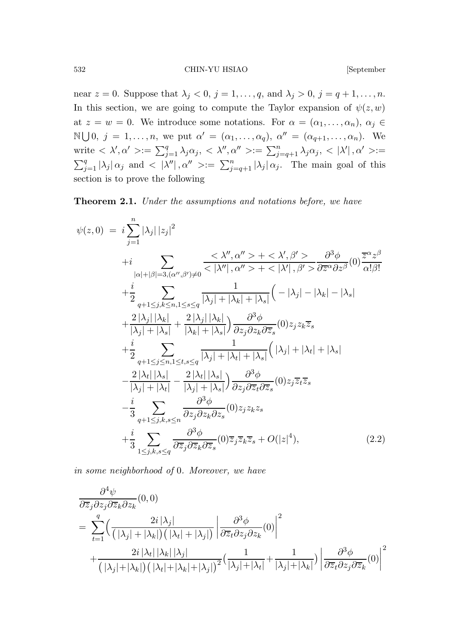532 CHIN-YU HSIAO [September

near  $z = 0$ . Suppose that  $\lambda_j < 0$ ,  $j = 1, \ldots, q$ , and  $\lambda_j > 0$ ,  $j = q + 1, \ldots, n$ . In this section, we are going to compute the Taylor expansion of  $\psi(z, w)$ at  $z = w = 0$ . We introduce some notations. For  $\alpha = (\alpha_1, \dots, \alpha_n)$ ,  $\alpha_j \in$  $\mathbb{N}\bigcup 0, j = 1,\ldots,n$ , we put  $\alpha' = (\alpha_1,\ldots,\alpha_q), \alpha'' = (\alpha_{q+1},\ldots,\alpha_n)$ . We write  $\langle \lambda', \alpha' \rangle := \sum_{j=1}^q \lambda_j \alpha_j, \langle \lambda'', \alpha'' \rangle := \sum_{j=q+1}^n \lambda_j \alpha_j, \langle \lambda', \alpha' \rangle :=$  $\sum_{j=1}^q |\lambda_j| \alpha_j$  and  $\langle |\lambda''|, \alpha'' \rangle := \sum_{j=q+1}^n |\lambda_j| \alpha_j$ . The main goal of this section is to prove the following

<span id="page-11-0"></span>Theorem 2.1. Under the assumptions and notations before, we have

<span id="page-11-1"></span>
$$
\psi(z,0) = i \sum_{j=1}^{n} |\lambda_j| |z_j|^2
$$
  
+
$$
i \sum_{|\alpha|+|\beta|=3, (\alpha'',\beta')\neq 0} \frac{\langle \lambda'', \alpha'' \rangle + \langle \lambda', \beta' \rangle}{\langle |\lambda''|, \alpha'' \rangle + \langle |\lambda'|, \beta' \rangle} \frac{\partial^3 \phi}{\partial \overline{z}^{\alpha} \partial z^{\beta}}(0) \frac{\overline{z}^{\alpha} z^{\beta}}{\alpha! \beta!}
$$
  
+
$$
\frac{i}{2} \sum_{q+1 \leq j,k \leq n, 1 \leq s \leq q} \frac{1}{|\lambda_j| + |\lambda_k| + |\lambda_s|} \left( -|\lambda_j| - |\lambda_k| - |\lambda_s| \right)
$$
  
+
$$
\frac{2|\lambda_j| |\lambda_k|}{|\lambda_j| + |\lambda_s|} + \frac{2|\lambda_j| |\lambda_k|}{|\lambda_k| + |\lambda_s|} \right) \frac{\partial^3 \phi}{\partial z_j \partial z_k \partial \overline{z}_s}(0) z_j z_k \overline{z}_s
$$
  
+
$$
\frac{i}{2} \sum_{q+1 \leq j \leq n, 1 \leq t, s \leq q} \frac{1}{|\lambda_j| + |\lambda_t| + |\lambda_s|} \left( |\lambda_j| + |\lambda_t| + |\lambda_s| \right)
$$
  
-
$$
\frac{2|\lambda_t| |\lambda_s|}{|\lambda_j| + |\lambda_t|} - \frac{2|\lambda_t| |\lambda_s|}{|\lambda_j| + |\lambda_s|} \right) \frac{\partial^3 \phi}{\partial z_j \partial \overline{z}_t \partial \overline{z}_s}(0) z_j \overline{z}_t \overline{z}_s
$$
  
-
$$
\frac{i}{3} \sum_{q+1 \leq j,k,s \leq q} \frac{\partial^3 \phi}{\partial z_j \partial z_k \partial z_s}(0) z_j z_k z_s
$$
  
+
$$
\frac{i}{3} \sum_{1 \leq j,k,s \leq q} \frac{\partial^3 \phi}{\partial \overline{z}_j \partial \overline{z}_k \partial \overline{z}_s}(0) \overline{z}_j \overline{z}_k \overline{z}_s + O(|z|^4), \qquad (2.2)
$$

in some neighborhood of 0. Moreover, we have

$$
\frac{\partial^4 \psi}{\partial \overline{z}_j \partial z_j \partial \overline{z}_k \partial z_k} (0,0)
$$
\n
$$
= \sum_{t=1}^q \left( \frac{2i |\lambda_j|}{(|\lambda_j| + |\lambda_k|) (|\lambda_t| + |\lambda_j|)} \left| \frac{\partial^3 \phi}{\partial \overline{z}_t \partial z_j \partial z_k} (0) \right|^2 + \frac{2i |\lambda_t| |\lambda_k| |\lambda_j|}{(|\lambda_j| + |\lambda_k|) (|\lambda_t| + |\lambda_k| + |\lambda_j|)^2} ( \frac{1}{|\lambda_j| + |\lambda_t|} + \frac{1}{|\lambda_j| + |\lambda_k|}) \left| \frac{\partial^3 \phi}{\partial \overline{z}_t \partial z_j \partial \overline{z}_k} (0) \right|^2
$$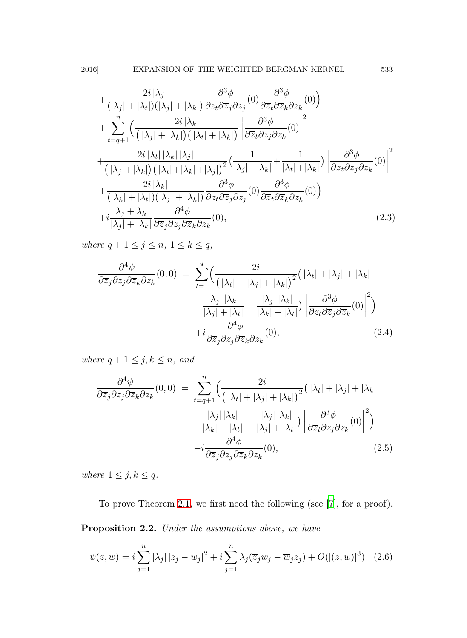$$
+\frac{2i|\lambda_j|}{(|\lambda_j|+|\lambda_t|)(|\lambda_j|+|\lambda_k|)}\frac{\partial^3 \phi}{\partial z_t \partial \overline{z}_j \partial z_j}(0)\frac{\partial^3 \phi}{\partial \overline{z}_t \partial \overline{z}_k \partial z_k}(0)\right) + \sum_{t=q+1}^n \left(\frac{2i|\lambda_k|}{(|\lambda_j|+|\lambda_k|)(|\lambda_t|+|\lambda_k|)} \left|\frac{\partial^3 \phi}{\partial \overline{z}_t \partial z_j \partial z_k}(0)\right|^2 + \frac{2i|\lambda_t| |\lambda_k| |\lambda_j|}{(|\lambda_j|+|\lambda_k|)(|\lambda_t|+|\lambda_k|+|\lambda_j|)^2} \left(\frac{1}{|\lambda_j|+|\lambda_k|}+\frac{1}{|\lambda_t|+|\lambda_k|}\right) \left|\frac{\partial^3 \phi}{\partial \overline{z}_t \partial \overline{z}_j \partial z_k}(0)\right|^2 + \frac{2i|\lambda_k|}{(|\lambda_k|+|\lambda_t|)(|\lambda_j|+|\lambda_k|)}\frac{\partial^3 \phi}{\partial z_t \partial \overline{z}_j \partial z_j}(0)\frac{\partial^3 \phi}{\partial \overline{z}_t \partial \overline{z}_k \partial z_k}(0)\right) + i\frac{\lambda_j + \lambda_k}{|\lambda_j|+|\lambda_k|}\frac{\partial^4 \phi}{\partial \overline{z}_j \partial z_j \partial \overline{z}_k \partial z_k}(0), \qquad (2.3)
$$

where  $q + 1 \leq j \leq n, 1 \leq k \leq q$ ,

$$
\frac{\partial^4 \psi}{\partial \overline{z}_j \partial z_j \partial \overline{z}_k \partial z_k}(0,0) = \sum_{t=1}^q \Biggl( \frac{2i}{\left( |\lambda_t| + |\lambda_j| + |\lambda_k| \right)^2} \Bigl( |\lambda_t| + |\lambda_j| + |\lambda_k| \Biggr) \n- \frac{|\lambda_j| |\lambda_k|}{|\lambda_j| + |\lambda_t|} - \frac{|\lambda_j| |\lambda_k|}{|\lambda_k| + |\lambda_t|} \Bigl) \left| \frac{\partial^3 \phi}{\partial z_i \partial \overline{z}_j \partial \overline{z}_k}(0) \right|^2 \Biggr) \n+ i \frac{\partial^4 \phi}{\partial \overline{z}_j \partial z_j \partial \overline{z}_k \partial z_k}(0),
$$
\n(2.4)

where  $q + 1 \leq j, k \leq n$ , and

$$
\frac{\partial^4 \psi}{\partial \overline{z}_j \partial z_j \partial \overline{z}_k \partial z_k}(0,0) = \sum_{t=q+1}^n \left( \frac{2i}{\left(\left|\lambda_t\right| + \left|\lambda_j\right| + \left|\lambda_k\right|\right)^2} \left(\left|\lambda_t\right| + \left|\lambda_j\right| + \left|\lambda_k\right|\right) \right. \\ \left. - \frac{\left|\lambda_j\right| \left|\lambda_k\right|}{\left|\lambda_k\right| + \left|\lambda_t\right|} - \frac{\left|\lambda_j\right| \left|\lambda_k\right|}{\left|\lambda_j\right| + \left|\lambda_t\right|} \right) \left| \frac{\partial^3 \phi}{\partial \overline{z}_t \partial z_j \partial z_k}(0) \right|^2 \right) \\ \left. - i \frac{\partial^4 \phi}{\partial \overline{z}_j \partial z_j \partial \overline{z}_k \partial z_k}(0),\n\tag{2.5}
$$

where  $1 \leq j, k \leq q$ .

<span id="page-12-0"></span>To prove Theorem [2.1,](#page-11-0) we first need the following (see [\[7](#page-49-11)], for a proof).

Proposition 2.2. Under the assumptions above, we have

$$
\psi(z, w) = i \sum_{j=1}^{n} |\lambda_j| |z_j - w_j|^2 + i \sum_{j=1}^{n} \lambda_j (\overline{z}_j w_j - \overline{w}_j z_j) + O(|(z, w)|^3)
$$
 (2.6)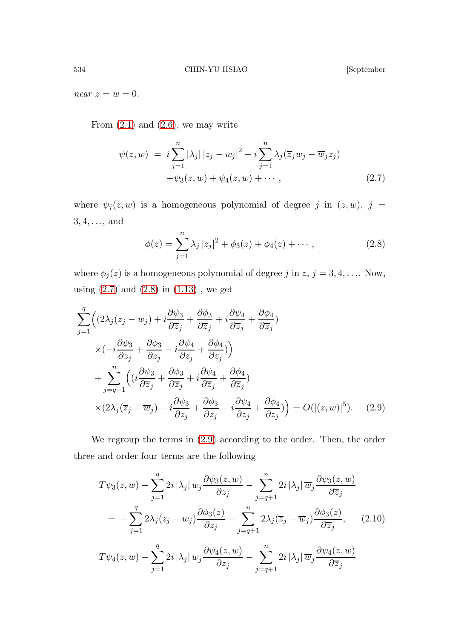near  $z = w = 0$ .

From  $(2.1)$  and  $(2.6)$ , we may write

<span id="page-13-0"></span>
$$
\psi(z, w) = i \sum_{j=1}^{n} |\lambda_j| |z_j - w_j|^2 + i \sum_{j=1}^{n} \lambda_j (\overline{z}_j w_j - \overline{w}_j z_j) + \psi_3(z, w) + \psi_4(z, w) + \cdots,
$$
\n(2.7)

where  $\psi_j(z, w)$  is a homogeneous polynomial of degree j in  $(z, w)$ , j =  $3, 4, \ldots,$  and

<span id="page-13-1"></span>
$$
\phi(z) = \sum_{j=1}^{n} \lambda_j |z_j|^2 + \phi_3(z) + \phi_4(z) + \cdots, \qquad (2.8)
$$

where  $\phi_j(z)$  is a homogeneous polynomial of degree j in  $z, j = 3, 4, \ldots$ . Now, using  $(2.7)$  and  $(2.8)$  in  $(1.13)$ , we get

<span id="page-13-2"></span>
$$
\sum_{j=1}^{q} \left( \left( 2\lambda_j (z_j - w_j) + i \frac{\partial \psi_3}{\partial \overline{z}_j} + \frac{\partial \phi_3}{\partial \overline{z}_j} + i \frac{\partial \psi_4}{\partial \overline{z}_j} + \frac{\partial \phi_4}{\partial \overline{z}_j} \right) \times \left( -i \frac{\partial \psi_3}{\partial z_j} + \frac{\partial \phi_3}{\partial z_j} - i \frac{\partial \psi_4}{\partial z_j} + \frac{\partial \phi_4}{\partial z_j} \right) \right) + \sum_{j=q+1}^{n} \left( \left( i \frac{\partial \psi_3}{\partial \overline{z}_j} + \frac{\partial \phi_3}{\partial \overline{z}_j} + i \frac{\partial \psi_4}{\partial \overline{z}_j} + \frac{\partial \phi_4}{\partial \overline{z}_j} \right) \times \left( 2\lambda_j (\overline{z}_j - \overline{w}_j) - i \frac{\partial \psi_3}{\partial z_j} + \frac{\partial \phi_3}{\partial z_j} - i \frac{\partial \psi_4}{\partial z_j} + \frac{\partial \phi_4}{\partial z_j} \right) = O(|(z, w)|^5). \quad (2.9)
$$

We regroup the terms in [\(2.9\)](#page-13-2) according to the order. Then, the order three and order four terms are the following

<span id="page-13-3"></span>
$$
T\psi_3(z, w) - \sum_{j=1}^q 2i |\lambda_j| w_j \frac{\partial \psi_3(z, w)}{\partial z_j} - \sum_{j=q+1}^n 2i |\lambda_j| \overline{w}_j \frac{\partial \psi_3(z, w)}{\partial \overline{z}_j}
$$
  

$$
= -\sum_{j=1}^q 2\lambda_j (z_j - w_j) \frac{\partial \phi_3(z)}{\partial z_j} - \sum_{j=q+1}^n 2\lambda_j (\overline{z}_j - \overline{w}_j) \frac{\partial \phi_3(z)}{\partial \overline{z}_j}, \qquad (2.10)
$$
  

$$
T\psi_4(z, w) - \sum_{j=1}^q 2i |\lambda_j| w_j \frac{\partial \psi_4(z, w)}{\partial z_j} - \sum_{j=q+1}^n 2i |\lambda_j| \overline{w}_j \frac{\partial \psi_4(z, w)}{\partial \overline{z}_j}
$$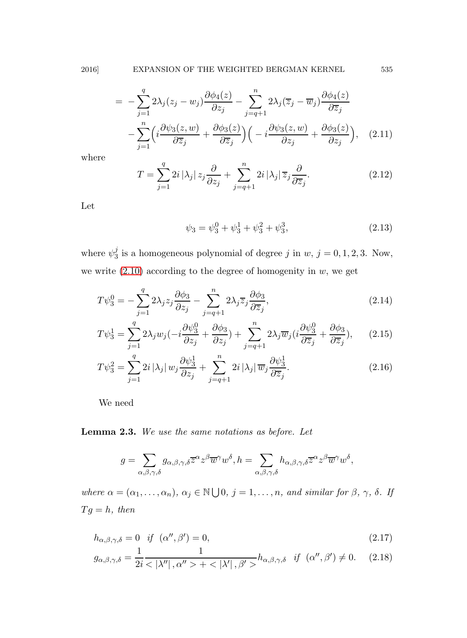$$
= -\sum_{j=1}^{q} 2\lambda_j (z_j - w_j) \frac{\partial \phi_4(z)}{\partial z_j} - \sum_{j=q+1}^{n} 2\lambda_j (\overline{z}_j - \overline{w}_j) \frac{\partial \phi_4(z)}{\partial \overline{z}_j} - \sum_{j=1}^{n} \left( i \frac{\partial \psi_3(z, w)}{\partial \overline{z}_j} + \frac{\partial \phi_3(z)}{\partial \overline{z}_j} \right) \left( -i \frac{\partial \psi_3(z, w)}{\partial z_j} + \frac{\partial \phi_3(z)}{\partial z_j} \right), \quad (2.11)
$$

where

$$
T = \sum_{j=1}^{q} 2i |\lambda_j| z_j \frac{\partial}{\partial z_j} + \sum_{j=q+1}^{n} 2i |\lambda_j| \overline{z}_j \frac{\partial}{\partial \overline{z}_j}.
$$
 (2.12)

Let

<span id="page-14-3"></span><span id="page-14-2"></span><span id="page-14-1"></span>
$$
\psi_3 = \psi_3^0 + \psi_3^1 + \psi_3^2 + \psi_3^3,\tag{2.13}
$$

where  $\psi_3^j$  $j<sub>3</sub>$  is a homogeneous polynomial of degree j in  $w, j = 0, 1, 2, 3$ . Now, we write  $(2.10)$  according to the degree of homogenity in  $w$ , we get

$$
T\psi_3^0 = -\sum_{j=1}^q 2\lambda_j z_j \frac{\partial \phi_3}{\partial z_j} - \sum_{j=q+1}^n 2\lambda_j \overline{z}_j \frac{\partial \phi_3}{\partial \overline{z}_j},\tag{2.14}
$$

$$
T\psi_3^1 = \sum_{j=1}^q 2\lambda_j w_j \left(-i\frac{\partial \psi_3^0}{\partial z_j} + \frac{\partial \phi_3}{\partial z_j}\right) + \sum_{j=q+1}^n 2\lambda_j \overline{w}_j \left(i\frac{\partial \psi_3^0}{\partial \overline{z}_j} + \frac{\partial \phi_3}{\partial \overline{z}_j}\right),\tag{2.15}
$$

$$
T\psi_3^2 = \sum_{j=1}^q 2i |\lambda_j| w_j \frac{\partial \psi_3^1}{\partial z_j} + \sum_{j=q+1}^n 2i |\lambda_j| \overline{w}_j \frac{\partial \psi_3^1}{\partial \overline{z}_j}.
$$
 (2.16)

<span id="page-14-0"></span>We need

### Lemma 2.3. We use the same notations as before. Let

$$
g=\sum_{\alpha,\beta,\gamma,\delta}g_{\alpha,\beta,\gamma,\delta}\overline{z}^{\alpha}z^{\beta}\overline{w}^{\gamma}w^{\delta}, h=\sum_{\alpha,\beta,\gamma,\delta}h_{\alpha,\beta,\gamma,\delta}\overline{z}^{\alpha}z^{\beta}\overline{w}^{\gamma}w^{\delta},
$$

where  $\alpha = (\alpha_1, \ldots, \alpha_n)$ ,  $\alpha_j \in \mathbb{N} \cup \{0, j = 1, \ldots, n$ , and similar for  $\beta$ ,  $\gamma$ ,  $\delta$ . If  $Tg = h$ , then

$$
h_{\alpha,\beta,\gamma,\delta} = 0 \quad \text{if} \quad (\alpha'',\beta') = 0,\tag{2.17}
$$

$$
g_{\alpha,\beta,\gamma,\delta} = \frac{1}{2i} \frac{1}{\langle |\lambda''|, \alpha'' \rangle + \langle |\lambda'|, \beta' \rangle} h_{\alpha,\beta,\gamma,\delta} \quad \text{if} \quad (\alpha'',\beta') \neq 0. \tag{2.18}
$$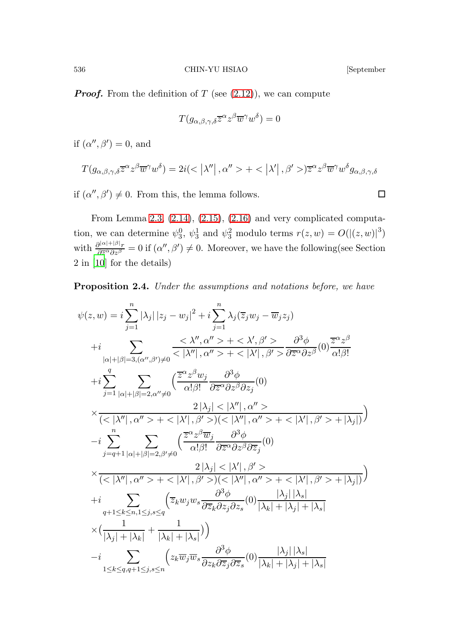**Proof.** From the definition of T (see  $(2.12)$ ), we can compute

$$
T(g_{\alpha,\beta,\gamma,\delta}\overline{z}^{\alpha}z^{\beta}\overline{w}^{\gamma}w^{\delta})=0
$$

if  $(\alpha'', \beta') = 0$ , and

$$
T(g_{\alpha,\beta,\gamma,\delta}\overline{z}^{\alpha}z^{\beta}\overline{w}^{\gamma}w^{\delta}) = 2i(<|\lambda''|, \alpha''> + <|\lambda'|, \beta'>)\overline{z}^{\alpha}z^{\beta}\overline{w}^{\gamma}w^{\delta}g_{\alpha,\beta,\gamma,\delta}
$$

if  $(\alpha'', \beta') \neq 0$ . From this, the lemma follows.

From Lemma [2.3,](#page-14-0) [\(2.14\)](#page-14-1), [\(2.15\)](#page-14-2), [\(2.16\)](#page-14-3) and very complicated computation, we can determine  $\psi_3^0$ ,  $\psi_3^1$  and  $\psi_3^2$  modulo terms  $r(z, w) = O(|(z, w)|^3)$ with  $\frac{\partial^{|\alpha|+|\beta|}r}{\partial \overline{z}^{\alpha}\partial z^{\beta}}$  $\frac{\partial |\alpha|+|\beta|_r}{\partial \overline{z}^{\alpha}\partial z^{\beta}}=0$  if  $(\alpha'',\beta')\neq 0$ . Moreover, we have the following (see Section 2 in [\[10\]](#page-49-12) for the details)

Proposition 2.4. Under the assumptions and notations before, we have

<span id="page-15-0"></span>
$$
\psi(z, w) = i \sum_{j=1}^{n} |\lambda_j| |z_j - w_j|^2 + i \sum_{j=1}^{n} \lambda_j(\overline{z}_j w_j - \overline{w}_j z_j)
$$
  
+
$$
+ i \sum_{|\alpha|+|\beta|=3, (\alpha'', \beta') \neq 0} \frac{\langle \lambda'', \alpha'' > + \langle \lambda', \beta' > -\partial^3 \phi \rangle}{\langle |\lambda''|, \alpha'' > + \langle |\lambda'|, \beta' > \partial \overline{z}^{\alpha} \partial z^{\beta}} (0) \frac{\overline{z}^{\alpha} z^{\beta}}{\alpha! \beta!}
$$
  
+
$$
+ i \sum_{|\alpha|+|\beta|=3, (\alpha'', \beta') \neq 0} \frac{\langle \overline{z}^{\alpha} z^{\beta} w_j - \partial^3 \phi \rangle}{\langle |\lambda'|, \alpha'' > + \langle |\lambda'|, \beta' > \partial z^{\alpha} \partial z^{\beta} \partial z_j} (0)
$$
  
+
$$
\frac{2|\lambda_j| < |\lambda''|, \alpha'' >}{\langle |\lambda''|, \alpha'' > + \langle |\lambda'|, \beta' >)(\langle |\lambda''|, \alpha'' > + \langle |\lambda'|, \beta' > + |\lambda_j|) \rangle}
$$
  
-
$$
- i \sum_{j=q+1}^{n} \sum_{|\alpha|+|\beta|=2, \beta' \neq 0} \left( \frac{\overline{z}^{\alpha} z^{\beta} \overline{w}_j - \partial^3 \phi}{\alpha! \beta! \partial \overline{z}^{\alpha} \partial z^{\beta} \partial \overline{z}_j} (0)
$$
  
+
$$
\frac{2|\lambda_j| < |\lambda'|, \beta' >}{\langle |\lambda''|, \alpha'' > + \langle |\lambda'|, \beta' >)(\langle |\lambda''|, \alpha'' > + \langle |\lambda'|, \beta' > + |\lambda_j|) \rangle}
$$
  
+
$$
+ i \sum_{q+1 \leq k \leq n, 1 \leq j, s \leq q} \left( \overline{z}_k w_j w_s \frac{\partial^3 \phi}{\partial \overline{z}_k \partial z_j \partial z_s} (0) \frac{|\lambda_j| |\lambda_s|}{|\lambda_k| + |\lambda_j| + |\lambda_s|}
$$
  
+
$$
(\frac{1}{|\lambda_j| + |\lambda_k|} + \frac{1}{|\lambda_k| + |\lambda_s|})
$$
)  
-
$$
- i \sum_{1
$$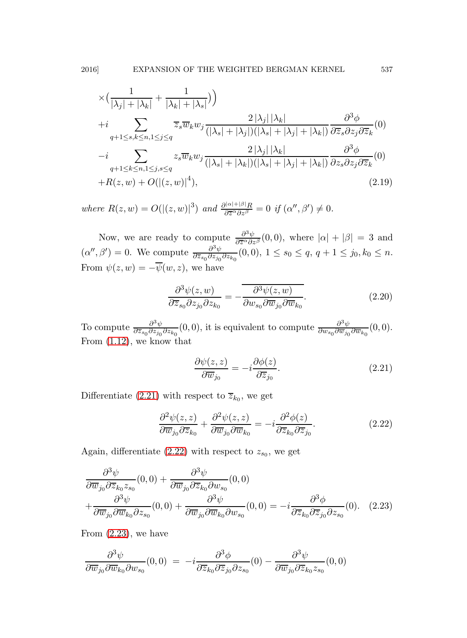$$
\times \left( \frac{1}{|\lambda_j| + |\lambda_k|} + \frac{1}{|\lambda_k| + |\lambda_s|} \right) \right)
$$
  
+*i* 
$$
\sum_{q+1 \le s,k \le n, 1 \le j \le q} \overline{z}_s \overline{w}_k w_j \frac{2|\lambda_j| |\lambda_k|}{(|\lambda_s| + |\lambda_j|)(|\lambda_s| + |\lambda_j| + |\lambda_k|)} \frac{\partial^3 \phi}{\partial \overline{z}_s \partial z_j \partial \overline{z}_k}(0)
$$
  
-*i* 
$$
\sum_{q+1 \le k \le n, 1 \le j, s \le q} z_s \overline{w}_k w_j \frac{2|\lambda_j| |\lambda_k|}{(|\lambda_s| + |\lambda_k|)(|\lambda_s| + |\lambda_j| + |\lambda_k|)} \frac{\partial^3 \phi}{\partial z_s \partial z_j \partial \overline{z}_k}(0)
$$
  
+*R(z, w) + O(|(z, w)|^4),* (2.19)

where  $R(z, w) = O(|(z, w)|^3)$  and  $\frac{\partial^{|\alpha|+|\beta|}R}{\partial \overline{z}^{\alpha} \partial z^{\beta}}$  $\frac{\partial^{|\alpha|+|\beta|}R}{\partial \overline{z}^{\alpha}\partial z^{\beta}}=0 \text{ if } (\alpha'',\beta')\neq 0.$ 

Now, we are ready to compute  $\frac{\partial^3 \psi}{\partial \overline{z}^{\alpha} \partial z}$  $\frac{\partial^2 \psi}{\partial \overline{z}^{\alpha} \partial z^{\beta}}(0,0)$ , where  $|\alpha| + |\beta| = 3$  and  $(\alpha'', \beta') = 0$ . We compute  $\frac{\partial^3 \psi}{\partial \overline{z}_{\alpha} \partial \overline{z}_{\dot{\alpha}}}$  $\frac{\partial^2 \psi}{\partial \overline{z}_{s_0} \partial z_{j_0} \partial z_{k_0}}(0,0), 1 \leq s_0 \leq q, q+1 \leq j_0, k_0 \leq n.$ From  $\psi(z, w) = -\overline{\psi}(w, z)$ , we have

<span id="page-16-4"></span>
$$
\frac{\partial^3 \psi(z, w)}{\partial \overline{z}_{s_0} \partial z_{j_0} \partial z_{k_0}} = -\overline{\frac{\partial^3 \psi(z, w)}{\partial w_{s_0} \partial \overline{w}_{j_0} \partial \overline{w}_{k_0}}}.
$$
\n(2.20)

To compute  $\frac{\partial^3 \psi}{\partial \overline{z}_{\alpha} \cdot \partial z_{\beta}}$  $\frac{\partial^3 \psi}{\partial \overline{z}_{s_0} \partial z_{j_0} \partial z_{k_0}}(0,0)$ , it is equivalent to compute  $\frac{\partial^3 \psi}{\partial w_{s_0} \partial \overline{w}_{j_0}}$  $\frac{\partial^{\omega} \psi}{\partial w_{s_0} \partial \overline{w}_{j_0} \partial \overline{w}_{k_0}}(0,0).$ From [\(1.12\)](#page-6-2), we know that

<span id="page-16-1"></span><span id="page-16-0"></span>
$$
\frac{\partial \psi(z, z)}{\partial \overline{w}_{j_0}} = -i \frac{\partial \phi(z)}{\partial \overline{z}_{j_0}}.
$$
\n(2.21)

Differentiate [\(2.21\)](#page-16-0) with respect to  $\overline{z}_{k_0}$ , we get

$$
\frac{\partial^2 \psi(z, z)}{\partial \overline{w}_{j_0} \partial \overline{z}_{k_0}} + \frac{\partial^2 \psi(z, z)}{\partial \overline{w}_{j_0} \partial \overline{w}_{k_0}} = -i \frac{\partial^2 \phi(z)}{\partial \overline{z}_{k_0} \partial \overline{z}_{j_0}}.
$$
(2.22)

Again, differentiate  $(2.22)$  with respect to  $z_{s_0}$ , we get

<span id="page-16-2"></span>
$$
\frac{\partial^3 \psi}{\partial \overline{w}_{j_0} \partial \overline{z}_{k_0} z_{s_0}}(0,0) + \frac{\partial^3 \psi}{\partial \overline{w}_{j_0} \partial \overline{z}_{k_0} \partial w_{s_0}}(0,0)
$$
\n
$$
+ \frac{\partial^3 \psi}{\partial \overline{w}_{j_0} \partial \overline{w}_{k_0} \partial z_{s_0}}(0,0) + \frac{\partial^3 \psi}{\partial \overline{w}_{j_0} \partial \overline{w}_{k_0} \partial w_{s_0}}(0,0) = -i \frac{\partial^3 \phi}{\partial \overline{z}_{k_0} \partial \overline{z}_{j_0} \partial z_{s_0}}(0). \quad (2.23)
$$

From [\(2.23\)](#page-16-2), we have

<span id="page-16-3"></span>
$$
\frac{\partial^3 \psi}{\partial \overline{w}_{j_0} \partial \overline{w}_{k_0} \partial w_{s_0}}(0,0) = -i \frac{\partial^3 \phi}{\partial \overline{z}_{k_0} \partial \overline{z}_{j_0} \partial z_{s_0}}(0) - \frac{\partial^3 \psi}{\partial \overline{w}_{j_0} \partial \overline{z}_{k_0} z_{s_0}}(0,0)
$$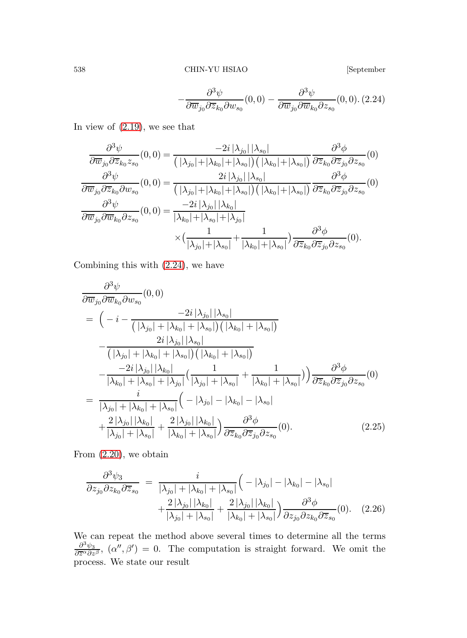$$
-\frac{\partial^3 \psi}{\partial \overline{w}_{j_0} \partial \overline{z}_{k_0} \partial w_{s_0}}(0,0) - \frac{\partial^3 \psi}{\partial \overline{w}_{j_0} \partial \overline{w}_{k_0} \partial z_{s_0}}(0,0). (2.24)
$$

In view of [\(2.19\)](#page-15-0), we see that

$$
\frac{\partial^3 \psi}{\partial \overline{w}_{j_0} \partial \overline{z}_{k_0} z_{s_0}}(0,0) = \frac{-2i |\lambda_{j_0}| |\lambda_{s_0}|}{\left(|\lambda_{j_0}| + |\lambda_{k_0}| + |\lambda_{s_0}|\right) \left(|\lambda_{k_0}| + |\lambda_{s_0}|\right)} \frac{\partial^3 \phi}{\partial \overline{z}_{k_0} \partial \overline{z}_{j_0} \partial z_{s_0}}(0)
$$
\n
$$
\frac{\partial^3 \psi}{\partial \overline{w}_{j_0} \partial \overline{z}_{k_0} \partial w_{s_0}}(0,0) = \frac{2i |\lambda_{j_0}| |\lambda_{s_0}|}{\left(|\lambda_{j_0}| + |\lambda_{k_0}| + |\lambda_{s_0}|\right) \left(|\lambda_{k_0}| + |\lambda_{s_0}|\right)} \frac{\partial^3 \phi}{\partial \overline{z}_{k_0} \partial \overline{z}_{j_0} \partial z_{s_0}}(0)
$$
\n
$$
\frac{\partial^3 \psi}{\partial \overline{w}_{j_0} \partial \overline{w}_{k_0} \partial z_{s_0}}(0,0) = \frac{-2i |\lambda_{j_0}| |\lambda_{k_0}|}{|\lambda_{k_0}| + |\lambda_{s_0}| + |\lambda_{j_0}|} \times \left(\frac{1}{|\lambda_{j_0}| + |\lambda_{s_0}| + |\lambda_{s_0}| + |\lambda_{s_0}|}\right) \frac{\partial^3 \phi}{\partial \overline{z}_{k_0} \partial \overline{z}_{j_0} \partial z_{s_0}}(0).
$$

Combining this with [\(2.24\)](#page-16-3), we have

$$
\frac{\partial^3 \psi}{\partial \overline{w}_{j_0} \partial \overline{w}_{k_0} \partial w_{s_0}}(0,0)
$$
\n
$$
= \left(-i - \frac{-2i|\lambda_{j_0}||\lambda_{s_0}|}{(|\lambda_{j_0}| + |\lambda_{k_0}| + |\lambda_{s_0}|)(|\lambda_{k_0}| + |\lambda_{s_0}|)}\right)
$$
\n
$$
-\frac{2i|\lambda_{j_0}||\lambda_{s_0}|}{(|\lambda_{j_0}| + |\lambda_{k_0}| + |\lambda_{s_0}|)(|\lambda_{k_0}| + |\lambda_{s_0}|)}
$$
\n
$$
-\frac{-2i|\lambda_{j_0}||\lambda_{k_0}|}{|\lambda_{k_0}| + |\lambda_{s_0}| + |\lambda_{j_0}|} \left(\frac{1}{|\lambda_{j_0}| + |\lambda_{s_0}|} + \frac{1}{|\lambda_{k_0}| + |\lambda_{s_0}|}\right) \frac{\partial^3 \phi}{\partial \overline{z}_{k_0} \partial \overline{z}_{j_0} \partial z_{s_0}}(0)
$$
\n
$$
= \frac{i}{|\lambda_{j_0}| + |\lambda_{k_0}| + |\lambda_{s_0}|} \left(-|\lambda_{j_0}| - |\lambda_{k_0}| - |\lambda_{s_0}| + \frac{2|\lambda_{j_0}||\lambda_{k_0}|}{|\lambda_{j_0}| + |\lambda_{s_0}|} + \frac{2|\lambda_{j_0}||\lambda_{k_0}|}{|\lambda_{k_0}| + |\lambda_{s_0}|}\right) \frac{\partial^3 \phi}{\partial \overline{z}_{k_0} \partial \overline{z}_{j_0} \partial z_{s_0}}(0).
$$
\n(2.25)

From [\(2.20\)](#page-16-4), we obtain

$$
\frac{\partial^3 \psi_3}{\partial z_{j_0} \partial z_{k_0} \partial \overline{z}_{s_0}} = \frac{i}{|\lambda_{j_0}| + |\lambda_{k_0}| + |\lambda_{s_0}|} \left( -|\lambda_{j_0}| - |\lambda_{k_0}| - |\lambda_{s_0}| \right. \\
\left. + \frac{2|\lambda_{j_0}| |\lambda_{k_0}|}{|\lambda_{j_0}| + |\lambda_{s_0}|} + \frac{2|\lambda_{j_0}| |\lambda_{k_0}|}{|\lambda_{k_0}| + |\lambda_{s_0}|} \right) \frac{\partial^3 \phi}{\partial z_{j_0} \partial z_{k_0} \partial \overline{z}_{s_0}}(0). \quad (2.26)
$$

We can repeat the method above several times to determine all the terms  $\partial^3\psi_3$  $\frac{\partial^3 \psi_3}{\partial \overline{z}^{\alpha} \partial z^{\beta}}, (\alpha'', \beta') = 0$ . The computation is straight forward. We omit the process. We state our result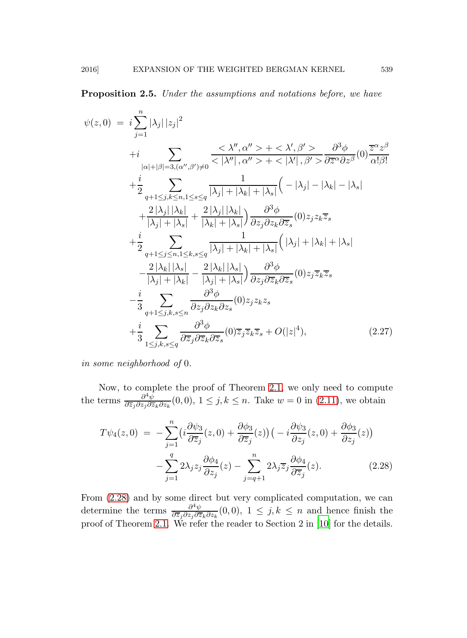**Proposition 2.5.** Under the assumptions and notations before, we have

$$
\psi(z,0) = i \sum_{j=1}^{n} |\lambda_j| |z_j|^2
$$
  
+
$$
i \sum_{|\alpha|+|\beta|=3, (\alpha'',\beta')\neq 0} \frac{\langle \lambda'', \alpha'' \rangle + \langle \lambda', \beta' \rangle}{\langle |\lambda''|, \alpha'' \rangle + \langle |\lambda'|, \beta' \rangle} \frac{\partial^3 \phi}{\partial \overline{z}^{\alpha} \partial z^{\beta}}(0) \frac{\overline{z}^{\alpha} z^{\beta}}{\alpha! \beta!}
$$
  
+
$$
i \sum_{|\alpha|+|\beta|=3, (\alpha'',\beta')\neq 0} \frac{\langle \lambda'', \alpha'' \rangle + \langle |\lambda'|, \beta' \rangle} {\langle |\lambda''|, \beta' \rangle} \frac{\partial^3 \phi}{\partial \overline{z}^{\alpha} \partial z^{\beta}}(0) \frac{\overline{z}^{\alpha} z^{\beta}}{\alpha! \beta!}
$$
  
+
$$
i \sum_{|\lambda_j|+|\lambda_k|} \frac{1}{|\lambda_j|+|\lambda_k|} \frac{2 |\lambda_j| |\lambda_k|}{|\lambda_k|+|\lambda_s|} \frac{\partial^3 \phi}{\partial z_j \partial z_k \partial \overline{z}_s}(0) z_j z_k \overline{z}_s
$$
  
+
$$
i \sum_{q+1 \leq j \leq n, 1 \leq k, s \leq q} \frac{1}{|\lambda_j| + |\lambda_k| + |\lambda_s|} (|\lambda_j| + |\lambda_k| + |\lambda_s| - \frac{2 |\lambda_k| |\lambda_s|}{|\lambda_j| + |\lambda_k|} \frac{\partial^3 \phi}{\partial z_j \partial \overline{z}_k \partial \overline{z}_s}(0) z_j \overline{z}_k \overline{z}_s
$$
  
-
$$
i \sum_{q+1 \leq j,k, s \leq n} \frac{\partial^3 \phi}{\partial z_j \partial z_k \partial z_s}(0) z_j z_k z_s
$$
  
+
$$
i \sum_{1 \leq j,k, s \leq q} \frac{\partial^3 \phi}{\partial \overline{z}_j \partial \overline{z}_k \partial \overline{z}_s}(0) \overline{z}_j \overline{z}_k \overline{z}_s + O(|z|^4), \qquad (2.27)
$$

in some neighborhood of 0.

Now, to complete the proof of Theorem [2.1,](#page-11-0) we only need to compute the terms  $\frac{\partial^4 \psi}{\partial \overline{z}_i \partial z_i \partial \overline{z}_j}$  $\frac{\partial^2 \psi}{\partial \overline{z}_j \partial z_j \partial \overline{z}_k \partial z_k}(0,0), 1 \leq j, k \leq n$ . Take  $w = 0$  in  $(2.11)$ , we obtain

<span id="page-18-0"></span>
$$
T\psi_4(z,0) = -\sum_{j=1}^n \left(i\frac{\partial\psi_3}{\partial\overline{z}_j}(z,0) + \frac{\partial\phi_3}{\partial\overline{z}_j}(z)\right)\left(-i\frac{\partial\psi_3}{\partial z_j}(z,0) + \frac{\partial\phi_3}{\partial z_j}(z)\right) - \sum_{j=1}^q 2\lambda_j z_j \frac{\partial\phi_4}{\partial z_j}(z) - \sum_{j=q+1}^n 2\lambda_j \overline{z}_j \frac{\partial\phi_4}{\partial\overline{z}_j}(z).
$$
 (2.28)

From [\(2.28\)](#page-18-0) and by some direct but very complicated computation, we can determine the terms  $\frac{\partial^4 \psi}{\partial \overline{z} \cdot \partial z \cdot \partial \overline{z}}$  $\frac{\partial^2 \psi}{\partial \overline{z}_j \partial z_j \partial \overline{z}_k \partial z_k}(0,0), 1 \leq j, k \leq n$  and hence finish the proof of Theorem [2.1.](#page-11-0) We refer the reader to Section 2 in [\[10](#page-49-12)] for the details.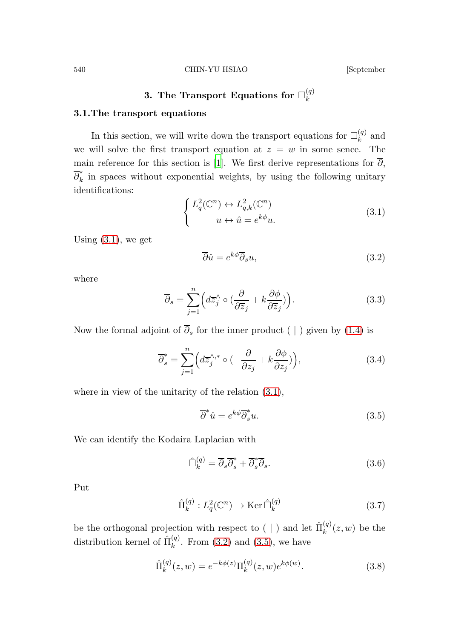### 540 CHIN-YU HSIAO [September

#### 3. The Transport Equations for  $\square_k^{(q)}$ k

### 3.1.The transport equations

In this section, we will write down the transport equations for  $\Box_k^{(q)}$  $k^{(4)}$  and we will solve the first transport equation at  $z = w$  in some sence. The main reference for this section is [\[1](#page-48-1)]. We first derive representations for  $\overline{\partial}$ ,  $\overline{\partial}_k^*$  $\vec{k}$  in spaces without exponential weights, by using the following unitary identifications:

<span id="page-19-1"></span><span id="page-19-0"></span>
$$
\begin{cases} L_q^2(\mathbb{C}^n) \leftrightarrow L_{q,k}^2(\mathbb{C}^n) \\ u \leftrightarrow \hat{u} = e^{k\phi}u. \end{cases} \tag{3.1}
$$

Using  $(3.1)$ , we get

<span id="page-19-4"></span>
$$
\overline{\partial}\hat{u} = e^{k\phi}\overline{\partial}_s u,\tag{3.2}
$$

<span id="page-19-3"></span>where

$$
\overline{\partial}_s = \sum_{j=1}^n \left( d\overline{z}_j^\wedge \circ \left( \frac{\partial}{\partial \overline{z}_j} + k \frac{\partial \phi}{\partial \overline{z}_j} \right) \right). \tag{3.3}
$$

Now the formal adjoint of  $\overline{\partial}_s$  for the inner product ( | ) given by [\(1.4\)](#page-4-0) is

$$
\overline{\partial}_{s}^{*} = \sum_{j=1}^{n} \left( d\overline{z}_{j}^{\wedge,*} \circ \left( -\frac{\partial}{\partial z_{j}} + k \frac{\partial \phi}{\partial z_{j}} \right) \right), \tag{3.4}
$$

where in view of the unitarity of the relation [\(3.1\)](#page-19-0),

<span id="page-19-2"></span>
$$
\overline{\partial}^* \hat{u} = e^{k\phi} \overline{\partial}_s^* u. \tag{3.5}
$$

We can identify the Kodaira Laplacian with

$$
\hat{\Box}_{k}^{(q)} = \overline{\partial}_{s} \overline{\partial}_{s}^{*} + \overline{\partial}_{s}^{*} \overline{\partial}_{s}.
$$
\n(3.6)

<span id="page-19-5"></span>Put

$$
\hat{\Pi}_k^{(q)}: L_q^2(\mathbb{C}^n) \to \text{Ker}\,\hat{\Box}_k^{(q)}\tag{3.7}
$$

be the orthogonal projection with respect to ( | ) and let  $\hat{\Pi}_{k}^{(q)}$  $\binom{q}{k}(z,w)$  be the distribution kernel of  $\hat{\Pi}_k^{(q)}$  $k^{(q)}$ . From [\(3.2\)](#page-19-1) and [\(3.5\)](#page-19-2), we have

$$
\hat{\Pi}_k^{(q)}(z,w) = e^{-k\phi(z)} \Pi_k^{(q)}(z,w) e^{k\phi(w)}.
$$
\n(3.8)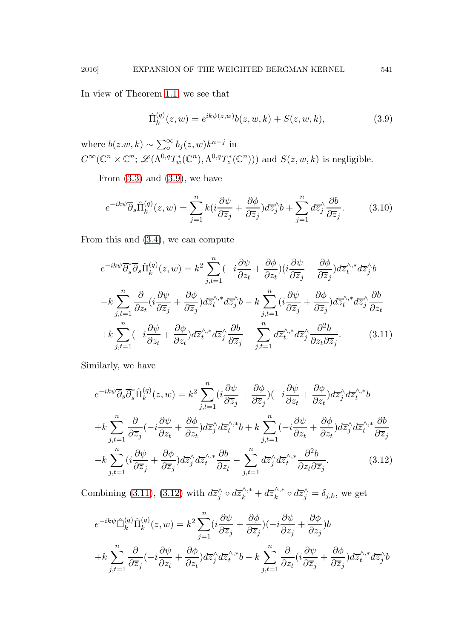In view of Theorem [1.1,](#page-5-1) we see that

<span id="page-20-0"></span>
$$
\hat{\Pi}_k^{(q)}(z,w) = e^{ik\psi(z,w)}b(z,w,k) + S(z,w,k),
$$
\n(3.9)

where  $b(z, w, k) \sim \sum_{o}^{\infty} b_j(z, w) k^{n-j}$  in  $C^{\infty}(\mathbb{C}^n \times \mathbb{C}^n; \mathscr{L}(\Lambda^{0,q}T_w^*(\mathbb{C}^n),\Lambda^{0,q}T_z^*(\mathbb{C}^n)))$  and  $S(z,w,k)$  is negligible.

From  $(3.3)$  and  $(3.9)$ , we have

$$
e^{-ik\psi}\overline{\partial}_s\hat{\Pi}_k^{(q)}(z,w) = \sum_{j=1}^n k(i\frac{\partial\psi}{\partial\overline{z}_j} + \frac{\partial\phi}{\partial\overline{z}_j})d\overline{z}_j^{\wedge}b + \sum_{j=1}^n d\overline{z}_j^{\wedge}\frac{\partial b}{\partial\overline{z}_j}.
$$
 (3.10)

From this and [\(3.4\)](#page-19-4), we can compute

<span id="page-20-1"></span>
$$
e^{-ik\psi}\overline{\partial}_{s}^{*}\overline{\partial}_{s}\hat{\Pi}_{k}^{(q)}(z,w) = k^{2} \sum_{j,t=1}^{n} (-i\frac{\partial\psi}{\partial z_{t}} + \frac{\partial\phi}{\partial z_{t}}) (i\frac{\partial\psi}{\partial \overline{z}_{j}} + \frac{\partial\phi}{\partial \overline{z}_{j}}) d\overline{z}_{t}^{\wedge,*} d\overline{z}_{j}^{\wedge} b
$$

$$
-k \sum_{j,t=1}^{n} \frac{\partial}{\partial z_{t}} (i\frac{\partial\psi}{\partial \overline{z}_{j}} + \frac{\partial\phi}{\partial \overline{z}_{j}}) d\overline{z}_{t}^{\wedge,*} d\overline{z}_{j}^{\wedge} b - k \sum_{j,t=1}^{n} (i\frac{\partial\psi}{\partial \overline{z}_{j}} + \frac{\partial\phi}{\partial \overline{z}_{j}}) d\overline{z}_{t}^{\wedge,*} d\overline{z}_{j}^{\wedge} \frac{\partial b}{\partial z_{t}}
$$

$$
+k \sum_{j,t=1}^{n} (-i\frac{\partial\psi}{\partial z_{t}} + \frac{\partial\phi}{\partial z_{t}}) d\overline{z}_{t}^{\wedge,*} d\overline{z}_{j}^{\wedge} \frac{\partial b}{\partial \overline{z}_{j}} - \sum_{j,t=1}^{n} d\overline{z}_{t}^{\wedge,*} d\overline{z}_{j}^{\wedge} \frac{\partial^{2}b}{\partial z_{t} \partial \overline{z}_{j}}.
$$
(3.11)

Similarly, we have

<span id="page-20-2"></span>
$$
e^{-ik\psi}\overline{\partial}_s\overline{\partial}_s^*\hat{\Pi}_k^{(q)}(z,w) = k^2 \sum_{j,t=1}^n (i\frac{\partial\psi}{\partial \overline{z}_j} + \frac{\partial\phi}{\partial \overline{z}_j})(-i\frac{\partial\psi}{\partial z_t} + \frac{\partial\phi}{\partial z_t})d\overline{z}_j^{\wedge}d\overline{z}_t^{\wedge,*}b
$$
  
+
$$
k \sum_{j,t=1}^n \frac{\partial}{\partial \overline{z}_j}(-i\frac{\partial\psi}{\partial z_t} + \frac{\partial\phi}{\partial z_t})d\overline{z}_j^{\wedge}d\overline{z}_t^{\wedge,*}b + k \sum_{j,t=1}^n (-i\frac{\partial\psi}{\partial z_t} + \frac{\partial\phi}{\partial z_t})d\overline{z}_j^{\wedge}d\overline{z}_t^{\wedge,*}\frac{\partial b}{\partial \overline{z}_j}
$$
  
-
$$
k \sum_{j,t=1}^n (i\frac{\partial\psi}{\partial \overline{z}_j} + \frac{\partial\phi}{\partial \overline{z}_j})d\overline{z}_j^{\wedge}d\overline{z}_t^{\wedge,*}\frac{\partial b}{\partial z_t} - \sum_{j,t=1}^n d\overline{z}_j^{\wedge}d\overline{z}_t^{\wedge,*}\frac{\partial^2 b}{\partial z_t\partial \overline{z}_j}.
$$
(3.12)

Combining [\(3.11\)](#page-20-1), [\(3.12\)](#page-20-2) with  $d\overline{z}_j^{\wedge} \circ d\overline{z}_k^{\wedge,*} + d\overline{z}_k^{\wedge,*}$  $\lambda_k^{\wedge,*} \circ d\overline{z}_j^{\wedge} = \delta_{j,k}$ , we get

<span id="page-20-3"></span>
$$
e^{-ik\psi}\hat{\Box}_{k}^{(q)}\hat{\Pi}_{k}^{(q)}(z,w) = k^{2} \sum_{j=1}^{n} (i \frac{\partial \psi}{\partial \overline{z}_{j}} + \frac{\partial \phi}{\partial \overline{z}_{j}})(-i \frac{\partial \psi}{\partial z_{j}} + \frac{\partial \phi}{\partial z_{j}})b
$$
  
+
$$
k \sum_{j,t=1}^{n} \frac{\partial}{\partial \overline{z}_{j}}(-i \frac{\partial \psi}{\partial z_{t}} + \frac{\partial \phi}{\partial z_{t}})d\overline{z}_{j}^{\wedge} d\overline{z}_{t}^{\wedge,*}b - k \sum_{j,t=1}^{n} \frac{\partial}{\partial z_{t}}(i \frac{\partial \psi}{\partial \overline{z}_{j}} + \frac{\partial \phi}{\partial \overline{z}_{j}})d\overline{z}_{t}^{\wedge,*} d\overline{z}_{j}^{\wedge}b
$$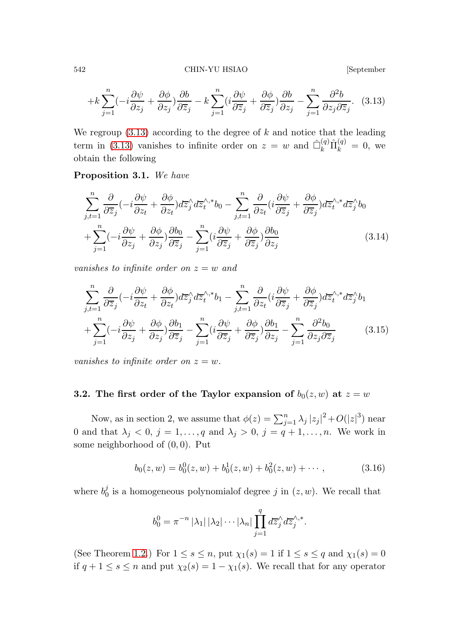542 CHIN-YU HSIAO [September

$$
+k\sum_{j=1}^{n}(-i\frac{\partial\psi}{\partial z_j}+\frac{\partial\phi}{\partial z_j})\frac{\partial b}{\partial\overline{z}_j}-k\sum_{j=1}^{n}(i\frac{\partial\psi}{\partial\overline{z}_j}+\frac{\partial\phi}{\partial\overline{z}_j})\frac{\partial b}{\partial z_j}-\sum_{j=1}^{n}\frac{\partial^2b}{\partial z_j\partial\overline{z}_j}.
$$
 (3.13)

We regroup  $(3.13)$  according to the degree of k and notice that the leading term in [\(3.13\)](#page-20-3) vanishes to infinite order on  $z = w$  and  $\hat{\Box}_{k}^{(q)} \hat{\Pi}_{k}^{(q)} = 0$ , we obtain the following

Proposition 3.1. We have

<span id="page-21-1"></span>
$$
\sum_{j,t=1}^{n} \frac{\partial}{\partial \overline{z}_j} (-i \frac{\partial \psi}{\partial z_t} + \frac{\partial \phi}{\partial z_t}) d\overline{z}_j^{\wedge} d\overline{z}_t^{\wedge,*} b_0 - \sum_{j,t=1}^{n} \frac{\partial}{\partial z_t} (i \frac{\partial \psi}{\partial \overline{z}_j} + \frac{\partial \phi}{\partial \overline{z}_j}) d\overline{z}_t^{\wedge,*} d\overline{z}_j^{\wedge} b_0
$$
  
+ 
$$
\sum_{j=1}^{n} (-i \frac{\partial \psi}{\partial z_j} + \frac{\partial \phi}{\partial z_j}) \frac{\partial b_0}{\partial \overline{z}_j} - \sum_{j=1}^{n} (i \frac{\partial \psi}{\partial \overline{z}_j} + \frac{\partial \phi}{\partial \overline{z}_j}) \frac{\partial b_0}{\partial z_j}
$$
(3.14)

vanishes to infinite order on  $z = w$  and

<span id="page-21-2"></span>
$$
\sum_{j,t=1}^{n} \frac{\partial}{\partial \overline{z}_j} (-i \frac{\partial \psi}{\partial z_t} + \frac{\partial \phi}{\partial z_t}) d\overline{z}_j^{\wedge} d\overline{z}_t^{\wedge,*} b_1 - \sum_{j,t=1}^{n} \frac{\partial}{\partial z_t} (i \frac{\partial \psi}{\partial \overline{z}_j} + \frac{\partial \phi}{\partial \overline{z}_j}) d\overline{z}_t^{\wedge,*} d\overline{z}_j^{\wedge} b_1 + \sum_{j=1}^{n} (-i \frac{\partial \psi}{\partial z_j} + \frac{\partial \phi}{\partial z_j}) \frac{\partial b_1}{\partial \overline{z}_j} - \sum_{j=1}^{n} (i \frac{\partial \psi}{\partial \overline{z}_j} + \frac{\partial \phi}{\partial \overline{z}_j}) \frac{\partial b_1}{\partial z_j} - \sum_{j=1}^{n} \frac{\partial^2 b_0}{\partial z_j \partial \overline{z}_j}
$$
(3.15)

vanishes to infinite order on  $z = w$ .

## **3.2.** The first order of the Taylor expansion of  $b_0(z, w)$  at  $z = w$

Now, as in section 2, we assume that  $\phi(z) = \sum_{j=1}^{n} \lambda_j |z_j|^2 + O(|z|^3)$  near 0 and that  $\lambda_j < 0$ ,  $j = 1, \ldots, q$  and  $\lambda_j > 0$ ,  $j = q + 1, \ldots, n$ . We work in some neighborhood of  $(0, 0)$ . Put

<span id="page-21-0"></span>
$$
b_0(z, w) = b_0^0(z, w) + b_0^1(z, w) + b_0^2(z, w) + \cdots, \qquad (3.16)
$$

where  $b_0^j$  $\delta_0^j$  is a homogeneous polynomial f degree j in  $(z, w)$ . We recall that

$$
b_0^0 = \pi^{-n} |\lambda_1| |\lambda_2| \cdots |\lambda_n| \prod_{j=1}^q d\overline{z}_j^{\wedge} d\overline{z}_j^{\wedge, *}.
$$

(See Theorem [1.2.](#page-6-3)) For  $1 \leq s \leq n$ , put  $\chi_1(s) = 1$  if  $1 \leq s \leq q$  and  $\chi_1(s) = 0$ if  $q + 1 \leq s \leq n$  and put  $\chi_2(s) = 1 - \chi_1(s)$ . We recall that for any operator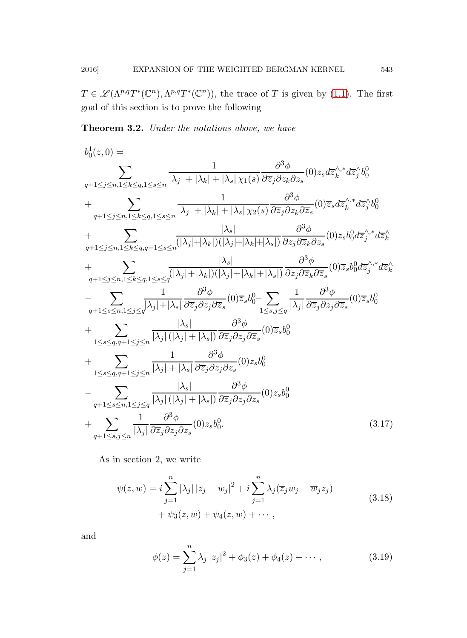<span id="page-22-2"></span> $T \in \mathscr{L}(\Lambda^{p,q}T^*(\mathbb{C}^n), \Lambda^{p,q}T^*(\mathbb{C}^n))$ , the trace of T is given by [\(1.1\)](#page-2-0). The first goal of this section is to prove the following

Theorem 3.2. Under the notations above, we have

$$
b_0^1(z,0) = \sum_{q+1 \le j \le n, 1 \le k \le q, 1 \le s \le n} \frac{1}{|\lambda_j| + |\lambda_k| + |\lambda_s| \chi_1(s)} \frac{\partial^3 \phi}{\partial \overline{z}_j \partial z_k \partial z_s}(0) z_s d\overline{z}_{k}^{\wedge,*} d\overline{z}_{j}^{\wedge} b_0^0
$$
  
+ 
$$
\sum_{q+1 \le j \le n, 1 \le k \le q, 1 \le s \le n} \frac{1}{|\lambda_j| + |\lambda_k| + |\lambda_s| \chi_2(s)} \frac{\partial^3 \phi}{\partial \overline{z}_j \partial z_k \partial \overline{z}_s}(0) \overline{z}_s d\overline{z}_{k}^{\wedge,*} d\overline{z}_{j}^{\wedge} b_0^0
$$
  
+ 
$$
\sum_{q+1 \le j \le n, 1 \le k \le q, q+1 \le s \le n} \frac{|\lambda_s|}{(|\lambda_j| + |\lambda_k|) (|\lambda_j| + |\lambda_k| + |\lambda_s|)} \frac{\partial^3 \phi}{\partial z_j \partial \overline{z}_k \partial z_s}(0) z_s b_0^0 d\overline{z}_{j}^{\wedge,*} d\overline{z}_{k}^{\wedge}
$$
  
+ 
$$
\sum_{q+1 \le j \le n, 1 \le k \le q, 1 \le s \le q} \frac{|\lambda_s|}{(|\lambda_j| + |\lambda_k|) (|\lambda_j| + |\lambda_k| + |\lambda_s|)} \frac{\partial^3 \phi}{\partial z_j \partial \overline{z}_k \partial \overline{z}_s}(0) \overline{z}_s b_0^0 d\overline{z}_{j}^{\wedge,*} d\overline{z}_{k}^{\wedge}
$$
  
- 
$$
\sum_{q+1 \le s \le n, 1 \le j \le q} \frac{1}{|\lambda_j| + |\lambda_s|} \frac{\partial^3 \phi}{\partial \overline{z}_j \partial z_j \partial \overline{z}_s}(0) \overline{z}_s b_0^0 - \sum_{1 \le s, j \le q} \frac{1}{|\lambda_j|} \frac{\partial^3 \phi}{\partial \overline{z}_j \partial \overline{z}_j \partial \overline{z}_s}(0) \overline{z}_s b_0^0
$$
  
+ 
$$
\sum_{1 \le s \le q, q+1 \le j \
$$

As in section 2, we write

<span id="page-22-0"></span>
$$
\psi(z, w) = i \sum_{j=1}^{n} |\lambda_j| |z_j - w_j|^2 + i \sum_{j=1}^{n} \lambda_j (\overline{z}_j w_j - \overline{w}_j z_j) + \psi_3(z, w) + \psi_4(z, w) + \cdots,
$$
\n(3.18)

<span id="page-22-1"></span>and

$$
\phi(z) = \sum_{j=1}^{n} \lambda_j |z_j|^2 + \phi_3(z) + \phi_4(z) + \cdots, \qquad (3.19)
$$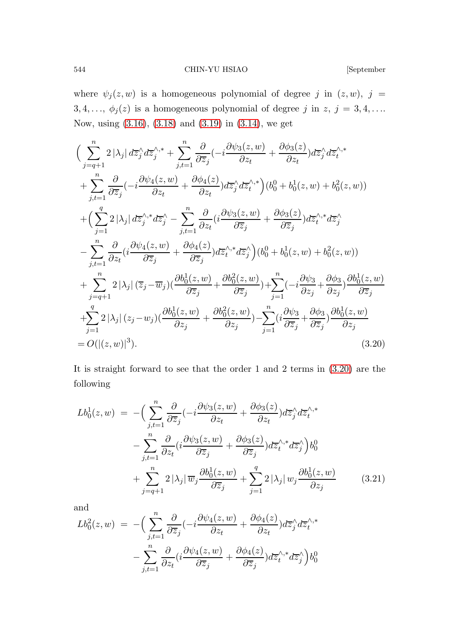544 CHIN-YU HSIAO [September

where  $\psi_j(z, w)$  is a homogeneous polynomial of degree j in  $(z, w)$ , j = 3, 4, ...,  $\phi_j(z)$  is a homogeneous polynomial of degree j in z,  $j = 3, 4, \ldots$ Now, using [\(3.16\)](#page-21-0), [\(3.18\)](#page-22-0) and [\(3.19\)](#page-22-1) in [\(3.14\)](#page-21-1), we get

<span id="page-23-0"></span>
$$
\left(\sum_{j=q+1}^{n} 2|\lambda_{j}| d\overline{z}_{j}^{\wedge} d\overline{z}_{j}^{\wedge,*} + \sum_{j,t=1}^{n} \frac{\partial}{\partial \overline{z}_{j}} (-i \frac{\partial \psi_{3}(z,w)}{\partial z_{t}} + \frac{\partial \phi_{3}(z)}{\partial z_{t}}) d\overline{z}_{j}^{\wedge} d\overline{z}_{t}^{\wedge,*}\n+ \sum_{j,t=1}^{n} \frac{\partial}{\partial \overline{z}_{j}} (-i \frac{\partial \psi_{4}(z,w)}{\partial z_{t}} + \frac{\partial \phi_{4}(z)}{\partial z_{t}}) d\overline{z}_{j}^{\wedge} d\overline{z}_{t}^{\wedge,*}\right) (b_{0}^{0} + b_{0}^{1}(z,w) + b_{0}^{2}(z,w))\n+ \left(\sum_{j=1}^{q} 2|\lambda_{j}| d\overline{z}_{j}^{\wedge,*} d\overline{z}_{j}^{\wedge} - \sum_{j,t=1}^{n} \frac{\partial}{\partial z_{t}} (i \frac{\partial \psi_{3}(z,w)}{\partial \overline{z}_{j}} + \frac{\partial \phi_{3}(z)}{\partial \overline{z}_{j}}) d\overline{z}_{t}^{\wedge,*} d\overline{z}_{j}^{\wedge}\n- \sum_{j,t=1}^{n} \frac{\partial}{\partial z_{t}} (i \frac{\partial \psi_{4}(z,w)}{\partial \overline{z}_{j}} + \frac{\partial \phi_{4}(z)}{\partial \overline{z}_{j}}) d\overline{z}_{t}^{\wedge,*} d\overline{z}_{j}^{\wedge}\right) (b_{0}^{0} + b_{0}^{1}(z,w) + b_{0}^{2}(z,w))\n+ \sum_{j=q+1}^{n} 2|\lambda_{j}| (\overline{z}_{j} - \overline{w}_{j}) (\frac{\partial b_{0}^{1}(z,w)}{\partial \overline{z}_{j}} + \frac{\partial b_{0}^{2}(z,w)}{\partial \overline{z}_{j}}) + \sum_{j=1}^{n} (-i \frac{\partial \psi_{3}}{\partial z_{j}} + \frac{\partial \phi_{3}}{\partial z_{j}}) \frac{\partial b_{0}^{1}(z,w)}{\partial \overline{z}_{j}}\n+ \sum_{j=1}^{q} 2|\lambda_{j}| (z_{j} - w_{j}) (\frac{\partial b_{0}^{1}(z,w)}{\partial z_{j
$$

It is straight forward to see that the order 1 and 2 terms in [\(3.20\)](#page-23-0) are the following

<span id="page-23-1"></span>
$$
Lb_0^1(z, w) = -\Big(\sum_{j,t=1}^n \frac{\partial}{\partial \overline{z}_j} \left(-i \frac{\partial \psi_3(z, w)}{\partial z_t} + \frac{\partial \phi_3(z)}{\partial z_t}\right) d\overline{z}_j^{\wedge} d\overline{z}_t^{\wedge, *}
$$

$$
- \sum_{j,t=1}^n \frac{\partial}{\partial z_t} \left(i \frac{\partial \psi_3(z, w)}{\partial \overline{z}_j} + \frac{\partial \phi_3(z)}{\partial \overline{z}_j}\right) d\overline{z}_t^{\wedge, *} d\overline{z}_j^{\wedge}\Big) b_0^0
$$

$$
+ \sum_{j=q+1}^n 2 |\lambda_j| \overline{w}_j \frac{\partial b_0^1(z, w)}{\partial \overline{z}_j} + \sum_{j=1}^q 2 |\lambda_j| w_j \frac{\partial b_0^1(z, w)}{\partial z_j} \qquad (3.21)
$$

and

$$
Lb_0^2(z, w) = -\Big(\sum_{j,t=1}^n \frac{\partial}{\partial \overline{z}_j} (-i \frac{\partial \psi_4(z, w)}{\partial z_t} + \frac{\partial \phi_4(z)}{\partial z_t}) d\overline{z}_j^{\wedge} d\overline{z}_t^{\wedge,*} - \sum_{j,t=1}^n \frac{\partial}{\partial z_t} (i \frac{\partial \psi_4(z, w)}{\partial \overline{z}_j} + \frac{\partial \phi_4(z)}{\partial \overline{z}_j}) d\overline{z}_t^{\wedge,*} d\overline{z}_j^{\wedge} \Big) b_0^0
$$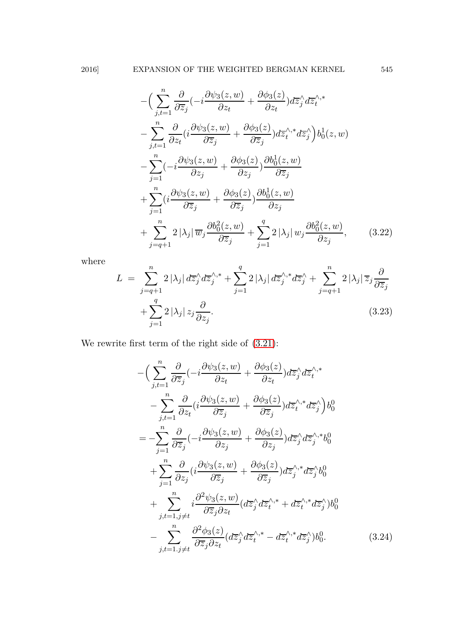$$
-\left(\sum_{j,t=1}^{n} \frac{\partial}{\partial \overline{z}_{j}}(-i\frac{\partial \psi_{3}(z,w)}{\partial z_{t}} + \frac{\partial \phi_{3}(z)}{\partial z_{t}})d\overline{z}_{j}^{\wedge}d\overline{z}_{t}^{\wedge,*}\right. \n- \sum_{j,t=1}^{n} \frac{\partial}{\partial z_{t}}(i\frac{\partial \psi_{3}(z,w)}{\partial \overline{z}_{j}} + \frac{\partial \phi_{3}(z)}{\partial \overline{z}_{j}})d\overline{z}_{t}^{\wedge,*}d\overline{z}_{j}^{\wedge})b_{0}^{1}(z,w) \n- \sum_{j=1}^{n} (-i\frac{\partial \psi_{3}(z,w)}{\partial z_{j}} + \frac{\partial \phi_{3}(z)}{\partial z_{j}}) \frac{\partial b_{0}^{1}(z,w)}{\partial \overline{z}_{j}} \n+ \sum_{j=1}^{n} (i\frac{\partial \psi_{3}(z,w)}{\partial \overline{z}_{j}} + \frac{\partial \phi_{3}(z)}{\partial \overline{z}_{j}}) \frac{\partial b_{0}^{1}(z,w)}{\partial z_{j}} \n+ \sum_{j=q+1}^{n} 2|\lambda_{j}| \overline{w}_{j} \frac{\partial b_{0}^{2}(z,w)}{\partial \overline{z}_{j}} + \sum_{j=1}^{q} 2|\lambda_{j}| w_{j} \frac{\partial b_{0}^{2}(z,w)}{\partial z_{j}}, \qquad (3.22)
$$

where

$$
L = \sum_{j=q+1}^{n} 2 |\lambda_j| d\overline{z}_j^{\wedge} d\overline{z}_j^{\wedge,*} + \sum_{j=1}^{q} 2 |\lambda_j| d\overline{z}_j^{\wedge,*} d\overline{z}_j^{\wedge} + \sum_{j=q+1}^{n} 2 |\lambda_j| \overline{z}_j \frac{\partial}{\partial \overline{z}_j} + \sum_{j=1}^{q} 2 |\lambda_j| z_j \frac{\partial}{\partial z_j}.
$$
\n(3.23)

We rewrite first term of the right side of [\(3.21\)](#page-23-1):

<span id="page-24-0"></span>
$$
-\left(\sum_{j,t=1}^{n} \frac{\partial}{\partial \overline{z}_{j}} (-i \frac{\partial \psi_{3}(z,w)}{\partial z_{t}} + \frac{\partial \phi_{3}(z)}{\partial z_{t}}) d\overline{z}_{j}^{\wedge} d\overline{z}_{t}^{\wedge,*}\right) -\sum_{j,t=1}^{n} \frac{\partial}{\partial z_{t}} (i \frac{\partial \psi_{3}(z,w)}{\partial \overline{z}_{j}} + \frac{\partial \phi_{3}(z)}{\partial \overline{z}_{j}}) d\overline{z}_{t}^{\wedge,*} d\overline{z}_{j}^{\wedge}) b_{0}^{0} = -\sum_{j=1}^{n} \frac{\partial}{\partial \overline{z}_{j}} (-i \frac{\partial \psi_{3}(z,w)}{\partial z_{j}} + \frac{\partial \phi_{3}(z)}{\partial z_{j}}) d\overline{z}_{j}^{\wedge} d\overline{z}_{j}^{\wedge,*} b_{0}^{0} + \sum_{j=1}^{n} \frac{\partial}{\partial z_{j}} (i \frac{\partial \psi_{3}(z,w)}{\partial \overline{z}_{j}} + \frac{\partial \phi_{3}(z)}{\partial \overline{z}_{j}}) d\overline{z}_{j}^{\wedge,*} d\overline{z}_{j}^{\wedge} b_{0}^{0} + \sum_{j,t=1, j \neq t}^{n} i \frac{\partial^{2} \psi_{3}(z,w)}{\partial \overline{z}_{j} \partial z_{t}} (d\overline{z}_{j}^{\wedge} d\overline{z}_{t}^{\wedge,*} + d\overline{z}_{t}^{\wedge,*} d\overline{z}_{j}^{\wedge}) b_{0}^{0} - \sum_{j,t=1, j \neq t}^{n} \frac{\partial^{2} \phi_{3}(z)}{\partial \overline{z}_{j} \partial z_{t}} (d\overline{z}_{j}^{\wedge} d\overline{z}_{t}^{\wedge,*} - d\overline{z}_{t}^{\wedge,*} d\overline{z}_{j}^{\wedge}) b_{0}^{0}.
$$
 (3.24)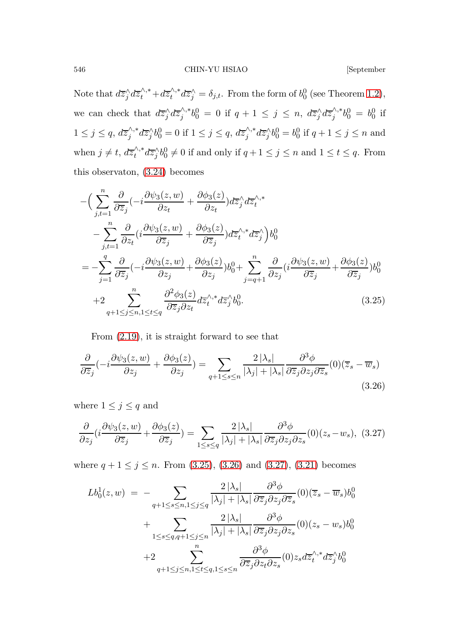546 CHIN-YU HSIAO [September

Note that  $d\overline{z}_j^{\wedge} d\overline{z}_t^{\wedge,*} + d\overline{z}_t^{\wedge,*}$  $\int_t^{\wedge,*} d\overline{z}_j^{\wedge} = \delta_{j,t}$ . From the form of  $b_0^0$  (see Theorem [1.2\)](#page-6-3), we can check that  $d\overline{z}_j^{\wedge} d\overline{z}_j^{\wedge,*}$  $j^{\wedge,*}b_0^0 = 0$  if  $q + 1 \leq j \leq n$ ,  $d\overline{z}_j^{\wedge}d\overline{z}_j^{\wedge,*}$  $b_0^{\wedge,*}b_0^0 = b_0^0$  if  $1 \leq j \leq q$ ,  $d\overline{z}_j^{\wedge,*}$  $j^{\wedge,*}d\overline{z}_j^{\wedge}b_0^0 = 0$  if  $1 \leq j \leq q$ ,  $d\overline{z}_j^{\wedge,*}$  $\int_{j}^{\wedge,*} d\overline{z}_{j}^{\wedge} b_{0}^{0} = b_{0}^{0}$  if  $q + 1 \leq j \leq n$  and when  $j \neq t$ ,  $d\overline{z}_t^{\wedge,*}$  $\sqrt[n]{\lambda^*} d\overline{z}_j^{\wedge} b_0^0 \neq 0$  if and only if  $q+1 \leq j \leq n$  and  $1 \leq t \leq q$ . From this observaton, [\(3.24\)](#page-24-0) becomes

<span id="page-25-0"></span>
$$
-\left(\sum_{j,t=1}^{n} \frac{\partial}{\partial \overline{z}_{j}}\left(-i\frac{\partial \psi_{3}(z,w)}{\partial z_{t}} + \frac{\partial \phi_{3}(z)}{\partial z_{t}}\right) d\overline{z}_{j}^{\wedge} d\overline{z}_{t}^{\wedge *}\right.\n- \sum_{j,t=1}^{n} \frac{\partial}{\partial z_{t}}\left(i\frac{\partial \psi_{3}(z,w)}{\partial \overline{z}_{j}} + \frac{\partial \phi_{3}(z)}{\partial \overline{z}_{j}}\right) d\overline{z}_{t}^{\wedge,*} d\overline{z}_{j}^{\wedge}\right)b_{0}^{0}\n= - \sum_{j=1}^{q} \frac{\partial}{\partial \overline{z}_{j}}\left(-i\frac{\partial \psi_{3}(z,w)}{\partial z_{j}} + \frac{\partial \phi_{3}(z)}{\partial z_{j}}\right)b_{0}^{0} + \sum_{j=q+1}^{n} \frac{\partial}{\partial z_{j}}\left(i\frac{\partial \psi_{3}(z,w)}{\partial \overline{z}_{j}} + \frac{\partial \phi_{3}(z)}{\partial \overline{z}_{j}}\right)b_{0}^{0}\n+ 2 \sum_{q+1 \leq j \leq n, 1 \leq t \leq q} \frac{\partial^{2} \phi_{3}(z)}{\partial \overline{z}_{j} \partial z_{t}} d\overline{z}_{t}^{\wedge,*} d\overline{z}_{j}^{\wedge} b_{0}^{0}.
$$
\n(3.25)

<span id="page-25-1"></span>From [\(2.19\)](#page-15-0), it is straight forward to see that

$$
\frac{\partial}{\partial \overline{z}_j}(-i\frac{\partial \psi_3(z,w)}{\partial z_j} + \frac{\partial \phi_3(z)}{\partial z_j}) = \sum_{q+1 \le s \le n} \frac{2|\lambda_s|}{|\lambda_j| + |\lambda_s|} \frac{\partial^3 \phi}{\partial \overline{z}_j \partial z_j \partial \overline{z}_s} (0)(\overline{z}_s - \overline{w}_s)
$$
\n(3.26)

where  $1 \leq j \leq q$  and

<span id="page-25-2"></span>
$$
\frac{\partial}{\partial z_j}(i\frac{\partial \psi_3(z,w)}{\partial \overline{z}_j} + \frac{\partial \phi_3(z)}{\partial \overline{z}_j}) = \sum_{1 \le s \le q} \frac{2|\lambda_s|}{|\lambda_j| + |\lambda_s|} \frac{\partial^3 \phi}{\partial \overline{z}_j \partial z_j \partial z_s}(0)(z_s - w_s), (3.27)
$$

where  $q + 1 \leq j \leq n$ . From [\(3.25\)](#page-25-0), [\(3.26\)](#page-25-1) and [\(3.27\)](#page-25-2), [\(3.21\)](#page-23-1) becomes

<span id="page-25-3"></span>
$$
Lb_0^1(z, w) = - \sum_{q+1 \le s \le n, 1 \le j \le q} \frac{2|\lambda_s|}{|\lambda_j| + |\lambda_s|} \frac{\partial^3 \phi}{\partial \overline{z}_j \partial z_j \partial \overline{z}_s} (0) (\overline{z}_s - \overline{w}_s) b_0^0
$$
  
+ 
$$
\sum_{1 \le s \le q, q+1 \le j \le n} \frac{2|\lambda_s|}{|\lambda_j| + |\lambda_s|} \frac{\partial^3 \phi}{\partial \overline{z}_j \partial z_j \partial z_s} (0) (z_s - w_s) b_0^0
$$
  
+2 
$$
\sum_{q+1 \le j \le n, 1 \le t \le q, 1 \le s \le n} \frac{\partial^3 \phi}{\partial \overline{z}_j \partial z_t \partial z_s} (0) z_s d\overline{z}_t^{\wedge, *} d\overline{z}_j^{\wedge} b_0^0
$$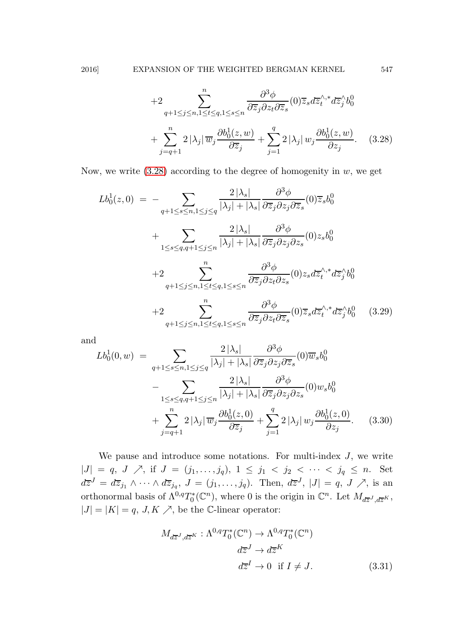+2 
$$
\sum_{q+1 \leq j \leq n, 1 \leq t \leq q, 1 \leq s \leq n} \frac{\partial^3 \phi}{\partial \overline{z}_j \partial z_t \partial \overline{z}_s} (0) \overline{z}_s d\overline{z}_t^{\wedge, *} d\overline{z}_j^{\wedge} b_0^0
$$
  
+
$$
\sum_{j=q+1}^n 2 |\lambda_j| \overline{w}_j \frac{\partial b_0^1(z, w)}{\partial \overline{z}_j} + \sum_{j=1}^q 2 |\lambda_j| w_j \frac{\partial b_0^1(z, w)}{\partial z_j}.
$$
 (3.28)

Now, we write  $(3.28)$  according to the degree of homogenity in w, we get

<span id="page-26-0"></span>
$$
Lb_0^1(z,0) = -\sum_{q+1 \le s \le n, 1 \le j \le q} \frac{2|\lambda_s|}{|\lambda_j| + |\lambda_s|} \frac{\partial^3 \phi}{\partial z_j \partial z_j \partial \overline{z}_s} (0) \overline{z}_s b_0^0
$$
  
+ 
$$
\sum_{1 \le s \le q, q+1 \le j \le n} \frac{2|\lambda_s|}{|\lambda_j| + |\lambda_s|} \frac{\partial^3 \phi}{\partial \overline{z}_j \partial z_j \partial z_s} (0) z_s b_0^0
$$
  
+ 
$$
2\sum_{q+1 \le j \le n, 1 \le t \le q, 1 \le s \le n} \frac{\partial^3 \phi}{\partial \overline{z}_j \partial z_t \partial z_s} (0) z_s d\overline{z}_t^{\wedge, *} d\overline{z}_j^{\wedge} b_0^0
$$
  
+ 
$$
2\sum_{q+1 \le j \le n, 1 \le t \le q, 1 \le s \le n} \frac{\partial^3 \phi}{\partial \overline{z}_j \partial z_t \partial \overline{z}_s} (0) \overline{z}_s d\overline{z}_t^{\wedge, *} d\overline{z}_j^{\wedge} b_0^0 \qquad (3.29)
$$

and

$$
Lb_0^1(0, w) = \sum_{q+1 \le s \le n, 1 \le j \le q} \frac{2|\lambda_s|}{|\lambda_j| + |\lambda_s|} \frac{\partial^3 \phi}{\partial \overline{z}_j \partial z_j \partial \overline{z}_s} (0) \overline{w}_s b_0^0
$$

$$
- \sum_{1 \le s \le q, q+1 \le j \le n} \frac{2|\lambda_s|}{|\lambda_j| + |\lambda_s|} \frac{\partial^3 \phi}{\partial \overline{z}_j \partial z_j \partial z_s} (0) w_s b_0^0
$$

$$
+ \sum_{j=q+1}^n 2|\lambda_j| \overline{w}_j \frac{\partial b_0^1(z, 0)}{\partial \overline{z}_j} + \sum_{j=1}^q 2|\lambda_j| w_j \frac{\partial b_0^1(z, 0)}{\partial z_j}.
$$
(3.30)

We pause and introduce some notations. For multi-index  $J$ , we write  $|J| = q, J \nearrow$ , if  $J = (j_1, \ldots, j_q), 1 \le j_1 < j_2 < \cdots < j_q \le n$ . Set  $d\overline{z}^J = d\overline{z}_{j_1} \wedge \cdots \wedge d\overline{z}_{j_q}, J = (j_1, \ldots, j_q).$  Then,  $d\overline{z}^J$ ,  $|J| = q, J \nearrow$ , is an orthonormal basis of  $\Lambda^{0,q}T_0^*(\mathbb{C}^n)$ , where 0 is the origin in  $\mathbb{C}^n$ . Let  $M_{d\overline{z}^J, d\overline{z}^K}$ ,  $|J| = |K| = q$ , J, K  $\nearrow$ , be the C-linear operator:

$$
M_{d\overline{z}^J, d\overline{z}^K}: \Lambda^{0,q}T_0^*(\mathbb{C}^n) \to \Lambda^{0,q}T_0^*(\mathbb{C}^n)
$$

$$
d\overline{z}^J \to d\overline{z}^K
$$

$$
d\overline{z}^I \to 0 \quad \text{if } I \neq J.
$$
 (3.31)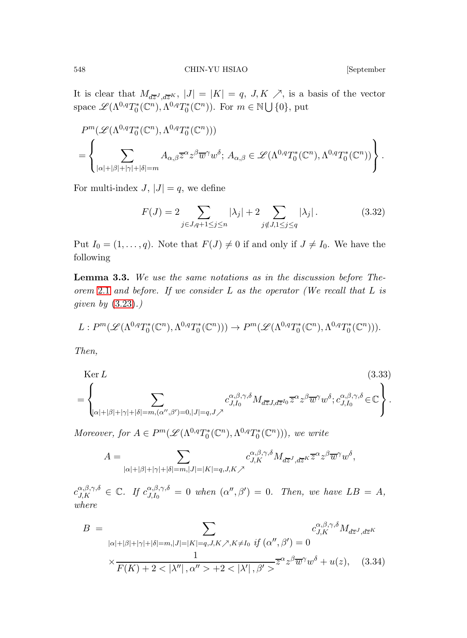It is clear that  $M_{d\overline{z}^J, d\overline{z}^K}$ ,  $|J| = |K| = q$ ,  $J, K \nearrow$ , is a basis of the vector space  $\mathscr{L}(\Lambda^{0,q}T_0^*(\mathbb{C}^n),\Lambda^{0,q}T_0^*(\mathbb{C}^n))$ . For  $m \in \mathbb{N} \cup \{0\}$ , put

$$
P^{m}(\mathscr{L}(\Lambda^{0,q}T_{0}^{*}(\mathbb{C}^{n}),\Lambda^{0,q}T_{0}^{*}(\mathbb{C}^{n})))
$$
  
=
$$
\left\{\sum_{|\alpha|+|\beta|+|\gamma|+|\delta|=m}A_{\alpha,\beta}\overline{z}^{\alpha}z^{\beta}\overline{w}^{\gamma}w^{\delta};\ A_{\alpha,\beta}\in\mathscr{L}(\Lambda^{0,q}T_{0}^{*}(\mathbb{C}^{n}),\Lambda^{0,q}T_{0}^{*}(\mathbb{C}^{n}))\right\}.
$$

For multi-index  $J, |J| = q$ , we define

$$
F(J) = 2 \sum_{j \in J, q+1 \le j \le n} |\lambda_j| + 2 \sum_{j \notin J, 1 \le j \le q} |\lambda_j|.
$$
 (3.32)

<span id="page-27-0"></span>Put  $I_0 = (1, \ldots, q)$ . Note that  $F(J) \neq 0$  if and only if  $J \neq I_0$ . We have the following

Lemma 3.3. We use the same notations as in the discussion before The-orem [2.1](#page-11-0) and before. If we consider L as the operator (We recall that L is qiven by  $(3.23)$ .)

$$
L: P^m(\mathcal{L}(\Lambda^{0,q}T_0^*(\mathbb{C}^n),\Lambda^{0,q}T_0^*(\mathbb{C}^n))) \to P^m(\mathcal{L}(\Lambda^{0,q}T_0^*(\mathbb{C}^n),\Lambda^{0,q}T_0^*(\mathbb{C}^n))).
$$

Then,

<span id="page-27-1"></span>
$$
\text{Ker } L \tag{3.33}
$$
\n
$$
= \left\{ \sum_{|\alpha|+|\beta|+|\gamma|+|\delta|=m, (\alpha'',\beta')=0, |J|=q, J} c_{J,I_0}^{\alpha,\beta,\gamma,\delta} M_{d\overline{z}J,d\overline{z}^{I_0}} \overline{z}^{\alpha} z^{\beta} \overline{w}^{\gamma} w^{\delta}; c_{J,I_0}^{\alpha,\beta,\gamma,\delta} \in \mathbb{C} \right\}.
$$

Moreover, for  $A \in P^m(\mathcal{L}(\Lambda^{0,q}T_0^*(\mathbb{C}^n), \Lambda^{0,q}T_0^*(\mathbb{C}^n)))$ , we write

$$
A=\sum_{|\alpha|+|\beta|+|\gamma|+|\delta|=m, |J|=|K|=q, J, K\nearrow}c_{J,K}^{\alpha,\beta,\gamma,\delta}M_{d\overline{z}^J, d\overline{z}^K}\overline{z}^{\alpha}z^{\beta}\overline{w}^{\gamma}w^{\delta},
$$

 $c_{J,K}^{\alpha,\beta,\gamma,\delta} \in \mathbb{C}.$  If  $c_{J,I_0}^{\alpha,\beta,\gamma,\delta}$  $J_{J,I_0}^{\alpha,\beta,\gamma,\delta} = 0$  when  $(\alpha'',\beta') = 0$ . Then, we have  $LB = A$ , where

$$
B = \sum_{|\alpha|+|\beta|+|\gamma|+|\delta|=m, |J|=|K|=q, J, K \nearrow, K \neq I_0 \text{ if } (\alpha'', \beta') = 0
$$
  

$$
\times \frac{1}{F(K) + 2 < |\lambda''|, \alpha'' > +2 < |\lambda'|, \beta' >} \overline{z}^{\alpha} z^{\beta} \overline{w}^{\gamma} w^{\delta} + u(z), \quad (3.34)
$$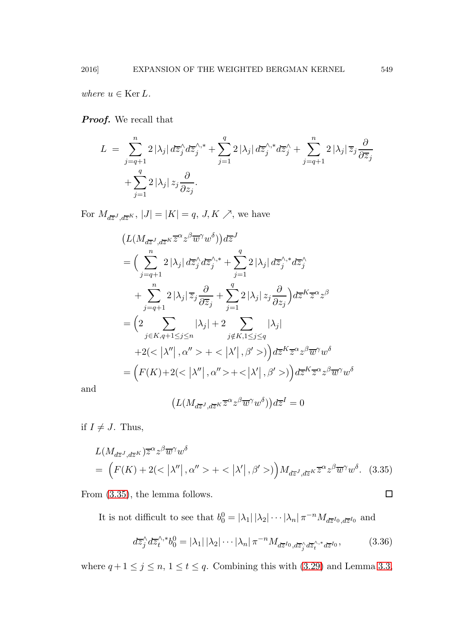where  $u \in \text{Ker } L$ .

**Proof.** We recall that

$$
L = \sum_{j=q+1}^{n} 2 |\lambda_j| d\overline{z}_j^{\wedge} d\overline{z}_j^{\wedge,*} + \sum_{j=1}^{q} 2 |\lambda_j| d\overline{z}_j^{\wedge,*} d\overline{z}_j^{\wedge} + \sum_{j=q+1}^{n} 2 |\lambda_j| \overline{z}_j \frac{\partial}{\partial \overline{z}_j} + \sum_{j=1}^{q} 2 |\lambda_j| z_j \frac{\partial}{\partial z_j}.
$$

For  $M_{d\overline{z}^J, d\overline{z}^K}$ ,  $|J| = |K| = q$ ,  $J, K \nearrow$ , we have

$$
(L(M_{d\overline{z}^J,d\overline{z}^K}\overline{z}^{\alpha}z^{\beta}\overline{w}^{\gamma}w^{\delta}))d\overline{z}^J
$$
  
\n=
$$
\Big(\sum_{j=q+1}^n 2|\lambda_j| d\overline{z}_j^{\wedge}d\overline{z}_j^{\wedge,*} + \sum_{j=1}^q 2|\lambda_j| d\overline{z}_j^{\wedge,*}d\overline{z}_j^{\wedge}
$$
  
\n
$$
+ \sum_{j=q+1}^n 2|\lambda_j|\overline{z}_j\frac{\partial}{\partial \overline{z}_j} + \sum_{j=1}^q 2|\lambda_j|z_j\frac{\partial}{\partial z_j}\Big)d\overline{z}^K\overline{z}^{\alpha}z^{\beta}
$$
  
\n=
$$
\Big(2 \sum_{j\in K,q+1\leq j\leq n} |\lambda_j| + 2 \sum_{j\notin K,1\leq j\leq q} |\lambda_j|
$$
  
\n+2( $|\lambda''|, \alpha'' > + < |\lambda'|, \beta' > )\Big)d\overline{z}^K\overline{z}^{\alpha}z^{\beta}\overline{w}^{\gamma}w^{\delta}$   
\n=
$$
\Big(F(K) + 2( $|\lambda''|, \alpha'' > + < |\lambda'|, \beta' > )\Big)d\overline{z}^K\overline{z}^{\alpha}z^{\beta}\overline{w}^{\gamma}w^{\delta}$
$$

and

$$
\left(L(M_{d\overline{z}^J,d\overline{z}^K}\overline{z}^{\alpha}z^{\beta}\overline{w}^{\gamma}w^{\delta})\right)d\overline{z}^I=0
$$

if  $I \neq J$ . Thus,

<span id="page-28-0"></span>
$$
L(M_{d\overline{z}^J, d\overline{z}^K})\overline{z}^{\alpha}z^{\beta}\overline{w}^{\gamma}w^{\delta}
$$
  
= 
$$
(F(K) + 2(<|\lambda''|, \alpha''> + <|\lambda'|, \beta'>)M_{d\overline{z}^J, d\overline{z}^K}\overline{z}^{\alpha}z^{\beta}\overline{w}^{\gamma}w^{\delta}.
$$
 (3.35)

From  $(3.35)$ , the lemma follows.

It is not difficult to see that  $b_0^0 = |\lambda_1| |\lambda_2| \cdots |\lambda_n| \pi^{-n} M_{d\overline{z}^{I_0}, d\overline{z}^{I_0}}$  and

$$
d\overline{z}_j^{\wedge} d\overline{z}_t^{\wedge,*} b_0^0 = |\lambda_1| |\lambda_2| \cdots |\lambda_n| \pi^{-n} M_{d\overline{z}^{I_0}, d\overline{z}_j^{\wedge} d\overline{z}_t^{\wedge,*} d\overline{z}^{I_0}}, \tag{3.36}
$$

where  $q+1\leq j\leq n,$   $1\leq t\leq q$ . Combining this with  $(3.29)$  and Lemma [3.3,](#page-27-0)

<span id="page-28-1"></span>
$$
\overline{a}
$$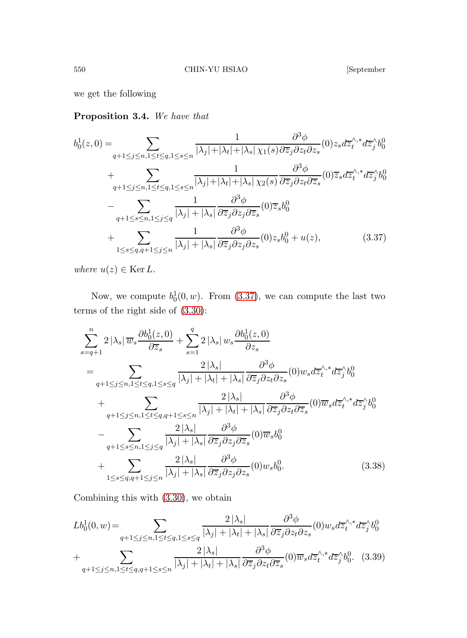<span id="page-29-1"></span>we get the following

Proposition 3.4. We have that

<span id="page-29-0"></span>
$$
b_0^1(z,0) = \sum_{q+1 \le j \le n, 1 \le t \le q, 1 \le s \le n} \frac{1}{|\lambda_j| + |\lambda_t| + |\lambda_s| \chi_1(s)} \frac{\partial^3 \phi}{\partial z_j \partial z_t \partial z_s}(0) z_s d\overline{z}_t^{\wedge,*} d\overline{z}_j^{\wedge} b_0^0
$$
  
+ 
$$
\sum_{q+1 \le j \le n, 1 \le t \le q, 1 \le s \le n} \frac{1}{|\lambda_j| + |\lambda_t| + |\lambda_s| \chi_2(s)} \frac{\partial^3 \phi}{\partial \overline{z}_j \partial z_t \partial \overline{z}_s}(0) \overline{z}_s d\overline{z}_t^{\wedge,*} d\overline{z}_j^{\wedge} b_0^0
$$
  
- 
$$
\sum_{q+1 \le s \le n, 1 \le j \le q} \frac{1}{|\lambda_j| + |\lambda_s|} \frac{\partial^3 \phi}{\partial \overline{z}_j \partial z_j \partial \overline{z}_s}(0) \overline{z}_s b_0^0
$$
  
+ 
$$
\sum_{1 \le s \le q, q+1 \le j \le n} \frac{1}{|\lambda_j| + |\lambda_s|} \frac{\partial^3 \phi}{\partial \overline{z}_j \partial z_j \partial z_s}(0) z_s b_0^0 + u(z), \qquad (3.37)
$$

where  $u(z) \in \text{Ker } L$ .

Now, we compute  $b_0^1(0, w)$ . From [\(3.37\)](#page-29-0), we can compute the last two terms of the right side of [\(3.30\)](#page-26-0):

$$
\sum_{s=q+1}^{n} 2 |\lambda_s| \overline{w}_s \frac{\partial b_0^1(z,0)}{\partial \overline{z}_s} + \sum_{s=1}^{q} 2 |\lambda_s| w_s \frac{\partial b_0^1(z,0)}{\partial z_s}
$$
\n
$$
= \sum_{q+1 \le j \le n, 1 \le t \le q, 1 \le s \le q} \frac{2 |\lambda_s|}{|\lambda_j| + |\lambda_t| + |\lambda_s|} \frac{\partial^3 \phi}{\partial \overline{z}_j \partial z_t \partial z_s} (0) w_s d\overline{z}_t^{\wedge,*} d\overline{z}_j^{\wedge} b_0^0
$$
\n
$$
+ \sum_{q+1 \le j \le n, 1 \le t \le q, q+1 \le s \le n} \frac{2 |\lambda_s|}{|\lambda_j| + |\lambda_t| + |\lambda_s|} \frac{\partial^3 \phi}{\partial \overline{z}_j \partial z_t \partial \overline{z}_s} (0) \overline{w}_s d\overline{z}_t^{\wedge,*} d\overline{z}_j^{\wedge} b_0^0
$$
\n
$$
- \sum_{q+1 \le s \le n, 1 \le j \le q} \frac{2 |\lambda_s|}{|\lambda_j| + |\lambda_s|} \frac{\partial^3 \phi}{\partial \overline{z}_j \partial z_j \partial \overline{z}_s} (0) \overline{w}_s b_0^0
$$
\n
$$
+ \sum_{1 \le s \le q, q+1 \le j \le n} \frac{2 |\lambda_s|}{|\lambda_j| + |\lambda_s|} \frac{\partial^3 \phi}{\partial \overline{z}_j \partial z_j \partial z_s} (0) w_s b_0^0. \tag{3.38}
$$

Combining this with [\(3.30\)](#page-26-0), we obtain

$$
Lb_0^1(0, w) = \sum_{q+1 \le j \le n, 1 \le t \le q, 1 \le s \le q} \frac{2|\lambda_s|}{|\lambda_j| + |\lambda_t| + |\lambda_s|} \frac{\partial^3 \phi}{\partial \overline{z}_j \partial z_t \partial z_s}(0) w_s d\overline{z}_t^{\wedge, *} d\overline{z}_j^{\wedge} b_0^0
$$
  
+
$$
\sum_{q+1 \le j \le n, 1 \le t \le q, q+1 \le s \le n} \frac{2|\lambda_s|}{|\lambda_j| + |\lambda_t| + |\lambda_s|} \frac{\partial^3 \phi}{\partial \overline{z}_j \partial z_t \partial \overline{z}_s}(0) \overline{w}_s d\overline{z}_t^{\wedge, *} d\overline{z}_j^{\wedge} b_0^0. \quad (3.39)
$$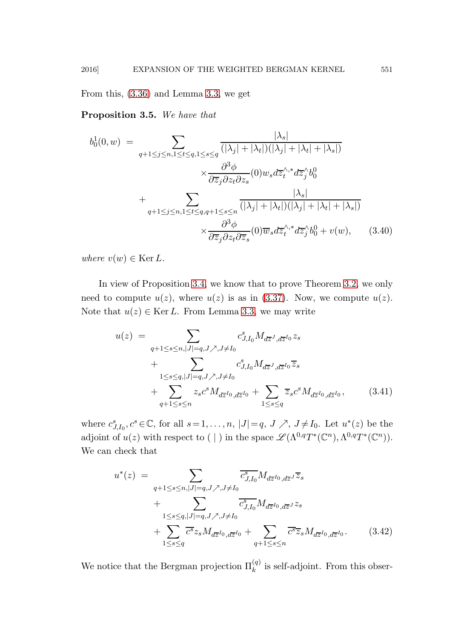From this, [\(3.36\)](#page-28-1) and Lemma [3.3,](#page-27-0) we get

Proposition 3.5. We have that

<span id="page-30-1"></span>
$$
b_0^1(0, w) = \sum_{q+1 \le j \le n, 1 \le t \le q, 1 \le s \le q} \frac{|\lambda_s|}{(|\lambda_j| + |\lambda_t|)(|\lambda_j| + |\lambda_t| + |\lambda_s|)}
$$

$$
\times \frac{\partial^3 \phi}{\partial \overline{z}_j \partial z_t \partial z_s} (0) w_s d\overline{z}_t^{\wedge, *} d\overline{z}_j^{\wedge} b_0^0
$$

$$
+ \sum_{q+1 \le j \le n, 1 \le t \le q, q+1 \le s \le n} \frac{|\lambda_s|}{(|\lambda_j| + |\lambda_t|)(|\lambda_j| + |\lambda_t| + |\lambda_s|)}
$$

$$
\times \frac{\partial^3 \phi}{\partial \overline{z}_j \partial z_t \partial \overline{z}_s} (0) \overline{w}_s d\overline{z}_t^{\wedge, *} d\overline{z}_j^{\wedge} b_0^0 + v(w), \qquad (3.40)
$$

where  $v(w) \in \text{Ker } L$ .

In view of Proposition [3.4,](#page-29-1) we know that to prove Theorem [3.2,](#page-22-2) we only need to compute  $u(z)$ , where  $u(z)$  is as in [\(3.37\)](#page-29-0). Now, we compute  $u(z)$ . Note that  $u(z) \in \text{Ker } L$ . From Lemma [3.3,](#page-27-0) we may write

<span id="page-30-2"></span>
$$
u(z) = \sum_{\substack{q+1 \le s \le n, |J|=q, J \nearrow, J \neq I_0}} c_{J,I_0}^s M_{d\overline{z}^J, d\overline{z}^{I_0}} z_s + \sum_{1 \le s \le q, |J|=q, J \nearrow, J \neq I_0} c_{J,I_0}^s M_{d\overline{z}^J, d\overline{z}^{I_0}} \overline{z}_s + \sum_{\substack{q+1 \le s \le n}} z_s c^s M_{d\overline{z}^{I_0}, d\overline{z}^{I_0}} + \sum_{\substack{1 \le s \le q}} \overline{z}_s c^s M_{d\overline{z}^{I_0}, d\overline{z}^{I_0}},
$$
(3.41)

where  $c_{J,I_0}^s, c^s \in \mathbb{C}$ , for all  $s=1,\ldots,n$ ,  $|J|=q$ ,  $J \nearrow$ ,  $J \neq I_0$ . Let  $u^*(z)$  be the adjoint of  $u(z)$  with respect to (|) in the space  $\mathscr{L}(\Lambda^{0,q}T^*(\mathbb{C}^n),\Lambda^{0,q}T^*(\mathbb{C}^n)).$ We can check that

<span id="page-30-0"></span>
$$
u^{*}(z) = \sum_{\substack{q+1 \le s \le n, |J|=q, J \nearrow, J \ne I_0}} \overline{c}_{J,I_0}^{s} M_{d\overline{z}^{I_0}, d\overline{z}^{J}} \overline{z}_{s} + \sum_{\substack{1 \le s \le q, |J|=q, J \nearrow, J \ne I_0}} \overline{c}_{J,I_0}^{s} M_{d\overline{z}^{I_0}, d\overline{z}^{J}} z_{s} + \sum_{\substack{1 \le s \le q}} \overline{c}^{s} z_{s} M_{d\overline{z}^{I_0}, d\overline{z}^{I_0}} + \sum_{\substack{q+1 \le s \le n}} \overline{c}^{s} \overline{z}_{s} M_{d\overline{z}^{I_0}, d\overline{z}^{I_0}}.
$$
 (3.42)

We notice that the Bergman projection  $\Pi_k^{(q)}$  is self-adjoint. From this obser-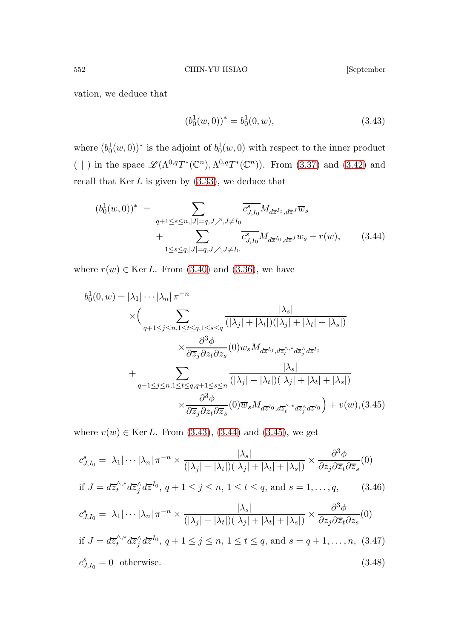vation, we deduce that

<span id="page-31-0"></span>
$$
(b_0^1(w,0))^* = b_0^1(0,w), \tag{3.43}
$$

where  $(b_0^1(w, 0))^*$  is the adjoint of  $b_0^1(w, 0)$  with respect to the inner product ( | ) in the space  $\mathscr{L}(\Lambda^{0,q}T^*(\mathbb{C}^n),\Lambda^{0,q}T^*(\mathbb{C}^n))$ . From [\(3.37\)](#page-29-0) and [\(3.42\)](#page-30-0) and recall that  $\text{Ker } L$  is given by  $(3.33)$ , we deduce that

<span id="page-31-1"></span>
$$
(b_0^1(w,0))^* = \sum_{\substack{q+1 \le s \le n, |J|=q, J \nearrow, J \neq I_0 \\ +} \sum_{1 \le s \le q, |J|=q, J \nearrow, J \neq I_0}} \overline{c_{J,I_0}^s} M_{d\overline{z}^{I_0}, d\overline{z}^{J}} \overline{w}_s
$$
  
+ 
$$
\sum_{1 \le s \le q, |J|=q, J \nearrow, J \neq I_0} \overline{c_{J,I_0}^s} M_{d\overline{z}^{I_0}, d\overline{z}^{J}} w_s + r(w),
$$
(3.44)

where  $r(w) \in \text{Ker } L$ . From [\(3.40\)](#page-30-1) and [\(3.36\)](#page-28-1), we have

<span id="page-31-2"></span>
$$
b_0^1(0, w) = |\lambda_1| \cdots |\lambda_n| \pi^{-n}
$$
  
\n
$$
\times \Biggl(\sum_{q+1 \leq j \leq n, 1 \leq t \leq q, 1 \leq s \leq q} \frac{|\lambda_s|}{(|\lambda_j| + |\lambda_t|)(|\lambda_j| + |\lambda_t| + |\lambda_s|)}
$$
  
\n
$$
\times \frac{\partial^3 \phi}{\partial \overline{z}_j \partial z_t \partial z_s}(0) w_s M_{d\overline{z}^{I_0}, d\overline{z}_t^{\wedge,*} d\overline{z}_j^{\wedge} d\overline{z}^{I_0}}
$$
  
\n
$$
+ \sum_{q+1 \leq j \leq n, 1 \leq t \leq q, q+1 \leq s \leq n} \frac{|\lambda_s|}{(|\lambda_j| + |\lambda_t|)(|\lambda_j| + |\lambda_t| + |\lambda_s|)}
$$
  
\n
$$
\times \frac{\partial^3 \phi}{\partial \overline{z}_j \partial z_t \partial \overline{z}_s}(0) \overline{w}_s M_{d\overline{z}^{I_0}, d\overline{z}_t^{\wedge,*} d\overline{z}_j^{\wedge} d\overline{z}^{I_0}}) + v(w), (3.45)
$$

where  $v(w) \in \text{Ker } L$ . From [\(3.43\)](#page-31-0), [\(3.44\)](#page-31-1) and [\(3.45\)](#page-31-2), we get

$$
c_{J,I_0}^s = |\lambda_1| \cdots |\lambda_n| \pi^{-n} \times \frac{|\lambda_s|}{(|\lambda_j| + |\lambda_t|)(|\lambda_j| + |\lambda_t| + |\lambda_s|)} \times \frac{\partial^3 \phi}{\partial z_j \partial \overline{z}_t \partial \overline{z}_s} (0)
$$
  
if  $J = d\overline{z}_t^{\wedge,*} d\overline{z}_j^{\wedge} d\overline{z}^{I_0}, q + 1 \le j \le n, 1 \le t \le q$ , and  $s = 1, ..., q$ , (3.46)  

$$
c_{J,I_0}^s = |\lambda_1| \cdots |\lambda_n| \pi^{-n} \times \frac{|\lambda_s|}{(|\lambda_j| + |\lambda_t|)(|\lambda_j| + |\lambda_t| + |\lambda_s|)} \times \frac{\partial^3 \phi}{\partial z_j \partial \overline{z}_t \partial z_s} (0)
$$
  
if  $I = d\overline{z}^{\wedge,*} d\overline{z}^{\wedge} d\overline{z}^{I_0}$   $a + 1 \le j \le n, 1 \le t \le q$ , and  $s = a + 1, ..., n$ , (3.47)

if 
$$
J = d\overline{z}'_t^{s*} d\overline{z}'_j d\overline{z}^{I_0}
$$
,  $q + 1 \le j \le n$ ,  $1 \le t \le q$ , and  $s = q + 1, ..., n$ , (3.47)  
 $c_{J,I_0}^s = 0$  otherwise. (3.48)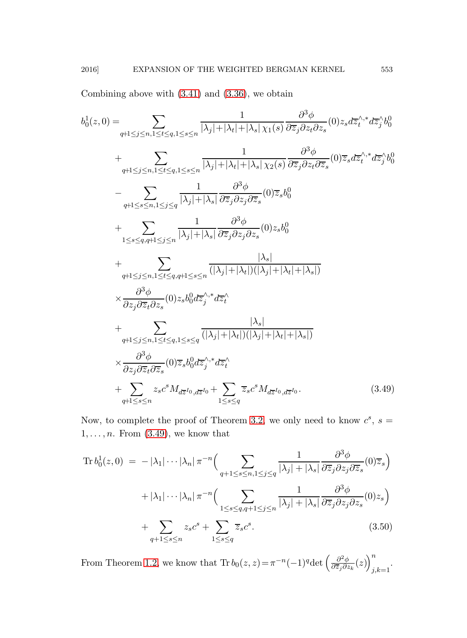Combining above with  $(3.41)$  and  $(3.36)$ , we obtain

<span id="page-32-0"></span>
$$
b_0^1(z,0) = \sum_{q+1 \le j \le n, 1 \le t \le q, 1 \le s \le n} \frac{1}{|\lambda_j| + |\lambda_t| + |\lambda_s| \chi_1(s)} \frac{\partial^3 \phi}{\partial z_j \partial z_t \partial z_s} (0) z_s d\overline{z}_t^{\wedge,*} d\overline{z}_j^{\wedge} b_0^0
$$
  
+ 
$$
\sum_{q+1 \le j \le n, 1 \le t \le q, 1 \le s \le n} \frac{1}{|\lambda_j| + |\lambda_t| + |\lambda_s| \chi_2(s)} \frac{\partial^3 \phi}{\partial \overline{z}_j \partial z_t \partial \overline{z}_s} (0) \overline{z}_s d\overline{z}_t^{\wedge,*} d\overline{z}_j^{\wedge} b_0^0
$$
  
- 
$$
\sum_{q+1 \le s \le n, 1 \le j \le q} \frac{1}{|\lambda_j| + |\lambda_s|} \frac{\partial^3 \phi}{\partial \overline{z}_j \partial z_j \partial \overline{z}_s} (0) \overline{z}_s b_0^0
$$
  
+ 
$$
\sum_{1 \le s \le q, q+1 \le j \le n} \frac{1}{|\lambda_j| + |\lambda_s|} \frac{\partial^3 \phi}{\partial \overline{z}_j \partial z_j \partial z_s} (0) z_s b_0^0
$$
  
+ 
$$
\sum_{q+1 \le j \le n, 1 \le t \le q, q+1 \le s \le n} \frac{|\lambda_s|}{(|\lambda_j| + |\lambda_t|)(|\lambda_j| + |\lambda_t| + |\lambda_s|)}
$$
  

$$
\times \frac{\partial^3 \phi}{\partial z_j \partial \overline{z}_t \partial z_s} (0) z_s b_0^0 d\overline{z}_j^{\wedge,*} d\overline{z}_t^{\wedge}
$$
  
+ 
$$
\sum_{q+1 \le j \le n, 1 \le t \le q, 1 \le s \le q} \frac{|\lambda_s|}{(|\lambda_j| + |\lambda_t|)(|\lambda_j| + |\lambda_t| + |\lambda_s|)}
$$
  

$$
\times \frac{\partial^3 \phi}{\partial z_j \partial \overline{z}_t \partial \overline{z}_s} (0) \overline{z}_s b_0^0 d\overline{z}_j^{\wedge,*} d\overline{z}_t^{\wedge}
$$
  
+ <math display="block</math>

Now, to complete the proof of Theorem [3.2,](#page-22-2) we only need to know  $c^s$ ,  $s =$  $1, \ldots, n$ . From  $(3.49)$ , we know that

<span id="page-32-1"></span>
$$
\operatorname{Tr} b_0^1(z,0) = -|\lambda_1| \cdots |\lambda_n| \pi^{-n} \Big( \sum_{q+1 \le s \le n, 1 \le j \le q} \frac{1}{|\lambda_j| + |\lambda_s|} \frac{\partial^3 \phi}{\partial \overline{z}_j \partial z_j \partial \overline{z}_s} (0) \overline{z}_s \Big) + |\lambda_1| \cdots |\lambda_n| \pi^{-n} \Big( \sum_{1 \le s \le q, q+1 \le j \le n} \frac{1}{|\lambda_j| + |\lambda_s|} \frac{\partial^3 \phi}{\partial \overline{z}_j \partial z_j \partial z_s} (0) z_s \Big) + \sum_{q+1 \le s \le n} z_s c^s + \sum_{1 \le s \le q} \overline{z}_s c^s.
$$
(3.50)

From Theorem [1.2,](#page-6-3) we know that  $\text{Tr } b_0(z, z) = \pi^{-n}(-1)^q \det \left( \frac{\partial^2 \phi}{\partial \overline{z_j} \partial z} \right)$  $\frac{\partial^2 \phi}{\partial \overline{z}_j \partial z_k}(z) \bigg)^n_i$  $_{j,k=1}$ .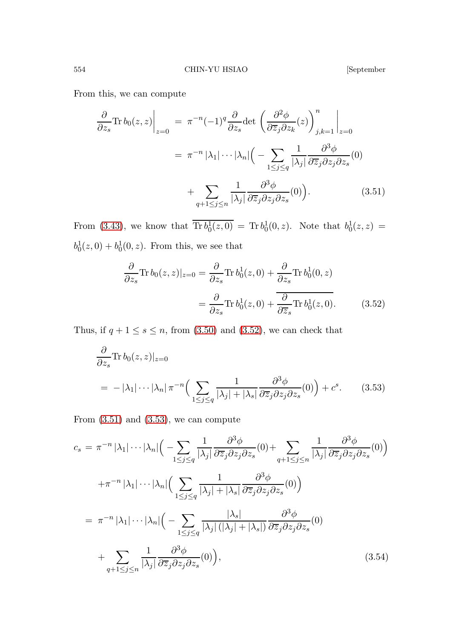<span id="page-33-0"></span>

From this, we can compute

<span id="page-33-1"></span>
$$
\frac{\partial}{\partial z_s} \text{Tr} \, b_0(z, z) \Big|_{z=0} = \pi^{-n} (-1)^q \frac{\partial}{\partial z_s} \text{det} \left( \frac{\partial^2 \phi}{\partial \overline{z}_j \partial z_k}(z) \right)_{j,k=1}^n \Big|_{z=0}
$$
\n
$$
= \pi^{-n} |\lambda_1| \cdots |\lambda_n| \Big( - \sum_{1 \le j \le q} \frac{1}{|\lambda_j|} \frac{\partial^3 \phi}{\partial \overline{z}_j \partial z_j \partial z_s}(0) + \sum_{q+1 \le j \le n} \frac{1}{|\lambda_j|} \frac{\partial^3 \phi}{\partial \overline{z}_j \partial z_j \partial z_s}(0) \Big). \tag{3.51}
$$

From [\(3.43\)](#page-31-0), we know that  $\text{Tr } b_0^1(z,0) = \text{Tr } b_0^1(0,z)$ . Note that  $b_0^1(z,z) =$  $b_0^1(z, 0) + b_0^1(0, z)$ . From this, we see that

$$
\frac{\partial}{\partial z_s} \text{Tr } b_0(z, z)|_{z=0} = \frac{\partial}{\partial z_s} \text{Tr } b_0^1(z, 0) + \frac{\partial}{\partial z_s} \text{Tr } b_0^1(0, z)
$$

$$
= \frac{\partial}{\partial z_s} \text{Tr } b_0^1(z, 0) + \frac{\partial}{\partial \overline{z}_s} \text{Tr } b_0^1(z, 0). \tag{3.52}
$$

Thus, if  $q + 1 \leq s \leq n$ , from [\(3.50\)](#page-32-1) and [\(3.52\)](#page-33-0), we can check that

<span id="page-33-2"></span>
$$
\frac{\partial}{\partial z_s} \text{Tr } b_0(z, z)|_{z=0}
$$
\n
$$
= -|\lambda_1| \cdots |\lambda_n| \pi^{-n} \Big( \sum_{1 \le j \le q} \frac{1}{|\lambda_j| + |\lambda_s|} \frac{\partial^3 \phi}{\partial \overline{z}_j \partial z_j \partial z_s}(0) \Big) + c^s. \tag{3.53}
$$

From  $(3.51)$  and  $(3.53)$ , we can compute

<span id="page-33-3"></span>
$$
c_{s} = \pi^{-n} |\lambda_{1}| \cdots |\lambda_{n}| \Big( - \sum_{1 \leq j \leq q} \frac{1}{|\lambda_{j}|} \frac{\partial^{3} \phi}{\partial \overline{z}_{j} \partial z_{j} \partial z_{s}} (0) + \sum_{q+1 \leq j \leq n} \frac{1}{|\lambda_{j}|} \frac{\partial^{3} \phi}{\partial \overline{z}_{j} \partial z_{j} \partial z_{s}} (0) \Big)
$$
  

$$
+ \pi^{-n} |\lambda_{1}| \cdots |\lambda_{n}| \Big( \sum_{1 \leq j \leq q} \frac{1}{|\lambda_{j}| + |\lambda_{s}|} \frac{\partial^{3} \phi}{\partial \overline{z}_{j} \partial z_{j} \partial z_{s}} (0) \Big)
$$
  

$$
= \pi^{-n} |\lambda_{1}| \cdots |\lambda_{n}| \Big( - \sum_{1 \leq j \leq q} \frac{|\lambda_{s}|}{|\lambda_{j}| (|\lambda_{j}| + |\lambda_{s}|)} \frac{\partial^{3} \phi}{\partial \overline{z}_{j} \partial z_{j} \partial z_{s}} (0)
$$
  

$$
+ \sum_{q+1 \leq j \leq n} \frac{1}{|\lambda_{j}|} \frac{\partial^{3} \phi}{\partial \overline{z}_{j} \partial z_{j} \partial z_{s}} (0) \Big), \tag{3.54}
$$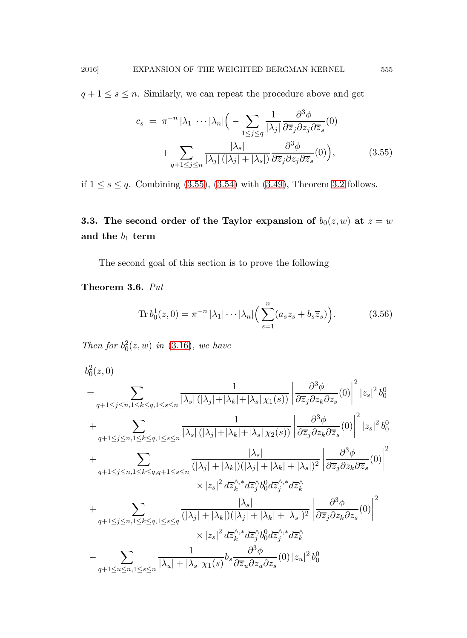$q + 1 \leq s \leq n$ . Similarly, we can repeat the procedure above and get

<span id="page-34-0"></span>
$$
c_s = \pi^{-n} |\lambda_1| \cdots |\lambda_n| \Big( - \sum_{1 \le j \le q} \frac{1}{|\lambda_j|} \frac{\partial^3 \phi}{\partial \overline{z}_j \partial z_j \partial \overline{z}_s} (0) + \sum_{q+1 \le j \le n} \frac{|\lambda_s|}{|\lambda_j| \left( |\lambda_j| + |\lambda_s| \right)} \frac{\partial^3 \phi}{\partial \overline{z}_j \partial z_j \partial \overline{z}_s} (0) \Big), \tag{3.55}
$$

if  $1 \le s \le q$ . Combining [\(3.55\)](#page-34-0), [\(3.54\)](#page-33-3) with [\(3.49\)](#page-32-0), Theorem [3.2](#page-22-2) follows.

3.3. The second order of the Taylor expansion of  $b_0(z, w)$  at  $z = w$ and the  $b_1$  term

<span id="page-34-2"></span>The second goal of this section is to prove the following

Theorem 3.6. Put

$$
\operatorname{Tr} b_0^1(z,0) = \pi^{-n} |\lambda_1| \cdots |\lambda_n| \left( \sum_{s=1}^n (a_s z_s + b_s \overline{z}_s) \right). \tag{3.56}
$$

Then for  $b_0^2(z, w)$  in [\(3.16\)](#page-21-0), we have

<span id="page-34-1"></span>
$$
b_0^2(z,0)
$$
\n
$$
= \sum_{q+1 \leq j \leq n, 1 \leq k \leq q, 1 \leq s \leq n} \frac{1}{|\lambda_s| (|\lambda_j| + |\lambda_k| + |\lambda_s| \chi_1(s))} \left| \frac{\partial^3 \phi}{\partial \overline{z}_j \partial z_k \partial z_s} (0) \right|^2 |z_s|^2 b_0^0
$$
\n
$$
+ \sum_{q+1 \leq j \leq n, 1 \leq k \leq q, 1 \leq s \leq n} \frac{1}{|\lambda_s| (|\lambda_j| + |\lambda_k| + |\lambda_s| \chi_2(s))} \left| \frac{\partial^3 \phi}{\partial \overline{z}_j \partial z_k \partial \overline{z}_s} (0) \right|^2 |z_s|^2 b_0^0
$$
\n
$$
+ \sum_{q+1 \leq j \leq n, 1 \leq k \leq q, q+1 \leq s \leq n} \frac{|\lambda_s|}{(|\lambda_j| + |\lambda_k|)(|\lambda_j| + |\lambda_k| + |\lambda_s|)^2} \left| \frac{\partial^3 \phi}{\partial \overline{z}_j \partial z_k \partial \overline{z}_s} (0) \right|^2
$$
\n
$$
\times |z_s|^2 d\overline{z}_k^{\wedge,*} d\overline{z}_j^{\wedge} b_0^0 d\overline{z}_j^{\wedge,*} d\overline{z}_k^{\wedge}
$$
\n
$$
+ \sum_{q+1 \leq j \leq n, 1 \leq k \leq q, 1 \leq s \leq q} \frac{|\lambda_s|}{(|\lambda_j| + |\lambda_k|)(|\lambda_j| + |\lambda_k| + |\lambda_s|)^2} \left| \frac{\partial^3 \phi}{\partial \overline{z}_j \partial z_k \partial z_s} (0) \right|^2
$$
\n
$$
\times |z_s|^2 d\overline{z}_k^{\wedge,*} d\overline{z}_j^{\wedge} b_0^0 d\overline{z}_j^{\wedge,*} d\overline{z}_k^{\wedge}
$$
\n
$$
- \sum_{q+1 \leq u \leq n, 1 \leq s \leq n} \frac{1}{|\lambda_u| + |\lambda_s| \chi_1(s)} b_s \frac{\partial^3 \phi}{\partial \overline{z}_u \partial z_u \partial z_s} (0) |z_u|^2 b_0^
$$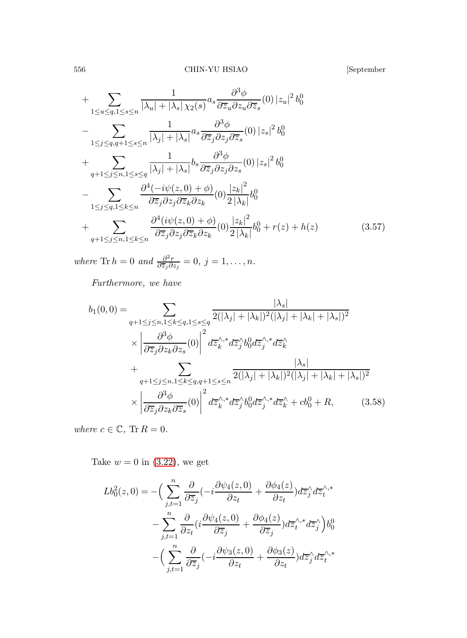+ 
$$
\sum_{1 \le u \le q, 1 \le s \le n} \frac{1}{|\lambda_u| + |\lambda_s| \chi_2(s)} a_s \frac{\partial^3 \phi}{\partial \overline{z}_u \partial z_u \partial \overline{z}_s} (0) |z_u|^2 b_0^0
$$
  
- 
$$
\sum_{1 \le j \le q, q+1 \le s \le n} \frac{1}{|\lambda_j| + |\lambda_s|} a_s \frac{\partial^3 \phi}{\partial \overline{z}_j \partial z_j \partial \overline{z}_s} (0) |z_s|^2 b_0^0
$$
  
+ 
$$
\sum_{q+1 \le j \le n, 1 \le s \le q} \frac{1}{|\lambda_j| + |\lambda_s|} b_s \frac{\partial^3 \phi}{\partial \overline{z}_j \partial z_j \partial z_s} (0) |z_s|^2 b_0^0
$$
  
- 
$$
\sum_{1 \le j \le q, 1 \le k \le n} \frac{\partial^4 (-i\psi(z, 0) + \phi)}{\partial \overline{z}_j \partial z_j \partial \overline{z}_k \partial z_k} (0) \frac{|z_k|^2}{2 |\lambda_k|} b_0^0
$$
  
+ 
$$
\sum_{q+1 \le j \le n, 1 \le k \le n} \frac{\partial^4 (i\psi(z, 0) + \phi)}{\partial \overline{z}_j \partial z_j \partial \overline{z}_k \partial z_k} (0) \frac{|z_k|^2}{2 |\lambda_k|} b_0^0 + r(z) + h(z)
$$
(3.57)

where Tr  $h = 0$  and  $\frac{\partial^2 r}{\partial \overline{z}_i \partial \overline{z}_j}$  $\frac{\partial^2 r}{\partial \overline{z}_j \partial z_j} = 0, j = 1, \ldots, n.$ 

Furthermore, we have

<span id="page-35-1"></span>
$$
b_1(0,0) = \sum_{q+1 \le j \le n, 1 \le k \le q, 1 \le s \le q} \frac{|\lambda_s|}{2(|\lambda_j| + |\lambda_k|)^2 (|\lambda_j| + |\lambda_k| + |\lambda_s|)^2}
$$
  
 
$$
\times \left| \frac{\partial^3 \phi}{\partial \overline{z}_j \partial z_k \partial z_s} (0) \right|^2 d\overline{z}_k^{\wedge,*} d\overline{z}_j^{\wedge} b_0^0 d\overline{z}_j^{\wedge,*} d\overline{z}_k^{\wedge}
$$
  
+ 
$$
\sum_{q+1 \le j \le n, 1 \le k \le q, q+1 \le s \le n} \frac{|\lambda_s|}{2(|\lambda_j| + |\lambda_k|)^2 (|\lambda_j| + |\lambda_k| + |\lambda_s|)^2}
$$
  
 
$$
\times \left| \frac{\partial^3 \phi}{\partial \overline{z}_j \partial z_k \partial \overline{z}_s} (0) \right|^2 d\overline{z}_k^{\wedge,*} d\overline{z}_j^{\wedge} b_0^0 d\overline{z}_j^{\wedge,*} d\overline{z}_k^{\wedge} + cb_0^0 + R,
$$
 (3.58)

where  $c \in \mathbb{C}$ ,  $\text{Tr } R = 0$ .

Take  $w = 0$  in [\(3.22\)](#page-23-1), we get

<span id="page-35-0"></span>
$$
Lb_0^2(z,0) = -\Big(\sum_{j,t=1}^n \frac{\partial}{\partial \overline{z}_j} \left(-i \frac{\partial \psi_4(z,0)}{\partial z_t} + \frac{\partial \phi_4(z)}{\partial z_t}\right) d\overline{z}_j^{\wedge} d\overline{z}_t^{\wedge,*}
$$

$$
-\sum_{j,t=1}^n \frac{\partial}{\partial z_t} \left(i \frac{\partial \psi_4(z,0)}{\partial \overline{z}_j} + \frac{\partial \phi_4(z)}{\partial \overline{z}_j}\right) d\overline{z}_t^{\wedge,*} d\overline{z}_j^{\wedge}\Big) b_0^0
$$

$$
-\Big(\sum_{j,t=1}^n \frac{\partial}{\partial \overline{z}_j} \left(-i \frac{\partial \psi_3(z,0)}{\partial z_t} + \frac{\partial \phi_3(z)}{\partial z_t}\right) d\overline{z}_j^{\wedge} d\overline{z}_t^{\wedge,*}
$$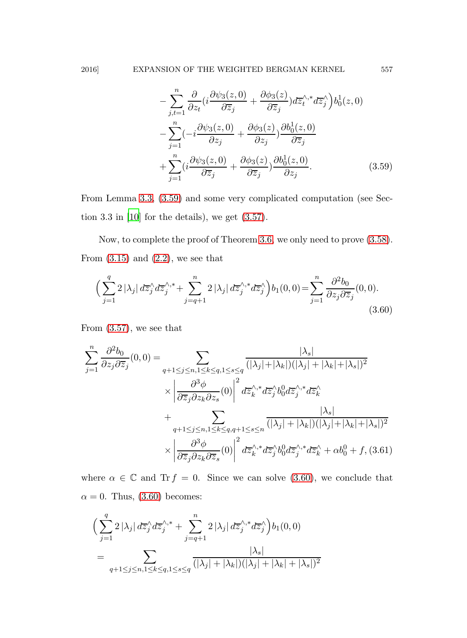$$
- \sum_{j,t=1}^{n} \frac{\partial}{\partial z_t} \left(i \frac{\partial \psi_3(z,0)}{\partial \overline{z}_j} + \frac{\partial \phi_3(z)}{\partial \overline{z}_j}\right) d\overline{z}_t^{\wedge,*} d\overline{z}_j^{\wedge} \right) b_0^1(z,0)
$$
  

$$
- \sum_{j=1}^{n} \left(-i \frac{\partial \psi_3(z,0)}{\partial z_j} + \frac{\partial \phi_3(z)}{\partial z_j}\right) \frac{\partial b_0^1(z,0)}{\partial \overline{z}_j}
$$
  

$$
+ \sum_{j=1}^{n} \left(i \frac{\partial \psi_3(z,0)}{\partial \overline{z}_j} + \frac{\partial \phi_3(z)}{\partial \overline{z}_j}\right) \frac{\partial b_0^1(z,0)}{\partial z_j}.
$$
 (3.59)

From Lemma [3.3,](#page-27-0) [\(3.59\)](#page-35-0) and some very complicated computation (see Section 3.3 in [\[10](#page-49-12)] for the details), we get [\(3.57\)](#page-34-1).

Now, to complete the proof of Theorem [3.6,](#page-34-2) we only need to prove [\(3.58\)](#page-35-1). From  $(3.15)$  and  $(2.2)$ , we see that

<span id="page-36-0"></span>
$$
\left(\sum_{j=1}^{q} 2|\lambda_j| d\overline{z}_j^{\wedge} d\overline{z}_j^{\wedge,*} + \sum_{j=q+1}^{n} 2|\lambda_j| d\overline{z}_j^{\wedge,*} d\overline{z}_j^{\wedge}\right) b_1(0,0) = \sum_{j=1}^{n} \frac{\partial^2 b_0}{\partial z_j \partial \overline{z}_j}(0,0).
$$
\n(3.60)

From [\(3.57\)](#page-34-1), we see that

$$
\sum_{j=1}^{n} \frac{\partial^2 b_0}{\partial z_j \partial \overline{z}_j}(0,0) = \sum_{\substack{q+1 \le j \le n, 1 \le k \le q, 1 \le s \le q}} \frac{|\lambda_s|}{(|\lambda_j| + |\lambda_k|)(|\lambda_j| + |\lambda_k| + |\lambda_s|)^2}
$$

$$
\times \left| \frac{\partial^3 \phi}{\partial \overline{z}_j \partial z_k \partial z_s}(0) \right|^2 d\overline{z}_k^{\wedge,*} d\overline{z}_j^{\wedge} b_0^0 d\overline{z}_j^{\wedge,*} d\overline{z}_k^{\wedge}
$$

$$
+ \sum_{\substack{q+1 \le j \le n, 1 \le k \le q, q+1 \le s \le n}} \frac{|\lambda_s|}{(|\lambda_j| + |\lambda_k|)(|\lambda_j| + |\lambda_k| + |\lambda_s|)^2}
$$

$$
\times \left| \frac{\partial^3 \phi}{\partial \overline{z}_j \partial z_k \partial \overline{z}_s}(0) \right|^2 d\overline{z}_k^{\wedge,*} d\overline{z}_j^{\wedge} b_0^0 d\overline{z}_j^{\wedge,*} d\overline{z}_k^{\wedge} + \alpha b_0^0 + f, (3.61)
$$

where  $\alpha \in \mathbb{C}$  and Tr  $f = 0$ . Since we can solve [\(3.60\)](#page-36-0), we conclude that  $\alpha = 0$ . Thus, [\(3.60\)](#page-36-0) becomes:

$$
\left(\sum_{j=1}^{q} 2|\lambda_j| d\overline{z}_j^{\wedge} d\overline{z}_j^{\wedge,*} + \sum_{j=q+1}^{n} 2|\lambda_j| d\overline{z}_j^{\wedge,*} d\overline{z}_j^{\wedge}\right) b_1(0,0)
$$
  
= 
$$
\sum_{q+1 \leq j \leq n, 1 \leq k \leq q, 1 \leq s \leq q} \frac{|\lambda_s|}{(|\lambda_j| + |\lambda_k|)(|\lambda_j| + |\lambda_k| + |\lambda_s|)^2}
$$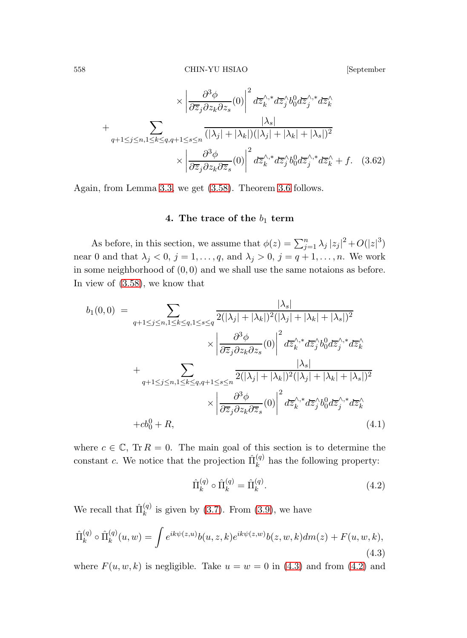$$
\times \left| \frac{\partial^3 \phi}{\partial \overline{z}_j \partial z_k \partial z_s} (0) \right|^2 d\overline{z}_k^{\wedge, *} d\overline{z}_j^{\wedge} b_0^0 d\overline{z}_j^{\wedge, *} d\overline{z}_k^{\wedge}
$$
  
+
$$
\sum_{q+1 \leq j \leq n, 1 \leq k \leq q, q+1 \leq s \leq n} \frac{|\lambda_s|}{(|\lambda_j| + |\lambda_k|)(|\lambda_j| + |\lambda_k| + |\lambda_s|)^2}
$$

$$
\times \left| \frac{\partial^3 \phi}{\partial \overline{z}_j \partial z_k \partial \overline{z}_s} (0) \right|^2 d\overline{z}_k^{\wedge, *} d\overline{z}_j^{\wedge} b_0^0 d\overline{z}_j^{\wedge, *} d\overline{z}_k^{\wedge} + f. \quad (3.62)
$$

Again, from Lemma [3.3,](#page-27-0) we get [\(3.58\)](#page-35-1). Theorem [3.6](#page-34-2) follows.

### 4. The trace of the  $b_1$  term

As before, in this section, we assume that  $\phi(z) = \sum_{j=1}^{n} \lambda_j |z_j|^2 + O(|z|^3)$ near 0 and that  $\lambda_j < 0$ ,  $j = 1, \ldots, q$ , and  $\lambda_j > 0$ ,  $j = q + 1, \ldots, n$ . We work in some neighborhood of  $(0, 0)$  and we shall use the same notaions as before. In view of [\(3.58\)](#page-35-1), we know that

<span id="page-37-2"></span>
$$
b_1(0,0) = \sum_{q+1 \le j \le n, 1 \le k \le q, 1 \le s \le q} \frac{|\lambda_s|}{2(|\lambda_j| + |\lambda_k|)^2 (|\lambda_j| + |\lambda_k| + |\lambda_s|)^2} \times \left| \frac{\partial^3 \phi}{\partial \overline{z}_j \partial z_k \partial z_s}(0) \right|^2 d\overline{z}_k^{\wedge,*} d\overline{z}_j^{\wedge} b_0^0 d\overline{z}_j^{\wedge,*} d\overline{z}_k^{\wedge} \times \left| \frac{\partial^3 \phi}{\partial z_j \partial z_k \partial z_s}(0) \right|^2 d\overline{z}_k^{\wedge,*} d\overline{z}_j^{\wedge} b_0^0 d\overline{z}_j^{\wedge,*} d\overline{z}_k^{\wedge} \times \left| \frac{\partial^3 \phi}{\partial \overline{z}_j \partial z_k \partial \overline{z}_s}(0) \right|^2 d\overline{z}_k^{\wedge,*} d\overline{z}_j^{\wedge} b_0^0 d\overline{z}_j^{\wedge,*} d\overline{z}_k^{\wedge} \times \left| \frac{\partial^0 \phi}{\partial \overline{z}_j \partial z_k \partial \overline{z}_s}(0) \right|^2 d\overline{z}_k^{\wedge,*} d\overline{z}_j^{\wedge} b_0^0 d\overline{z}_j^{\wedge,*} d\overline{z}_k^{\wedge} \tag{4.1}
$$

where  $c \in \mathbb{C}$ , Tr  $R = 0$ . The main goal of this section is to determine the constant c. We notice that the projection  $\hat{\Pi}_k^{(q)}$  $\kappa^{(q)}$  has the following property:

<span id="page-37-1"></span><span id="page-37-0"></span>
$$
\hat{\Pi}_k^{(q)} \circ \hat{\Pi}_k^{(q)} = \hat{\Pi}_k^{(q)}.\tag{4.2}
$$

We recall that  $\hat{\Pi}_k^{(q)}$  $\binom{q}{k}$  is given by [\(3.7\)](#page-19-5). From [\(3.9\)](#page-20-0), we have

$$
\hat{\Pi}_{k}^{(q)} \circ \hat{\Pi}_{k}^{(q)}(u, w) = \int e^{ik\psi(z, u)} b(u, z, k) e^{ik\psi(z, w)} b(z, w, k) dm(z) + F(u, w, k),
$$
\n(4.3)

where  $F(u, w, k)$  is negligible. Take  $u = w = 0$  in [\(4.3\)](#page-37-0) and from [\(4.2\)](#page-37-1) and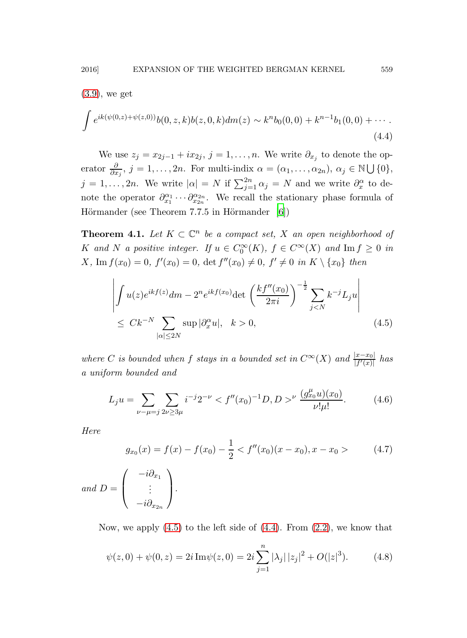<span id="page-38-1"></span>
$$
(3.9),\,\mathrm{we\,\,get}
$$

$$
\int e^{ik(\psi(0,z)+\psi(z,0))} b(0,z,k)b(z,0,k)dm(z) \sim k^n b_0(0,0) + k^{n-1}b_1(0,0) + \cdots
$$
\n(4.4)

We use  $z_j = x_{2j-1} + ix_{2j}, j = 1, ..., n$ . We write  $\partial_{x_j}$  to denote the operator  $\frac{\partial}{\partial x_j}$ ,  $j = 1, ..., 2n$ . For multi-indix  $\alpha = (\alpha_1, ..., \alpha_{2n})$ ,  $\alpha_j \in \mathbb{N} \cup \{0\}$ ,  $j = 1, \ldots, 2n$ . We write  $|\alpha| = N$  if  $\sum_{j=1}^{2n} \alpha_j = N$  and we write  $\partial_x^{\alpha}$  to denote the operator  $\partial_{x_1}^{\alpha_1} \cdots \partial_{x_{2n}}^{\alpha_{2n}}$ . We recall the stationary phase formula of Hörmander (see Theorem 7.7.5 in Hörmander  $[6]$ )

**Theorem 4.1.** Let  $K \subset \mathbb{C}^n$  be a compact set, X an open neighborhood of K and N a positive integer. If  $u \in C_0^{\infty}(K)$ ,  $f \in C^{\infty}(X)$  and  $\text{Im } f \geq 0$  in  $X, \text{Im } f(x_0) = 0, \ f'(x_0) = 0, \ \det f''(x_0) \neq 0, \ f' \neq 0 \ \text{in } K \setminus \{x_0\} \ \text{then}$ 

<span id="page-38-0"></span>
$$
\left| \int u(z)e^{ikf(z)}dm - 2^n e^{ikf(x_0)} \det \left( \frac{kf''(x_0)}{2\pi i} \right)^{-\frac{1}{2}} \sum_{j < N} k^{-j} L_j u \right|
$$
\n
$$
\leq C k^{-N} \sum_{|\alpha| \leq 2N} \sup |\partial_x^{\alpha} u|, \quad k > 0,
$$
\n
$$
(4.5)
$$

where C is bounded when f stays in a bounded set in  $C^{\infty}(X)$  and  $\frac{|x-x_0|}{|f'(x)|}$  has a uniform bounded and

$$
L_j u = \sum_{\nu - \mu = j} \sum_{2\nu \ge 3\mu} i^{-j} 2^{-\nu} < f''(x_0)^{-1} D, D >^{\nu} \frac{(g_{x_0}^{\mu} u)(x_0)}{\nu! \mu!}.\tag{4.6}
$$

Here

$$
g_{x_0}(x) = f(x) - f(x_0) - \frac{1}{2} < f''(x_0)(x - x_0), x - x_0 > \tag{4.7}
$$

and 
$$
D = \begin{pmatrix} -i\partial_{x_1} \\ \vdots \\ -i\partial_{x_{2n}} \end{pmatrix}
$$
.

Now, we apply  $(4.5)$  to the left side of  $(4.4)$ . From  $(2.2)$ , we know that

$$
\psi(z,0) + \psi(0,z) = 2i \operatorname{Im} \psi(z,0) = 2i \sum_{j=1}^{n} |\lambda_j| |z_j|^2 + O(|z|^3). \tag{4.8}
$$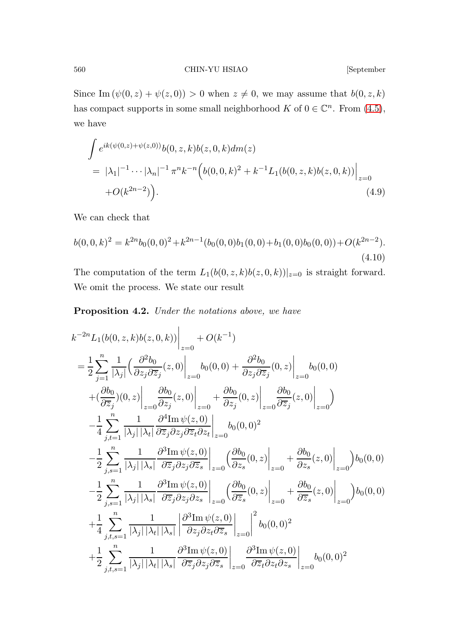Since Im  $(\psi(0, z) + \psi(z, 0)) > 0$  when  $z \neq 0$ , we may assume that  $b(0, z, k)$ has compact supports in some small neighborhood  $K$  of  $0 \in \mathbb{C}^n$ . From [\(4.5\)](#page-38-0), we have

<span id="page-39-0"></span>
$$
\int e^{ik(\psi(0,z)+\psi(z,0))} b(0,z,k)b(z,0,k)dm(z)
$$
  
=  $|\lambda_1|^{-1} \cdots |\lambda_n|^{-1} \pi^n k^{-n} (b(0,0,k)^2 + k^{-1} L_1(b(0,z,k)b(z,0,k))|_{z=0}$   
+ $O(k^{2n-2})$ ). (4.9)

<span id="page-39-1"></span>We can check that

$$
b(0,0,k)^2 = k^{2n}b_0(0,0)^2 + k^{2n-1}(b_0(0,0)b_1(0,0) + b_1(0,0)b_0(0,0)) + O(k^{2n-2}).
$$
\n(4.10)

The computation of the term  $L_1(b(0, z, k)b(z, 0, k))|_{z=0}$  is straight forward. We omit the process. We state our result

Proposition 4.2. Under the notations above, we have

<span id="page-39-2"></span>
$$
k^{-2n}L_{1}(b(0, z, k)b(z, 0, k))\Big|_{z=0} + O(k^{-1})
$$
\n
$$
= \frac{1}{2} \sum_{j=1}^{n} \frac{1}{|\lambda_{j}|} \Big(\frac{\partial^{2}b_{0}}{\partial z_{j}\partial\overline{z}_{j}}(z, 0)\Big|_{z=0} b_{0}(0, 0) + \frac{\partial^{2}b_{0}}{\partial z_{j}\partial\overline{z}_{j}}(0, z)\Big|_{z=0} b_{0}(0, 0)
$$
\n
$$
+ (\frac{\partial b_{0}}{\partial \overline{z}_{j}})(0, z)\Big|_{z=0} + \frac{\partial b_{0}}{\partial z_{j}}(z, 0)\Big|_{z=0} + \frac{\partial b_{0}}{\partial z_{j}}(0, z)\Big|_{z=0} + \frac{\partial b_{0}}{\partial z_{j}}(z, 0)\Big|_{z=0}\Big)
$$
\n
$$
- \frac{1}{4} \sum_{j,t=1}^{n} \frac{1}{|\lambda_{j}| |\lambda_{t}|} \frac{\partial^{4}\text{Im}\,\psi(z, 0)}{\partial \overline{z}_{j}\partial z_{j}\partial \overline{z}_{t}\partial z_{t}}\Big|_{z=0} b_{0}(0, 0)^{2}
$$
\n
$$
- \frac{1}{2} \sum_{j,s=1}^{n} \frac{1}{|\lambda_{j}| |\lambda_{s}|} \frac{\partial^{3}\text{Im}\,\psi(z, 0)}{\partial \overline{z}_{j}\partial z_{j}\partial \overline{z}_{s}}\Big|_{z=0} + \frac{\partial b_{0}}{\partial z_{s}}(0, z)\Big|_{z=0} + \frac{\partial b_{0}}{\partial z_{s}}(z, 0)\Big|_{z=0} b_{0}(0, 0)
$$
\n
$$
- \frac{1}{2} \sum_{j,s=1}^{n} \frac{1}{|\lambda_{j}| |\lambda_{s}|} \frac{\partial^{3}\text{Im}\,\psi(z, 0)}{\partial \overline{z}_{j}\partial z_{j}\partial z_{s}}\Big|_{z=0} + \frac{\partial b_{0}}{\partial \overline{z}_{s}}(0, z)\Big|_{z=0} + \frac{\partial b_{0}}{\partial \overline{z}_{s}}(z, 0)\Big|_{z=0} b_{0}(0, 0)
$$
\n
$$
+ \frac{1}{4} \sum_{j,t,s=1}^{n
$$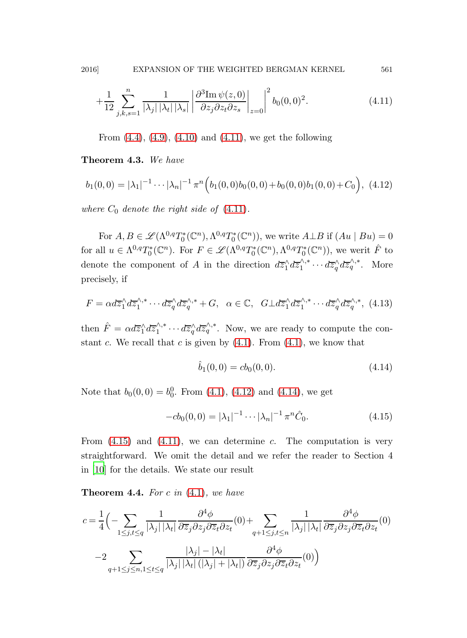$$
+\frac{1}{12}\sum_{j,k,s=1}^{n}\frac{1}{|\lambda_j||\lambda_t||\lambda_s|}\left|\frac{\partial^3 \mathrm{Im}\,\psi(z,0)}{\partial z_j \partial z_t \partial z_s}\right|_{z=0}\right|^2 b_0(0,0)^2.
$$
 (4.11)

<span id="page-40-0"></span>From  $(4.4)$ ,  $(4.9)$ ,  $(4.10)$  and  $(4.11)$ , we get the following

Theorem 4.3. We have

$$
b_1(0,0) = |\lambda_1|^{-1} \cdots |\lambda_n|^{-1} \pi^n \Big(b_1(0,0)b_0(0,0) + b_0(0,0)b_1(0,0) + C_0\Big), \tag{4.12}
$$

where  $C_0$  denote the right side of  $(4.11)$ .

For  $A, B \in \mathscr{L}(\Lambda^{0,q}T_0^*(\mathbb{C}^n), \Lambda^{0,q}T_0^*(\mathbb{C}^n))$ , we write  $A \perp B$  if  $(Au \mid Bu) = 0$ for all  $u \in \Lambda^{0,q}T_0^*(\mathbb{C}^n)$ . For  $F \in \mathscr{L}(\Lambda^{0,q}T_0^*(\mathbb{C}^n), \Lambda^{0,q}T_0^*(\mathbb{C}^n))$ , we werit  $\hat{F}$  to denote the component of A in the direction  $d\overline{z}_1^{\wedge} d\overline{z}_1^{\wedge,*}$  $i_1^{\wedge,*}\cdots d\overline{z}_q^{\wedge}d\overline{z}_q^{\wedge,*}$ . More precisely, if

$$
F = \alpha d\overline{z}_1^{\wedge} d\overline{z}_1^{\wedge,*} \cdots d\overline{z}_q^{\wedge} d\overline{z}_q^{\wedge,*} + G, \ \ \alpha \in \mathbb{C}, \ \ G \perp d\overline{z}_1^{\wedge} d\overline{z}_1^{\wedge,*} \cdots d\overline{z}_q^{\wedge} d\overline{z}_q^{\wedge,*}, \ (4.13)
$$

then  $\hat{F} = \alpha d\overline{z}_1^{\wedge} d\overline{z}_1^{\wedge,*}$  $i_1^{\wedge,*}\cdots d\overline{z}_q^{\wedge}d\overline{z}_q^{\wedge,*}$ . Now, we are ready to compute the constant c. We recall that c is given by  $(4.1)$ . From  $(4.1)$ , we know that

<span id="page-40-2"></span><span id="page-40-1"></span>
$$
\hat{b}_1(0,0) = cb_0(0,0). \tag{4.14}
$$

Note that  $b_0(0,0) = b_0^0$ . From [\(4.1\)](#page-37-2), [\(4.12\)](#page-40-0) and [\(4.14\)](#page-40-1), we get

$$
-cb_0(0,0) = |\lambda_1|^{-1} \cdots |\lambda_n|^{-1} \pi^n \hat{C}_0.
$$
 (4.15)

From  $(4.15)$  and  $(4.11)$ , we can determine c. The computation is very straightforward. We omit the detail and we refer the reader to Section 4 in [\[10](#page-49-12)] for the details. We state our result

**Theorem 4.4.** For c in  $(4.1)$ , we have

<span id="page-40-3"></span>
$$
c = \frac{1}{4} \Big( - \sum_{1 \le j, t \le q} \frac{1}{|\lambda_j| |\lambda_t|} \frac{\partial^4 \phi}{\partial \overline{z}_j \partial z_j \partial \overline{z}_t \partial z_t} (0) + \sum_{q+1 \le j, t \le n} \frac{1}{|\lambda_j| |\lambda_t|} \frac{\partial^4 \phi}{\partial \overline{z}_j \partial z_j \partial \overline{z}_t \partial z_t} (0)
$$

$$
-2 \sum_{q+1 \le j \le n, 1 \le t \le q} \frac{|\lambda_j| - |\lambda_t|}{|\lambda_j| |\lambda_t| (|\lambda_j| + |\lambda_t|)} \frac{\partial^4 \phi}{\partial \overline{z}_j \partial z_j \partial \overline{z}_t \partial z_t} (0) \Big)
$$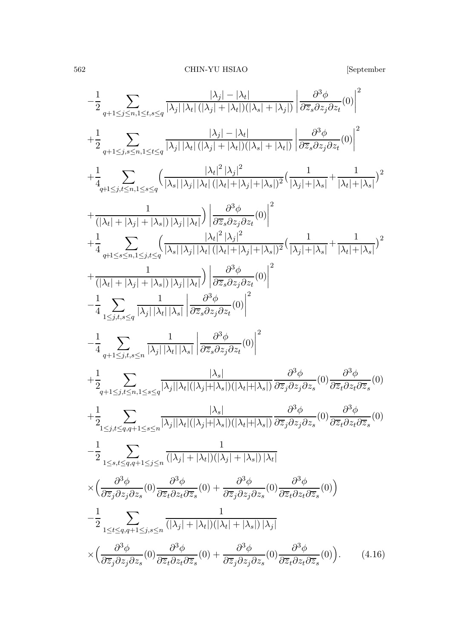$$
-\frac{1}{2} \sum_{q+1 \leq j \leq n, 1 \leq t,s \leq q} \frac{|\lambda_j| - |\lambda_t|}{|\lambda_j| |\lambda_t| (|\lambda_j| + |\lambda_t|)(|\lambda_s| + |\lambda_j|)} \left|\frac{\partial^3 \phi}{\partial \overline{z}_s \partial z_j \partial z_t}(0)\right|^2 + \frac{1}{2} \sum_{q+1 \leq j,s \leq n, 1 \leq t \leq q} \frac{|\lambda_j| - |\lambda_t|}{|\lambda_j| |\lambda_t| (|\lambda_j| + |\lambda_t|)(|\lambda_s| + |\lambda_t|)} \left|\frac{\partial^3 \phi}{\partial \overline{z}_s \partial z_j \partial z_t}(0)\right|^2 + \frac{1}{4} \sum_{q+1 \leq j,t \leq n, 1 \leq s \leq q} \left(\frac{|\lambda_t|^2 |\lambda_j|^2}{|\lambda_s| |\lambda_j| |\lambda_t| (|\lambda_t| + |\lambda_j| + |\lambda_s|)^2} \left(\frac{1}{|\lambda_j| + |\lambda_s|} + \frac{1}{|\lambda_t| + |\lambda_s|}\right)^2 + \frac{1}{(|\lambda_t| + |\lambda_j| + |\lambda_s|) |\lambda_j| |\lambda_t|} \left|\frac{\partial^3 \phi}{\partial \overline{z}_s \partial z_j \partial z_t}(0)\right|^2 + \frac{1}{4} \sum_{q+1 \leq s \leq n, 1 \leq j,t \leq q} \frac{|\lambda_t|^2 |\lambda_j|^2}{|\lambda_s| |\lambda_t| (|\lambda_t| + |\lambda_j| + |\lambda_s|)^2} \left(\frac{1}{|\lambda_j| + |\lambda_s|} + \frac{1}{|\lambda_t| + |\lambda_s|}\right)^2 + \frac{1}{(|\lambda_t| + |\lambda_j| + |\lambda_s|) |\lambda_j| |\lambda_t|} \left|\frac{\partial^3 \phi}{\partial \overline{z}_s \partial z_j \partial z_t}(0)\right|^2 - \frac{1}{4} \sum_{q+1 \leq j,t,s \leq q} \frac{1}{|\lambda_j| |\lambda_t| |\lambda_s|} \left|\frac{\partial^3 \phi}{\partial \overline{z}_s \partial z_j \partial z_t}(0)\right|^2 - \frac{1}{4} \sum_{q+1 \leq j,t,s \leq q} \frac{1}{|\lambda_j| |\lambda_t| |\lambda_s|} \left|\frac{\partial^3 \phi}{\partial \overline{z}_s \partial z_j \partial z_t}(0)\right|^2 - \frac{1}{2} \sum
$$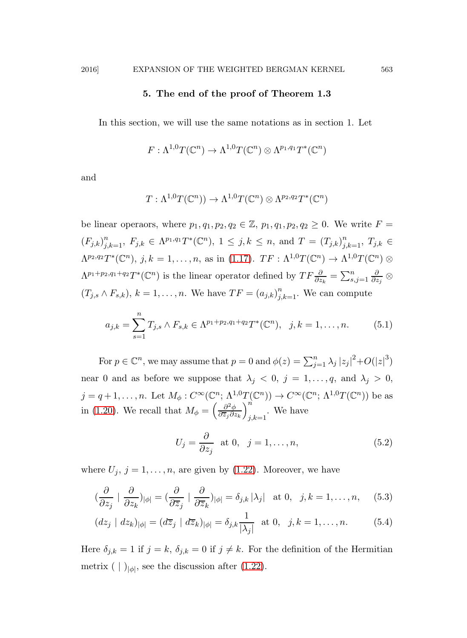### 5. The end of the proof of Theorem 1.3

In this section, we will use the same notations as in section 1. Let

$$
F: \Lambda^{1,0}T(\mathbb{C}^n) \to \Lambda^{1,0}T(\mathbb{C}^n) \otimes \Lambda^{p_1,q_1}T^*(\mathbb{C}^n)
$$

and

<span id="page-42-0"></span>
$$
T: \Lambda^{1,0}T(\mathbb{C}^n) \to \Lambda^{1,0}T(\mathbb{C}^n) \otimes \Lambda^{p_2,q_2}T^*(\mathbb{C}^n)
$$

be linear operaors, where  $p_1, q_1, p_2, q_2 \in \mathbb{Z}$ ,  $p_1, q_1, p_2, q_2 \geq 0$ . We write  $F =$  $(F_{j,k})_{j,k=1}^n$ ,  $F_{j,k} \in \Lambda^{p_1,q_1}T^*(\mathbb{C}^n)$ ,  $1 \leq j,k \leq n$ , and  $T = (T_{j,k})_{j,k=1}^n$ ,  $T_{j,k} \in$  $\Lambda^{p_2,q_2}T^*({\mathbb C}^n), j,k = 1,\ldots,n$ , as in [\(1.17\)](#page-7-0).  $TF: \Lambda^{1,0}T({\mathbb C}^n) \to \Lambda^{1,0}T({\mathbb C}^n) \otimes$  $\Lambda^{p_1+p_2,q_1+q_2}T^*(\mathbb{C}^n)$  is the linear operator defined by  $TF\frac{\partial}{\partial z_k} = \sum_{s,j=1}^n \frac{\partial}{\partial z_k}$  $\bar{\partial z_j}\;$   $\otimes$  $(T_{j,s} \wedge F_{s,k}), k = 1, \ldots, n$ . We have  $TF = (a_{j,k})_{j,k=1}^n$ . We can compute

$$
a_{j,k} = \sum_{s=1}^{n} T_{j,s} \wedge F_{s,k} \in \Lambda^{p_1+p_2,q_1+q_2} T^*(\mathbb{C}^n), \ \ j,k = 1,\ldots,n. \tag{5.1}
$$

For  $p \in \mathbb{C}^n$ , we may assume that  $p = 0$  and  $\phi(z) = \sum_{j=1}^n \lambda_j |z_j|^2 + O(|z|^3)$ near 0 and as before we suppose that  $\lambda_j \langle 0, j = 1, \ldots, q$ , and  $\lambda_j > 0$ ,  $j = q+1, \ldots, n$ . Let  $M_{\phi}: C^{\infty}(\mathbb{C}^n; \Lambda^{1,0}T(\mathbb{C}^n)) \to C^{\infty}(\mathbb{C}^n; \Lambda^{1,0}T(\mathbb{C}^n))$  be as in [\(1.20\)](#page-8-1). We recall that  $M_{\phi} = \left(\frac{\partial^2 \phi}{\partial \overline{z}_i \partial z}\right)$  $\partial \overline{z}_j \partial z_k$  $\setminus^n$  $_{j,k=1}$ . We have

$$
U_j = \frac{\partial}{\partial z_j} \text{ at } 0, \quad j = 1, \dots, n,
$$
 (5.2)

where  $U_j$ ,  $j = 1, \ldots, n$ , are given by [\(1.22\)](#page-8-0). Moreover, we have

$$
(\frac{\partial}{\partial z_j} \mid \frac{\partial}{\partial z_k})_{|\phi|} = (\frac{\partial}{\partial \overline{z}_j} \mid \frac{\partial}{\partial \overline{z}_k})_{|\phi|} = \delta_{j,k} |\lambda_j| \text{ at } 0, \quad j, k = 1, \dots, n,
$$
 (5.3)

$$
(dz_j \mid dz_k)_{|\phi|} = (d\overline{z}_j \mid d\overline{z}_k)_{|\phi|} = \delta_{j,k} \frac{1}{|\lambda_j|} \text{ at } 0, \quad j,k = 1,\ldots,n. \tag{5.4}
$$

Here  $\delta_{j,k} = 1$  if  $j = k$ ,  $\delta_{j,k} = 0$  if  $j \neq k$ . For the definition of the Hermitian metrix  $( \mid )_{|\phi|}$ , see the discussion after  $(1.22)$ .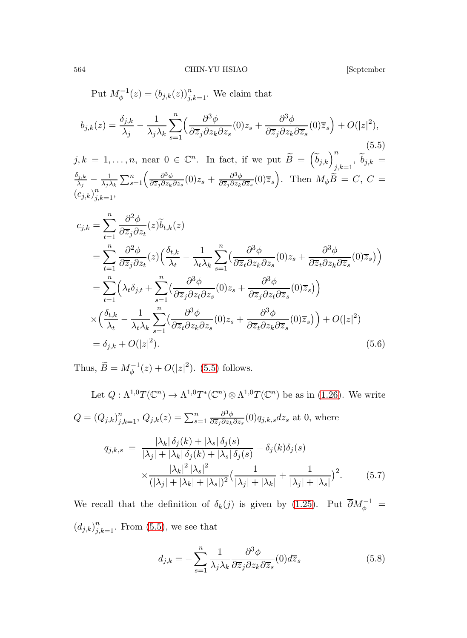564 CHIN-YU HSIAO [September

<span id="page-43-0"></span>

Put  $M_{\phi}^{-1}(z) = (b_{j,k}(z))_{j,k=1}^n$ . We claim that  $b_{j,k}(z) = \frac{\delta_{j,k}}{\lambda_j}$  – 1  $\lambda_j\lambda_k$  $\sum_{n=1}^n \left( \frac{\partial^3 \phi}{\partial n^2} \right)$  $s=1$   $s=1$   $s=1$   $s=1$   $s=1$   $s=1$   $s=1$   $s=1$   $s=1$   $s=1$   $s=1$   $s=1$   $s=1$   $s=1$   $s=1$   $s=1$   $s=1$   $s=1$   $s=1$   $s=1$   $s=1$   $s=1$   $s=1$   $s=1$   $s=1$   $s=1$   $s=1$   $s=1$   $s=1$   $s=1$   $s=1$   $s=1$   $s=1$   $s=1$   $s=1$   $s=1$   $s=1$  $\frac{\partial^3 \phi}{\partial \overline{z}_j \partial z_k \partial z_s}(0) z_s + \frac{\partial^3 \phi}{\partial \overline{z}_j \partial z_k}$  $\frac{\partial^3 \phi}{\partial \overline{z}_j \partial z_k \partial \overline{z}_s} (0) \overline{z}_s$  +  $O(|z|^2)$ ,  $j, k = 1, \ldots, n$ , near  $0 \in \mathbb{C}^n$ . In fact, if we put  $\widetilde{B} = \left(\widetilde{b}_{j,k}\right)_{j,k=1}^n$ ,  $\widetilde{b}_{j,k} =$  $\delta_{j,k} = 1 \nabla^n \left( \frac{\partial^3 \phi}{\partial x^2} (0) z + \frac{\partial^3 \phi}{\partial y^2} (0) \overline{z} \right)$  $\frac{\lambda_{j,k}}{\lambda_j}-\frac{1}{\lambda_j}$  $\frac{1}{n} \frac{1}{\lambda_j \lambda_k} \sum_{s=1}^n \left( \frac{\partial^3 \phi}{\partial \overline{z}_j \partial z_k \partial z_s} (0) z_s + \frac{\partial^3 \phi}{\partial \overline{z}_j \partial z_k \partial \overline{z}_s} (0) \overline{z}_s \right)$ . Then  $M_\phi \overset{\sim}{B} = C, C =$  $(c_{j,k})$  $\sum_{j,k=1}^n,$  $c_{j,k} = \sum^{n}$  $t=1$  $\partial^2\phi$  $\frac{\partial^2 \psi}{\partial \overline{z}_j \partial z_t}(z) b_{t,k}(z)$  $=\sum_{n=0}^{\infty}\frac{\partial^2\phi}{\partial x^n}$  $t=1$  $\frac{\partial^2 \phi}{\partial \overline{z}_j \partial z_t}(z) \Big( \frac{\delta_{t,k}}{\lambda_t}$  $\overline{\lambda_t}$  – 1  $\lambda_t\lambda_k$  $\sum_{n=0}^n \left( \frac{\partial^3 \phi}{\partial x^n} \right)$  $s=1$  $\frac{\partial^3 \phi}{\partial \overline{z}_t \partial z_k \partial z_s}(0)z_s + \frac{\partial^3 \phi}{\partial \overline{z}_t \partial z_k}$  $\frac{\partial^{\alpha}\phi}{\partial\overline{z}_t\partial z_k\partial\overline{z}_s}(0)\overline{z}_s\big)\Big)$  $=\sum_{k=1}^{n}\left(\lambda_{t}\delta_{j,t}+\sum_{k=1}^{n}\left(\frac{\partial^{3}\phi_{k}}{\partial\overline{\phi}_{k}\partial\overline{\phi}_{k}}\right)\right)$  $t=1$  $s=1$  $\frac{\partial^3 \phi}{\partial \overline{z}_j \partial z_t \partial z_s}(0) z_s + \frac{\partial^3 \phi}{\partial \overline{z}_j \partial z_{t'}}$  $\frac{\partial^{\mathcal{O}}\phi}{\partial\overline{z}_j\partial z_t\partial\overline{z}_s}(0)\overline{z}_s\big)\Big)$ ×  $\int \delta_{t,k}$  $\overline{\lambda_t}$  – 1  $\lambda_t\lambda_k$  $\sum_{n=1}^{\infty}$  $s=1$  $\left( \frac{\partial^3 \phi}{\partial x^2} \right)$  $\frac{\partial^3 \phi}{\partial \overline{z}_t \partial z_k \partial z_s}(0) z_s + \frac{\partial^3 \phi}{\partial \overline{z}_t \partial z_k}$  $\frac{\partial^{\alpha}\phi}{\partial\overline{z}_t\partial z_k\partial\overline{z}_s}(0)\overline{z}_s)\Big) + O(|z|^2)$  $= \delta_{j,k} + O(|z|^2)$  $(5.6)$ 

Thus,  $\widetilde{B} = M_{\phi}^{-1}(z) + O(|z|^2)$ . [\(5.5\)](#page-43-0) follows.

Let 
$$
Q : \Lambda^{1,0}T(\mathbb{C}^n) \to \Lambda^{1,0}T^*(\mathbb{C}^n) \otimes \Lambda^{1,0}T(\mathbb{C}^n)
$$
 be as in (1.26). We write  
\n
$$
Q = (Q_{j,k})_{j,k=1}^n, Q_{j,k}(z) = \sum_{s=1}^n \frac{\partial^3 \phi}{\partial \overline{z}_j \partial z_k \partial z_s}(0) q_{j,k,s} dz_s \text{ at } 0, \text{ where}
$$
\n
$$
q_{j,k,s} = \frac{|\lambda_k| \delta_j(k) + |\lambda_s| \delta_j(s)}{|\lambda_j| + |\lambda_k| \delta_j(k) + |\lambda_s| \delta_j(s)} - \delta_j(k)\delta_j(s)
$$

<span id="page-43-2"></span>
$$
\times \frac{|\lambda_k|^2 |\lambda_s|^2}{(|\lambda_j| + |\lambda_k| + |\lambda_s|)^2} \left(\frac{1}{|\lambda_j| + |\lambda_k|} + \frac{1}{|\lambda_j| + |\lambda_s|}\right)^2. \tag{5.7}
$$

We recall that the definition of  $\delta_k(j)$  is given by [\(1.25\)](#page-9-2). Put  $\overline{\partial}M_{\phi}^{-1} =$  $(d_{j,k})_{j,k=1}^n$ . From [\(5.5\)](#page-43-0), we see that

<span id="page-43-1"></span>
$$
d_{j,k} = -\sum_{s=1}^{n} \frac{1}{\lambda_j \lambda_k} \frac{\partial^3 \phi}{\partial \overline{z}_j \partial z_k \partial \overline{z}_s} (0) d\overline{z}_s
$$
(5.8)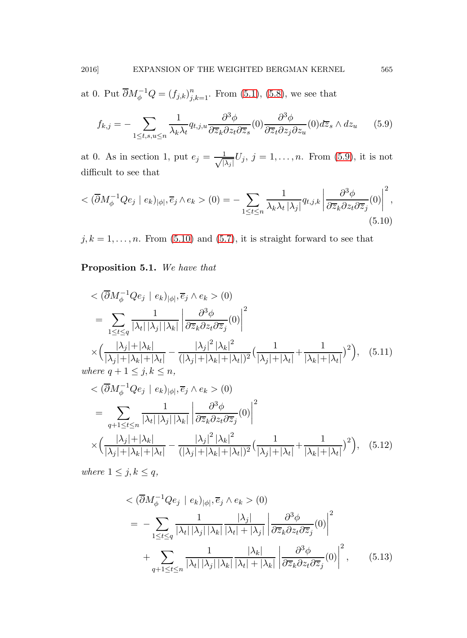at 0. Put  $\overline{\partial}M_{\phi}^{-1}Q = (f_{j,k})_{j,k=1}^n$ . From [\(5.1\)](#page-42-0), [\(5.8\)](#page-43-1), we see that

<span id="page-44-0"></span>
$$
f_{k,j} = -\sum_{1 \leq t,s,u \leq n} \frac{1}{\lambda_k \lambda_t} q_{t,j,u} \frac{\partial^3 \phi}{\partial \overline{z}_k \partial z_t \partial \overline{z}_s} (0) \frac{\partial^3 \phi}{\partial \overline{z}_t \partial z_j \partial z_u} (0) d\overline{z}_s \wedge dz_u \qquad (5.9)
$$

<span id="page-44-1"></span>at 0. As in section 1, put  $e_j = \frac{1}{\sqrt{2}}$  $\frac{1}{|\lambda_j|}U_j, j=1,\ldots,n.$  From [\(5.9\)](#page-44-0), it is not difficult to see that

$$
\langle \left(\overline{\partial} M_{\phi}^{-1} Q e_j \mid e_k \right)_{|\phi|}, \overline{e}_j \wedge e_k \rangle (0) = - \sum_{1 \leq t \leq n} \frac{1}{\lambda_k \lambda_t |\lambda_j|} q_{t,j,k} \left| \frac{\partial^3 \phi}{\partial \overline{z}_k \partial z_t \partial \overline{z}_j} (0) \right|^2, \tag{5.10}
$$

 $j, k = 1, \ldots, n$ . From [\(5.10\)](#page-44-1) and [\(5.7\)](#page-43-2), it is straight forward to see that

Proposition 5.1. We have that

<span id="page-44-2"></span>
$$
\langle \overline{\partial} M_{\phi}^{-1} Q e_j \mid e_k |_{|\phi|}, \overline{e}_j \wedge e_k \rangle (0)
$$
\n
$$
= \sum_{1 \le t \le q} \frac{1}{|\lambda_t| |\lambda_j| |\lambda_k|} \left| \frac{\partial^3 \phi}{\partial \overline{z}_k \partial z_t \partial \overline{z}_j} (0) \right|^2
$$
\n
$$
\times \left( \frac{|\lambda_j| + |\lambda_k|}{|\lambda_j| + |\lambda_k| + |\lambda_t|} - \frac{|\lambda_j|^2 |\lambda_k|^2}{(|\lambda_j| + |\lambda_k| + |\lambda_t|)^2} \left( \frac{1}{|\lambda_j| + |\lambda_t|} + \frac{1}{|\lambda_k| + |\lambda_t|} \right)^2 \right), \quad (5.11)
$$
\nwhere  $q + 1 \le j, k \le n$ ,

$$
\langle \left( \overline{\partial} M_{\phi}^{-1} Q e_j \mid e_k \right)_{|\phi|}, \overline{e}_j \wedge e_k \rangle (0)
$$
\n
$$
= \sum_{q+1 \le t \le n} \frac{1}{|\lambda_t| |\lambda_j| |\lambda_k|} \left| \frac{\partial^3 \phi}{\partial z_k \partial z_t \partial \overline{z}_j} (0) \right|^2
$$
\n
$$
\times \left( \frac{|\lambda_j| + |\lambda_k|}{|\lambda_j| + |\lambda_k| + |\lambda_t|} - \frac{|\lambda_j|^2 |\lambda_k|^2}{(|\lambda_j| + |\lambda_k| + |\lambda_t|)^2} \left( \frac{1}{|\lambda_j| + |\lambda_t|} + \frac{1}{|\lambda_k| + |\lambda_t|} \right)^2 \right), \quad (5.12)
$$

where  $1 \leq j, k \leq q$ ,

$$
\langle \left( \overline{\partial} M_{\phi}^{-1} Q e_j \mid e_k \right)_{|\phi|}, \overline{e}_j \wedge e_k \rangle (0)
$$
\n
$$
= - \sum_{1 \le t \le q} \frac{1}{|\lambda_t| |\lambda_j| |\lambda_k|} \frac{|\lambda_j|}{|\lambda_t| + |\lambda_j|} \left| \frac{\partial^3 \phi}{\partial z_k \partial z_t \partial \overline{z}_j} (0) \right|^2
$$
\n
$$
+ \sum_{q+1 \le t \le n} \frac{1}{|\lambda_t| |\lambda_j| |\lambda_k|} \frac{|\lambda_k|}{|\lambda_t| + |\lambda_k|} \left| \frac{\partial^3 \phi}{\partial \overline{z}_k \partial z_t \partial \overline{z}_j} (0) \right|^2, \qquad (5.13)
$$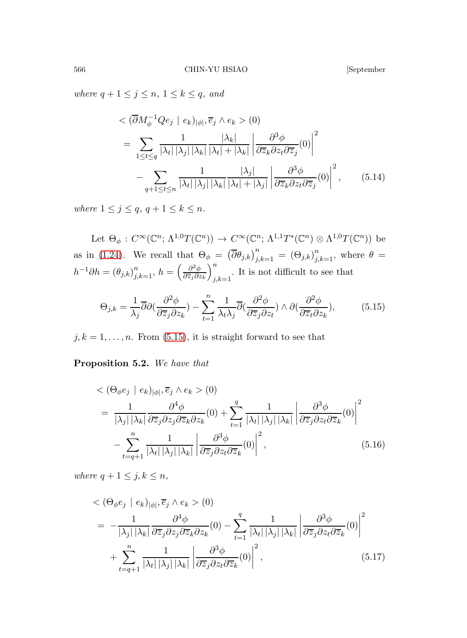where  $q + 1 \leq j \leq n, 1 \leq k \leq q$ , and

<span id="page-45-1"></span>
$$
\langle \left( \overline{\partial} M_{\phi}^{-1} Q e_j \mid e_k \right)_{|\phi|}, \overline{e}_j \wedge e_k \rangle (0)
$$
\n
$$
= \sum_{1 \le t \le q} \frac{1}{|\lambda_t| |\lambda_j| |\lambda_k|} \frac{|\lambda_k|}{|\lambda_t| + |\lambda_k|} \left| \frac{\partial^3 \phi}{\partial \overline{z}_k \partial z_t \partial \overline{z}_j} (0) \right|^2
$$
\n
$$
- \sum_{q+1 \le t \le n} \frac{1}{|\lambda_t| |\lambda_j| |\lambda_k|} \frac{|\lambda_j|}{|\lambda_t| + |\lambda_j|} \left| \frac{\partial^3 \phi}{\partial \overline{z}_k \partial z_t \partial \overline{z}_j} (0) \right|^2, \qquad (5.14)
$$

where  $1 \leq j \leq q$ ,  $q + 1 \leq k \leq n$ .

Let  $\Theta_{\phi}: C^{\infty}(\mathbb{C}^n; \Lambda^{1,0}T(\mathbb{C}^n)) \to C^{\infty}(\mathbb{C}^n; \Lambda^{1,1}T^{*}(\mathbb{C}^n) \otimes \Lambda^{1,0}T(\mathbb{C}^n))$  be as in [\(1.24\)](#page-9-3). We recall that  $\Theta_{\phi} = (\overline{\partial} \theta_{j,k})_{j,k=1}^n = (\Theta_{j,k})_{j,k=1}^n$ , where  $\theta =$  $h^{-1}\partial h = (\theta_{j,k})_{j,k=1}^n, h = \left(\frac{\partial^2 \phi}{\partial \overline{z}_j \partial z}\right)$  $\partial \overline{z}_j \partial z_k$  $\setminus^n$  $j,k=1$ . It is not difficult to see that

<span id="page-45-0"></span>
$$
\Theta_{j,k} = \frac{1}{\lambda_j} \overline{\partial} \partial \left( \frac{\partial^2 \phi}{\partial \overline{z}_j \partial z_k} \right) - \sum_{t=1}^n \frac{1}{\lambda_t \lambda_j} \overline{\partial} \left( \frac{\partial^2 \phi}{\partial \overline{z}_j \partial z_t} \right) \wedge \partial \left( \frac{\partial^2 \phi}{\partial \overline{z}_t \partial z_k} \right),\tag{5.15}
$$

 $j, k = 1, \ldots, n$ . From [\(5.15\)](#page-45-0), it is straight forward to see that

Proposition 5.2. We have that

<span id="page-45-2"></span>
$$
\langle (\Theta_{\phi} e_j \mid e_k)_{|\phi|}, \overline{e}_j \wedge e_k \rangle (0)
$$
\n
$$
= \frac{1}{|\lambda_j| |\lambda_k|} \frac{\partial^4 \phi}{\partial \overline{z}_j \partial z_j \partial \overline{z}_k \partial z_k} (0) + \sum_{t=1}^q \frac{1}{|\lambda_t| |\lambda_j| |\lambda_k|} \left| \frac{\partial^3 \phi}{\partial \overline{z}_j \partial z_t \partial \overline{z}_k} (0) \right|^2
$$
\n
$$
- \sum_{t=q+1}^n \frac{1}{|\lambda_t| |\lambda_j| |\lambda_k|} \left| \frac{\partial^3 \phi}{\partial \overline{z}_j \partial z_t \partial \overline{z}_k} (0) \right|^2, \tag{5.16}
$$

where  $q + 1 \leq j, k \leq n$ ,

<span id="page-45-3"></span>
$$
\langle (\Theta_{\phi} e_j \mid e_k)_{|\phi|}, \overline{e}_j \wedge e_k \rangle (0)
$$
\n
$$
= -\frac{1}{|\lambda_j| |\lambda_k|} \frac{\partial^4 \phi}{\partial \overline{z}_j \partial z_j \partial \overline{z}_k \partial z_k} (0) - \sum_{t=1}^q \frac{1}{|\lambda_t| |\lambda_j| |\lambda_k|} \left| \frac{\partial^3 \phi}{\partial \overline{z}_j \partial z_t \partial \overline{z}_k} (0) \right|^2
$$
\n
$$
+ \sum_{t=q+1}^n \frac{1}{|\lambda_t| |\lambda_j| |\lambda_k|} \left| \frac{\partial^3 \phi}{\partial \overline{z}_j \partial z_t \partial \overline{z}_k} (0) \right|^2, \tag{5.17}
$$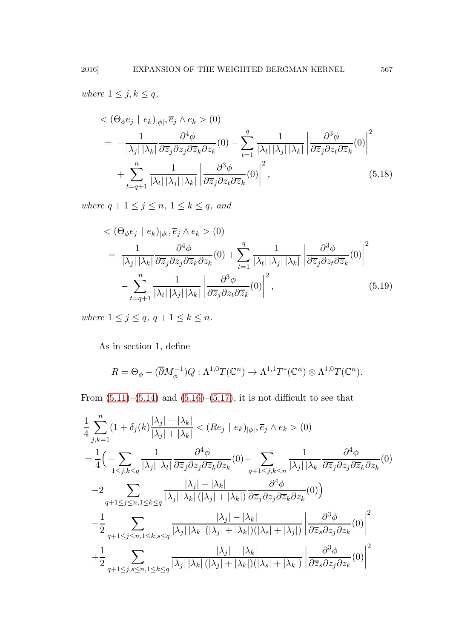where  $1 \leq j, k \leq q$ ,

$$
\langle (\Theta_{\phi} e_j \mid e_k)_{|\phi|}, \overline{e}_j \wedge e_k \rangle (0)
$$
\n
$$
= -\frac{1}{|\lambda_j| |\lambda_k|} \frac{\partial^4 \phi}{\partial \overline{z}_j \partial z_j \partial \overline{z}_k \partial z_k} (0) - \sum_{t=1}^q \frac{1}{|\lambda_t| |\lambda_j| |\lambda_k|} \left| \frac{\partial^3 \phi}{\partial \overline{z}_j \partial z_t \partial \overline{z}_k} (0) \right|^2
$$
\n
$$
+ \sum_{t=q+1}^n \frac{1}{|\lambda_t| |\lambda_j| |\lambda_k|} \left| \frac{\partial^3 \phi}{\partial \overline{z}_j \partial z_t \partial \overline{z}_k} (0) \right|^2, \tag{5.18}
$$

where  $q + 1 \leq j \leq n, 1 \leq k \leq q$ , and

$$
\langle (\Theta_{\phi} e_j \mid e_k)_{|\phi|}, \overline{e}_j \wedge e_k \rangle (0)
$$
\n
$$
= \frac{1}{|\lambda_j| |\lambda_k|} \frac{\partial^4 \phi}{\partial \overline{z}_j \partial z_j \partial \overline{z}_k \partial z_k} (0) + \sum_{t=1}^q \frac{1}{|\lambda_t| |\lambda_j| |\lambda_k|} \left| \frac{\partial^3 \phi}{\partial \overline{z}_j \partial z_t \partial \overline{z}_k} (0) \right|^2
$$
\n
$$
- \sum_{t=q+1}^n \frac{1}{|\lambda_t| |\lambda_j| |\lambda_k|} \left| \frac{\partial^3 \phi}{\partial \overline{z}_j \partial z_t \partial \overline{z}_k} (0) \right|^2, \tag{5.19}
$$

where  $1 \leq j \leq q$ ,  $q + 1 \leq k \leq n$ .

As in section 1, define

$$
R = \Theta_{\phi} - (\overline{\partial}M_{\phi}^{-1})Q : \Lambda^{1,0}T(\mathbb{C}^n) \to \Lambda^{1,1}T^*(\mathbb{C}^n) \otimes \Lambda^{1,0}T(\mathbb{C}^n).
$$

From  $(5.11)$ – $(5.14)$  and  $(5.16)$ – $(5.17)$ , it is not difficult to see that

<span id="page-46-0"></span>
$$
\frac{1}{4} \sum_{j,k=1}^{n} (1 + \delta_j(k) \frac{|\lambda_j| - |\lambda_k|}{|\lambda_j| + |\lambda_k|} < (Re_j \mid e_k)_{|\phi|}, \overline{e}_j \wedge e_k > (0)
$$
\n
$$
= \frac{1}{4} \Big( - \sum_{1 \le j,k \le q} \frac{1}{|\lambda_j| |\lambda_k|} \frac{\partial^4 \phi}{\partial \overline{z}_j \partial z_j \partial \overline{z}_k \partial z_k} (0) + \sum_{q+1 \le j,k \le n} \frac{1}{|\lambda_j| |\lambda_k|} \frac{\partial^4 \phi}{\partial \overline{z}_j \partial z_j \partial \overline{z}_k \partial z_k} (0)
$$
\n
$$
-2 \sum_{q+1 \le j \le n, 1 \le k \le q} \frac{|\lambda_j| - |\lambda_k|}{|\lambda_j| |\lambda_k| (|\lambda_j| + |\lambda_k|)} \frac{\partial^4 \phi}{\partial \overline{z}_j \partial z_j \partial \overline{z}_k \partial z_k} (0) \Big)
$$
\n
$$
- \frac{1}{2} \sum_{q+1 \le j \le n, 1 \le k, s \le q} \frac{|\lambda_j| - |\lambda_k|}{|\lambda_j| |\lambda_k| (|\lambda_j| + |\lambda_k|) (|\lambda_s| + |\lambda_j|)} \Big| \frac{\partial^3 \phi}{\partial \overline{z}_s \partial z_j \partial z_k} (0) \Big|^2
$$
\n
$$
+ \frac{1}{2} \sum_{q+1 \le j,s \le n, 1 \le k \le q} \frac{|\lambda_j| - |\lambda_k|}{|\lambda_j| |\lambda_k| (|\lambda_j| + |\lambda_k|) (|\lambda_s| + |\lambda_k|)} \Big| \frac{\partial^3 \phi}{\partial \overline{z}_s \partial z_j \partial z_k} (0) \Big|^2
$$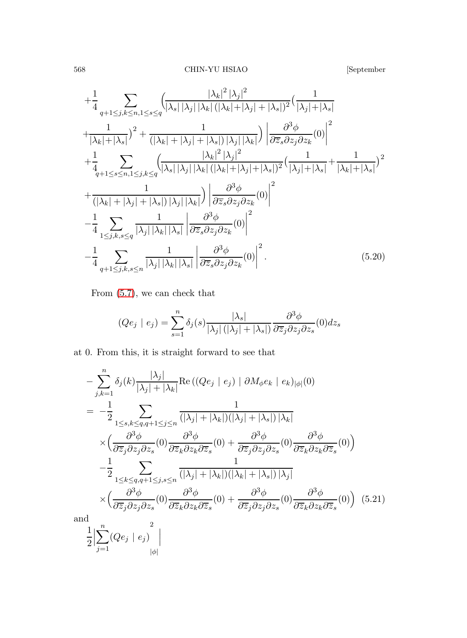$$
+\frac{1}{4} \sum_{q+1 \leq j,k \leq n, 1 \leq s \leq q} \left( \frac{|\lambda_k|^2 |\lambda_j|^2}{|\lambda_s| |\lambda_j| |\lambda_k| (|\lambda_k| + |\lambda_j| + |\lambda_s|)^2} \left( \frac{1}{|\lambda_j| + |\lambda_s|} \right) \right) \frac{1}{|\lambda_k| + |\lambda_s|} + \frac{1}{|\lambda_k| + |\lambda_s|} \left( \frac{1}{|\lambda_k| + |\lambda_j| + |\lambda_s|} \right) |\lambda_j| |\lambda_k| \right) \left| \frac{\partial^3 \phi}{\partial \overline{z}_s \partial z_j \partial z_k} (0) \right|^2
$$

$$
+\frac{1}{4} \sum_{q+1 \leq s \leq n, 1 \leq j,k \leq q} \left( \frac{|\lambda_k|^2 |\lambda_j|^2}{|\lambda_s| |\lambda_j| |\lambda_k| (|\lambda_k| + |\lambda_j| + |\lambda_s|)^2} \left( \frac{1}{|\lambda_j| + |\lambda_s|} + \frac{1}{|\lambda_k| + |\lambda_s|} \right)^2
$$

$$
+\frac{1}{(|\lambda_k| + |\lambda_j| + |\lambda_s|) |\lambda_j| |\lambda_k|} \right) \left| \frac{\partial^3 \phi}{\partial \overline{z}_s \partial z_j \partial z_k} (0) \right|^2
$$

$$
-\frac{1}{4} \sum_{1 \leq j,k,s \leq q} \frac{1}{|\lambda_j| |\lambda_k| |\lambda_s|} \left| \frac{\partial^3 \phi}{\partial \overline{z}_s \partial z_j \partial z_k} (0) \right|^2
$$

$$
-\frac{1}{4} \sum_{q+1 \leq j,k,s \leq n} \frac{1}{|\lambda_j| |\lambda_k| |\lambda_s|} \left| \frac{\partial^3 \phi}{\partial \overline{z}_s \partial z_j \partial z_k} (0) \right|^2.
$$
(5.20)

From [\(5.7\)](#page-43-2), we can check that

$$
(Qe_j \mid e_j) = \sum_{s=1}^n \delta_j(s) \frac{|\lambda_s|}{|\lambda_j| (|\lambda_j| + |\lambda_s|)} \frac{\partial^3 \phi}{\partial \overline{z}_j \partial z_j \partial z_s} (0) dz_s
$$

at 0. From this, it is straight forward to see that

<span id="page-47-0"></span>
$$
-\sum_{j,k=1}^{n} \delta_{j}(k) \frac{|\lambda_{j}|}{|\lambda_{j}| + |\lambda_{k}|} \text{Re}\left((Qe_{j} \mid e_{j}) \mid \partial M_{\phi} e_{k} \mid e_{k})_{|\phi|}(0\right)
$$
  
\n
$$
= -\frac{1}{2} \sum_{1 \leq s,k \leq q,q+1 \leq j \leq n} \frac{1}{(|\lambda_{j}| + |\lambda_{k}|)(|\lambda_{j}| + |\lambda_{s}|) |\lambda_{k}|}
$$
  
\n
$$
\times \left(\frac{\partial^{3}\phi}{\partial \overline{z}_{j}\partial z_{j}\partial z_{s}}(0) \frac{\partial^{3}\phi}{\partial \overline{z}_{k}\partial z_{k}\partial \overline{z}_{s}}(0) + \frac{\partial^{3}\phi}{\partial \overline{z}_{j}\partial z_{j}\partial z_{s}}(0) \frac{\partial^{3}\phi}{\partial \overline{z}_{k}\partial z_{k}\partial \overline{z}_{s}}(0)\right)
$$
  
\n
$$
-\frac{1}{2} \sum_{1 \leq k \leq q,q+1 \leq j,s \leq n} \frac{1}{(|\lambda_{j}| + |\lambda_{k}|)(|\lambda_{k}| + |\lambda_{s}|) |\lambda_{j}|}
$$
  
\n
$$
\times \left(\frac{\partial^{3}\phi}{\partial \overline{z}_{j}\partial z_{j}\partial z_{s}}(0) \frac{\partial^{3}\phi}{\partial \overline{z}_{k}\partial z_{k}\partial \overline{z}_{s}}(0) + \frac{\partial^{3}\phi}{\partial \overline{z}_{j}\partial z_{j}\partial z_{s}}(0) \frac{\partial^{3}\phi}{\partial \overline{z}_{k}\partial z_{k}\partial \overline{z}_{s}}(0)\right) (5.21)
$$
  
\nand  
\n
$$
\frac{1}{2} \Big| \sum_{j=1}^{n} (Qe_{j} \mid e_{j}) \Big|
$$
  
\n
$$
|\phi|
$$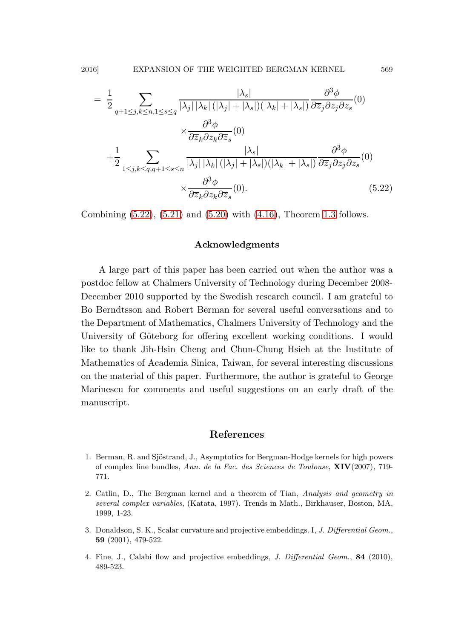$$
= \frac{1}{2} \sum_{q+1 \leq j,k \leq n,1 \leq s \leq q} \frac{|\lambda_s|}{|\lambda_j| |\lambda_k| (|\lambda_j| + |\lambda_s|)(|\lambda_k| + |\lambda_s|)} \frac{\partial^3 \phi}{\partial \overline{z}_j \partial z_j \partial z_s} (0)
$$

$$
\times \frac{\partial^3 \phi}{\partial \overline{z}_k \partial z_k \partial \overline{z}_s} (0)
$$

$$
+ \frac{1}{2} \sum_{1 \leq j,k \leq q, q+1 \leq s \leq n} \frac{|\lambda_s|}{|\lambda_j| |\lambda_k| (|\lambda_j| + |\lambda_s|)(|\lambda_k| + |\lambda_s|)} \frac{\partial^3 \phi}{\partial \overline{z}_j \partial z_j \partial z_s} (0)
$$

$$
\times \frac{\partial^3 \phi}{\partial \overline{z}_k \partial z_k \partial \overline{z}_s} (0).
$$
(5.22)

Combining [\(5.22\)](#page-47-0), [\(5.21\)](#page-47-0) and [\(5.20\)](#page-46-0) with [\(4.16\)](#page-40-3), Theorem [1.3](#page-9-4) follows.

### Acknowledgments

A large part of this paper has been carried out when the author was a postdoc fellow at Chalmers University of Technology during December 2008- December 2010 supported by the Swedish research council. I am grateful to Bo Berndtsson and Robert Berman for several useful conversations and to the Department of Mathematics, Chalmers University of Technology and the University of Göteborg for offering excellent working conditions. I would like to thank Jih-Hsin Cheng and Chun-Chung Hsieh at the Institute of Mathematics of Academia Sinica, Taiwan, for several interesting discussions on the material of this paper. Furthermore, the author is grateful to George Marinescu for comments and useful suggestions on an early draft of the manuscript.

### References

- <span id="page-48-1"></span>1. Berman, R. and Sjöstrand, J., Asymptotics for Bergman-Hodge kernels for high powers of complex line bundles, Ann. de la Fac. des Sciences de Toulouse, XIV(2007), 719- 771.
- <span id="page-48-0"></span>2. Catlin, D., The Bergman kernel and a theorem of Tian, Analysis and geometry in several complex variables, (Katata, 1997). Trends in Math., Birkhauser, Boston, MA, 1999, 1-23.
- <span id="page-48-2"></span>3. Donaldson, S. K., Scalar curvature and projective embeddings. I, J. Differential Geom., 59 (2001), 479-522.
- <span id="page-48-3"></span>4. Fine, J., Calabi flow and projective embeddings, J. Differential Geom., 84 (2010), 489-523.